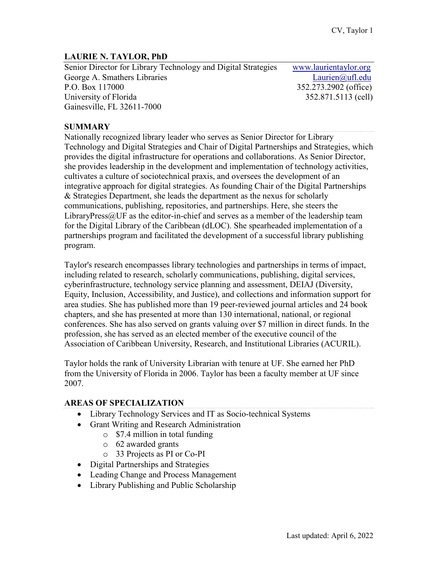#### **LAURIE N. TAYLOR, PhD**

Senior Director for Library Technology and Digital Strategies [www.laurientaylor.org](http://www.digital.uflib.ufl.edu/) George A. Smathers Libraries Laurien and Laurien and Laurien and Laurien and Laurien and Laurien and Laurien and Laurien and Laurien and Laurien and Laurien and Laurien and Laurien and Laurien and Laurien and Laurien and L P.O. Box 117000 352.273.2902 (office) University of Florida 352.871.5113 (cell) Gainesville, FL 32611-7000

#### **SUMMARY**

Nationally recognized library leader who serves as Senior Director for Library Technology and Digital Strategies and Chair of Digital Partnerships and Strategies, which provides the digital infrastructure for operations and collaborations. As Senior Director, she provides leadership in the development and implementation of technology activities, cultivates a culture of sociotechnical praxis, and oversees the development of an integrative approach for digital strategies. As founding Chair of the Digital Partnerships & Strategies Department, she leads the department as the nexus for scholarly communications, publishing, repositories, and partnerships. Here, she steers the LibraryPress $@$ UF as the editor-in-chief and serves as a member of the leadership team for the Digital Library of the Caribbean (dLOC). She spearheaded implementation of a partnerships program and facilitated the development of a successful library publishing program.

Taylor's research encompasses library technologies and partnerships in terms of impact, including related to research, scholarly communications, publishing, digital services, cyberinfrastructure, technology service planning and assessment, DEIAJ (Diversity, Equity, Inclusion, Accessibility, and Justice), and collections and information support for area studies. She has published more than 19 peer-reviewed journal articles and 24 book chapters, and she has presented at more than 130 international, national, or regional conferences. She has also served on grants valuing over \$7 million in direct funds. In the profession, she has served as an elected member of the executive council of the Association of Caribbean University, Research, and Institutional Libraries (ACURIL).

Taylor holds the rank of University Librarian with tenure at UF. She earned her PhD from the University of Florida in 2006. Taylor has been a faculty member at UF since 2007.

### **AREAS OF SPECIALIZATION**

- Library Technology Services and IT as Socio-technical Systems
- Grant Writing and Research Administration
	- o \$7.4 million in total funding
	- o 62 awarded grants
	- o 33 Projects as PI or Co-PI
- Digital Partnerships and Strategies
- Leading Change and Process Management
- Library Publishing and Public Scholarship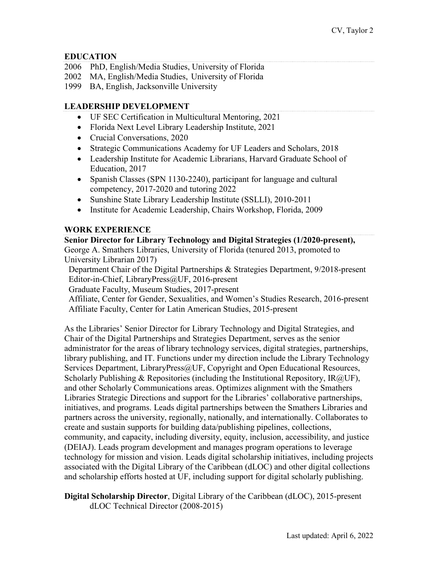### **EDUCATION**

- 2006 PhD, English/Media Studies, University of Florida
- 2002 MA, English/Media Studies, University of Florida
- 1999 BA, English, Jacksonville University

## **LEADERSHIP DEVELOPMENT**

- UF SEC Certification in Multicultural Mentoring, 2021
- Florida Next Level Library Leadership Institute, 2021
- Crucial Conversations, 2020
- Strategic Communications Academy for UF Leaders and Scholars, 2018
- Leadership Institute for Academic Librarians, Harvard Graduate School of Education, 2017
- Spanish Classes (SPN 1130-2240), participant for language and cultural competency, 2017-2020 and tutoring 2022
- Sunshine State Library Leadership Institute (SSLLI), 2010-2011
- Institute for Academic Leadership, Chairs Workshop, Florida, 2009

### **WORK EXPERIENCE**

**Senior Director for Library Technology and Digital Strategies (1/2020-present),**  George A. Smathers Libraries, University of Florida (tenured 2013, promoted to University Librarian 2017)

 Department Chair of the Digital Partnerships & Strategies Department, 9/2018-present Editor-in-Chief, LibraryPress@UF, 2016-present

Graduate Faculty, Museum Studies, 2017-present

 Affiliate, Center for Gender, Sexualities, and Women's Studies Research, 2016-present Affiliate Faculty, Center for Latin American Studies, 2015-present

As the Libraries' Senior Director for Library Technology and Digital Strategies, and Chair of the Digital Partnerships and Strategies Department, serves as the senior administrator for the areas of library technology services, digital strategies, partnerships, library publishing, and IT. Functions under my direction include the Library Technology Services Department, LibraryPress@UF, Copyright and Open Educational Resources, Scholarly Publishing & Repositories (including the Institutional Repository,  $\text{IR}(a/\text{UF})$ , and other Scholarly Communications areas. Optimizes alignment with the Smathers Libraries Strategic Directions and support for the Libraries' collaborative partnerships, initiatives, and programs. Leads digital partnerships between the Smathers Libraries and partners across the university, regionally, nationally, and internationally. Collaborates to create and sustain supports for building data/publishing pipelines, collections, community, and capacity, including diversity, equity, inclusion, accessibility, and justice (DEIAJ). Leads program development and manages program operations to leverage technology for mission and vision. Leads digital scholarship initiatives, including projects associated with the Digital Library of the Caribbean (dLOC) and other digital collections and scholarship efforts hosted at UF, including support for digital scholarly publishing.

**Digital Scholarship Director**, Digital Library of the Caribbean (dLOC), 2015-present dLOC Technical Director (2008-2015)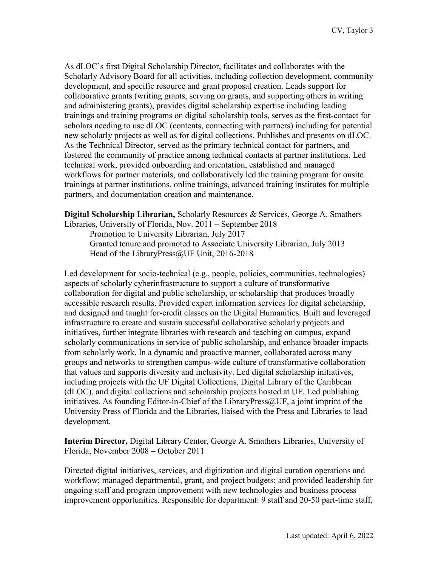As dLOC's first Digital Scholarship Director, facilitates and collaborates with the Scholarly Advisory Board for all activities, including collection development, community development, and specific resource and grant proposal creation. Leads support for collaborative grants (writing grants, serving on grants, and supporting others in writing and administering grants), provides digital scholarship expertise including leading trainings and training programs on digital scholarship tools, serves as the first-contact for scholars needing to use dLOC (contents, connecting with partners) including for potential new scholarly projects as well as for digital collections. Publishes and presents on dLOC. As the Technical Director, served as the primary technical contact for partners, and fostered the community of practice among technical contacts at partner institutions. Led technical work, provided onboarding and orientation, established and managed workflows for partner materials, and collaboratively led the training program for onsite trainings at partner institutions, online trainings, advanced training institutes for multiple partners, and documentation creation and maintenance.

**Digital Scholarship Librarian,** Scholarly Resources & Services, George A. Smathers Libraries, University of Florida, Nov. 2011 – September 2018

Promotion to University Librarian, July 2017 Granted tenure and promoted to Associate University Librarian, July 2013 Head of the LibraryPress@UF Unit, 2016-2018

Led development for socio-technical (e.g., people, policies, communities, technologies) aspects of scholarly cyberinfrastructure to support a culture of transformative collaboration for digital and public scholarship, or scholarship that produces broadly accessible research results. Provided expert information services for digital scholarship, and designed and taught for-credit classes on the Digital Humanities. Built and leveraged infrastructure to create and sustain successful collaborative scholarly projects and initiatives, further integrate libraries with research and teaching on campus, expand scholarly communications in service of public scholarship, and enhance broader impacts from scholarly work. In a dynamic and proactive manner, collaborated across many groups and networks to strengthen campus-wide culture of transformative collaboration that values and supports diversity and inclusivity. Led digital scholarship initiatives, including projects with the UF Digital Collections, Digital Library of the Caribbean (dLOC), and digital collections and scholarship projects hosted at UF. Led publishing initiatives. As founding Editor-in-Chief of the LibraryPress $@UF$ , a joint imprint of the University Press of Florida and the Libraries, liaised with the Press and Libraries to lead development.

**Interim Director,** Digital Library Center, George A. Smathers Libraries, University of Florida, November 2008 – October 2011

Directed digital initiatives, services, and digitization and digital curation operations and workflow; managed departmental, grant, and project budgets; and provided leadership for ongoing staff and program improvement with new technologies and business process improvement opportunities. Responsible for department: 9 staff and 20-50 part-time staff,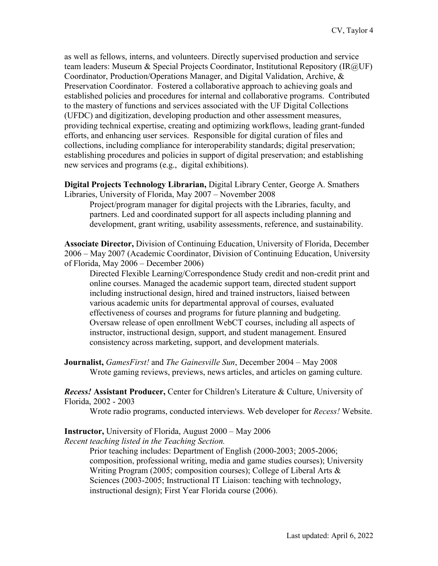as well as fellows, interns, and volunteers. Directly supervised production and service team leaders: Museum & Special Projects Coordinator, Institutional Repository (IR@UF) Coordinator, Production/Operations Manager, and Digital Validation, Archive, & Preservation Coordinator. Fostered a collaborative approach to achieving goals and established policies and procedures for internal and collaborative programs. Contributed to the mastery of functions and services associated with the UF Digital Collections (UFDC) and digitization, developing production and other assessment measures, providing technical expertise, creating and optimizing workflows, leading grant-funded efforts, and enhancing user services. Responsible for digital curation of files and collections, including compliance for interoperability standards; digital preservation; establishing procedures and policies in support of digital preservation; and establishing new services and programs (e.g., digital exhibitions).

**Digital Projects Technology Librarian,** Digital Library Center, George A. Smathers Libraries, University of Florida, May 2007 – November 2008

Project/program manager for digital projects with the Libraries, faculty, and partners. Led and coordinated support for all aspects including planning and development, grant writing, usability assessments, reference, and sustainability.

**Associate Director,** Division of Continuing Education, University of Florida, December 2006 – May 2007 (Academic Coordinator, Division of Continuing Education, University of Florida, May 2006 – December 2006)

Directed Flexible Learning/Correspondence Study credit and non-credit print and online courses. Managed the academic support team, directed student support including instructional design, hired and trained instructors, liaised between various academic units for departmental approval of courses, evaluated effectiveness of courses and programs for future planning and budgeting. Oversaw release of open enrollment WebCT courses, including all aspects of instructor, instructional design, support, and student management. Ensured consistency across marketing, support, and development materials.

**Journalist,** *GamesFirst!* and *The Gainesville Sun*, December 2004 – May 2008 Wrote gaming reviews, previews, news articles, and articles on gaming culture.

*Recess!* **Assistant Producer,** Center for Children's Literature & Culture, University of Florida, 2002 - 2003

Wrote radio programs, conducted interviews. Web developer for *Recess!* Website.

**Instructor,** University of Florida, August 2000 – May 2006 *Recent teaching listed in the Teaching Section.* 

> Prior teaching includes: Department of English (2000-2003; 2005-2006; composition, professional writing, media and game studies courses); University Writing Program (2005; composition courses); College of Liberal Arts & Sciences (2003-2005; Instructional IT Liaison: teaching with technology, instructional design); First Year Florida course (2006).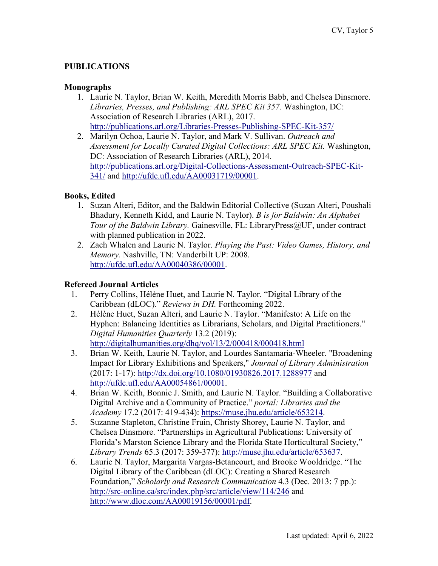### **PUBLICATIONS**

#### **Monographs**

- 1. Laurie N. Taylor, Brian W. Keith, Meredith Morris Babb, and Chelsea Dinsmore. *Libraries, Presses, and Publishing: ARL SPEC Kit 357.* Washington, DC: Association of Research Libraries (ARL), 2017. <http://publications.arl.org/Libraries-Presses-Publishing-SPEC-Kit-357/>
- 2. Marilyn Ochoa, Laurie N. Taylor, and Mark V. Sullivan. *Outreach and Assessment for Locally Curated Digital Collections: ARL SPEC Kit.* Washington, DC: Association of Research Libraries (ARL), 2014. [http://publications.arl.org/Digital-Collections-Assessment-Outreach-SPEC-Kit-](http://publications.arl.org/Digital-Collections-Assessment-Outreach-SPEC-Kit-341/)[341/](http://publications.arl.org/Digital-Collections-Assessment-Outreach-SPEC-Kit-341/) and [http://ufdc.ufl.edu/AA00031719/00001.](http://ufdc.ufl.edu/AA00031719/00001)

#### **Books, Edited**

- 1. Suzan Alteri, Editor, and the Baldwin Editorial Collective (Suzan Alteri, Poushali Bhadury, Kenneth Kidd, and Laurie N. Taylor). *B is for Baldwin: An Alphabet Tour of the Baldwin Library.* Gainesville, FL: LibraryPress@UF, under contract with planned publication in 2022.
- 2. Zach Whalen and Laurie N. Taylor. *Playing the Past: Video Games, History, and Memory.* Nashville, TN: Vanderbilt UP: 2008. [http://ufdc.ufl.edu/AA00040386/00001.](http://ufdc.ufl.edu/AA00040386/00001)

#### **Refereed Journal Articles**

- 1. Perry Collins, Hélène Huet, and Laurie N. Taylor. "Digital Library of the Caribbean (dLOC)." *Reviews in DH.* Forthcoming 2022.
- 2. Hélène Huet, Suzan Alteri, and Laurie N. Taylor. "Manifesto: A Life on the Hyphen: Balancing Identities as Librarians, Scholars, and Digital Practitioners." *Digital Humanities Quarterly* 13.2 (2019): <http://digitalhumanities.org/dhq/vol/13/2/000418/000418.html>
- 3. Brian W. Keith, Laurie N. Taylor, and Lourdes Santamaria-Wheeler. "Broadening Impact for Library Exhibitions and Speakers," *Journal of Library Administration*  (2017: 1-17):<http://dx.doi.org/10.1080/01930826.2017.1288977> and [http://ufdc.ufl.edu/AA00054861/00001.](http://ufdc.ufl.edu/AA00054861/00001)
- 4. Brian W. Keith, Bonnie J. Smith, and Laurie N. Taylor. "Building a Collaborative Digital Archive and a Community of Practice." *portal: Libraries and the Academy* 17.2 (2017: 419-434): [https://muse.jhu.edu/article/653214.](https://muse.jhu.edu/article/653214)
- 5. Suzanne Stapleton, Christine Fruin, Christy Shorey, Laurie N. Taylor, and Chelsea Dinsmore. "Partnerships in Agricultural Publications: University of Florida's Marston Science Library and the Florida State Horticultural Society," *Library Trends* 65.3 (2017: 359-377): [http://muse.jhu.edu/article/653637.](http://muse.jhu.edu/article/653637)
- 6. Laurie N. Taylor, Margarita Vargas-Betancourt, and Brooke Wooldridge. "The Digital Library of the Caribbean (dLOC): Creating a Shared Research Foundation," *Scholarly and Research Communication* 4.3 (Dec. 2013: 7 pp.): <http://src-online.ca/src/index.php/src/article/view/114/246> and [http://www.dloc.com/AA00019156/00001/pdf.](http://www.dloc.com/AA00019156/00001/pdf)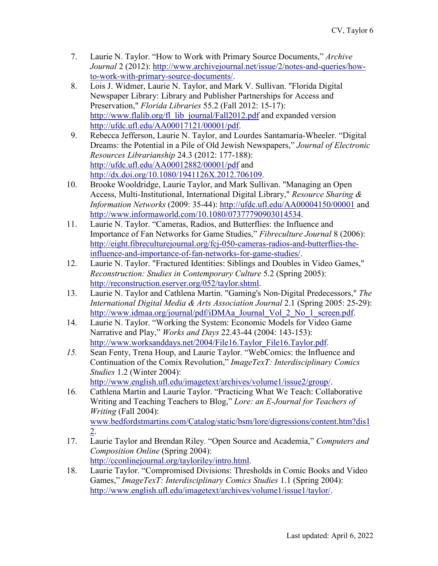- 7. Laurie N. Taylor. "How to Work with Primary Source Documents," *Archive Journal* 2 (2012): [http://www.archivejournal.net/issue/2/notes-and-queries/how](http://www.archivejournal.net/issue/2/notes-and-queries/how-to-work-with-primary-source-documents/)[to-work-with-primary-source-documents/.](http://www.archivejournal.net/issue/2/notes-and-queries/how-to-work-with-primary-source-documents/)
- 8. Lois J. Widmer, Laurie N. Taylor, and Mark V. Sullivan. "Florida Digital Newspaper Library: Library and Publisher Partnerships for Access and Preservation," *Florida Libraries* 55.2 (Fall 2012: 15-17): [http://www.flalib.org/fl\\_lib\\_journal/Fall2012.pdf](http://www.flalib.org/fl_lib_journal/Fall2012.pdf) and expanded version [http://ufdc.ufl.edu/AA00017121/00001/pdf.](http://ufdc.ufl.edu/AA00017121/00001/pdf)
- 9. Rebecca Jefferson, Laurie N. Taylor, and Lourdes Santamaria-Wheeler. "Digital Dreams: the Potential in a Pile of Old Jewish Newspapers," *Journal of Electronic Resources Librarianship* 24.3 (2012: 177-188): <http://ufdc.ufl.edu/AA00012882/00001/pdf> and [http://dx.doi.org/10.1080/1941126X.2012.706109.](http://dx.doi.org/10.1080/1941126X.2012.706109)
- 10. Brooke Wooldridge, Laurie Taylor, and Mark Sullivan. "Managing an Open Access, Multi-Institutional, International Digital Library," *Resource Sharing & Information Networks* (2009: 35-44):<http://ufdc.ufl.edu/AA00004150/00001> and [http://www.informaworld.com/10.1080/07377790903014534.](http://www.informaworld.com/10.1080/07377790903014534)
- 11. Laurie N. Taylor. "Cameras, Radios, and Butterflies: the Influence and Importance of Fan Networks for Game Studies," *Fibreculture Journal* 8 (2006): [http://eight.fibreculturejournal.org/fcj-050-cameras-radios-and-butterflies-the](http://eight.fibreculturejournal.org/fcj-050-cameras-radios-and-butterflies-the-influence-and-importance-of-fan-networks-for-game-studies/)[influence-and-importance-of-fan-networks-for-game-studies/.](http://eight.fibreculturejournal.org/fcj-050-cameras-radios-and-butterflies-the-influence-and-importance-of-fan-networks-for-game-studies/)
- 12. Laurie N. Taylor. "Fractured Identities: Siblings and Doubles in Video Games," *Reconstruction: Studies in Contemporary Culture* 5.2 (Spring 2005): [http://reconstruction.eserver.org/052/taylor.shtml.](http://reconstruction.eserver.org/052/taylor.shtml)
- 13. Laurie N. Taylor and Cathlena Martin. "Gaming's Non-Digital Predecessors," *The International Digital Media & Arts Association Journal* 2.1 (Spring 2005: 25-29): http://www.idmaa.org/journal/pdf/iDMAa Journal Vol 2 No 1 screen.pdf.
- 14. Laurie N. Taylor. "Working the System: Economic Models for Video Game Narrative and Play," *Works and Days* 22.43-44 (2004: 143-153): [http://www.worksanddays.net/2004/File16.Taylor\\_File16.Taylor.pdf.](http://www.worksanddays.net/2004/File16.Taylor_File16.Taylor.pdf)
- *15.* Sean Fenty, Trena Houp, and Laurie Taylor. "WebComics: the Influence and Continuation of the Comix Revolution," *ImageTexT: Interdisciplinary Comics Studies* 1.2 (Winter 2004):

[http://www.english.ufl.edu/imagetext/archives/volume1/issue2/group/.](http://www.english.ufl.edu/imagetext/archives/volume1/issue2/group/)

- 16. Cathlena Martin and Laurie Taylor. "Practicing What We Teach: Collaborative Writing and Teaching Teachers to Blog," *Lore: an E-Journal for Teachers of Writing* (Fall 2004): [www.bedfordstmartins.com/Catalog/static/bsm/lore/digressions/content.htm?dis1](http://www.bedfordstmartins.com/Catalog/static/bsm/lore/digressions/content.htm?dis12) [2.](http://www.bedfordstmartins.com/Catalog/static/bsm/lore/digressions/content.htm?dis12)
- 17. Laurie Taylor and Brendan Riley. "Open Source and Academia," *Computers and Composition Online* (Spring 2004): [http://cconlinejournal.org/tayloriley/intro.html.](http://cconlinejournal.org/tayloriley/intro.html)
- 18. Laurie Taylor. "Compromised Divisions: Thresholds in Comic Books and Video Games," *ImageTexT: Interdisciplinary Comics Studies* 1.1 (Spring 2004): [http://www.english.ufl.edu/imagetext/archives/volume1/issue1/taylor/.](http://www.english.ufl.edu/imagetext/archives/volume1/issue1/taylor/)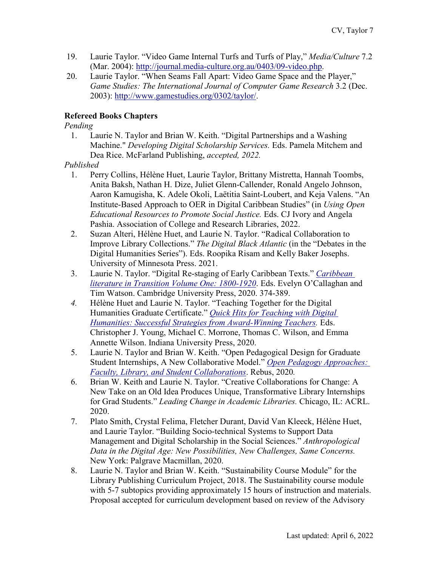- 19. Laurie Taylor. "Video Game Internal Turfs and Turfs of Play," *Media/Culture* 7.2 (Mar. 2004): [http://journal.media-culture.org.au/0403/09-video.php.](http://journal.media-culture.org.au/0403/09-video.php)
- 20. Laurie Taylor. "When Seams Fall Apart: Video Game Space and the Player," *Game Studies: The International Journal of Computer Game Research* 3.2 (Dec. 2003): [http://www.gamestudies.org/0302/taylor/.](http://www.gamestudies.org/0302/taylor/)

### **Refereed Books Chapters**

*Pending*

1. Laurie N. Taylor and Brian W. Keith. "Digital Partnerships and a Washing Machine." *Developing Digital Scholarship Services.* Eds. Pamela Mitchem and Dea Rice. McFarland Publishing, *accepted, 2022.* 

#### *Published*

- 1. Perry Collins, Hélène Huet, Laurie Taylor, Brittany Mistretta, Hannah Toombs, Anita Baksh, Nathan H. Dize, Juliet Glenn-Callender, Ronald Angelo Johnson, Aaron Kamugisha, K. Adele Okoli, Laëtitia Saint-Loubert, and Keja Valens. "An Institute-Based Approach to OER in Digital Caribbean Studies" (in *Using Open Educational Resources to Promote Social Justice.* Eds. CJ Ivory and Angela Pashia. Association of College and Research Libraries, 2022.
- 2. Suzan Alteri, Hélène Huet, and Laurie N. Taylor. "Radical Collaboration to Improve Library Collections." *The Digital Black Atlantic* (in the "Debates in the Digital Humanities Series"). Eds. Roopika Risam and Kelly Baker Josephs. University of Minnesota Press. 2021.
- 3. Laurie N. Taylor. "Digital Re-staging of Early Caribbean Texts." *[Caribbean](https://www.cambridge.org/core/books/caribbean-literature-in-transition-18001920/BAEE08F63269F0EAE66CA030B93DA8CA?pageNum=2&searchWithinIds=BAEE08F63269F0EAE66CA030B93DA8CA&productType=BOOK_PART&searchWithinIds=BAEE08F63269F0EAE66CA030B93DA8CA&productType=BOOK_PART&sort=mtdMetadata.bookPartMeta._mtdPositionSortable%3Aasc&pageSize=30&template=cambridge-core%2Fbook%2Fcontents%2Flistings&ignoreExclusions=true)  [literature in Transition Volume One: 1800-1920](https://www.cambridge.org/core/books/caribbean-literature-in-transition-18001920/BAEE08F63269F0EAE66CA030B93DA8CA?pageNum=2&searchWithinIds=BAEE08F63269F0EAE66CA030B93DA8CA&productType=BOOK_PART&searchWithinIds=BAEE08F63269F0EAE66CA030B93DA8CA&productType=BOOK_PART&sort=mtdMetadata.bookPartMeta._mtdPositionSortable%3Aasc&pageSize=30&template=cambridge-core%2Fbook%2Fcontents%2Flistings&ignoreExclusions=true)*. Eds. Evelyn O'Callaghan and Tim Watson. Cambridge University Press, 2020. 374-389.
- *4.* Hélène Huet and Laurie N. Taylor. "Teaching Together for the Digital Humanities Graduate Certificate." *[Quick Hits for Teaching with Digital](https://iupress.org/9780253050212/quick-hits-for-teaching-with-digital-humanities/)  [Humanities: Successful Strategies from Award-Winning Teachers.](https://iupress.org/9780253050212/quick-hits-for-teaching-with-digital-humanities/)* Eds. Christopher J. Young, Michael C. Morrone, Thomas C. Wilson, and Emma Annette Wilson. Indiana University Press, 2020.
- 5. Laurie N. Taylor and Brian W. Keith. "Open Pedagogical Design for Graduate Student Internships, A New Collaborative Model." *[Open Pedagogy Approaches:](https://milnepublishing.geneseo.edu/openpedagogyapproaches/)  [Faculty, Library, and Student Collaborations](https://milnepublishing.geneseo.edu/openpedagogyapproaches/)*. Rebus, 2020*.*
- 6. Brian W. Keith and Laurie N. Taylor. "Creative Collaborations for Change: A New Take on an Old Idea Produces Unique, Transformative Library Internships for Grad Students." *Leading Change in Academic Libraries.* Chicago, IL: ACRL. 2020.
- 7. Plato Smith, Crystal Felima, Fletcher Durant, David Van Kleeck, Hélène Huet, and Laurie Taylor. "Building Socio-technical Systems to Support Data Management and Digital Scholarship in the Social Sciences." *Anthropological Data in the Digital Age: New Possibilities, New Challenges, Same Concerns.* New York: Palgrave Macmillan, 2020.
- 8. Laurie N. Taylor and Brian W. Keith. "Sustainability Course Module" for the Library Publishing Curriculum Project, 2018. The Sustainability course module with 5-7 subtopics providing approximately 15 hours of instruction and materials. Proposal accepted for curriculum development based on review of the Advisory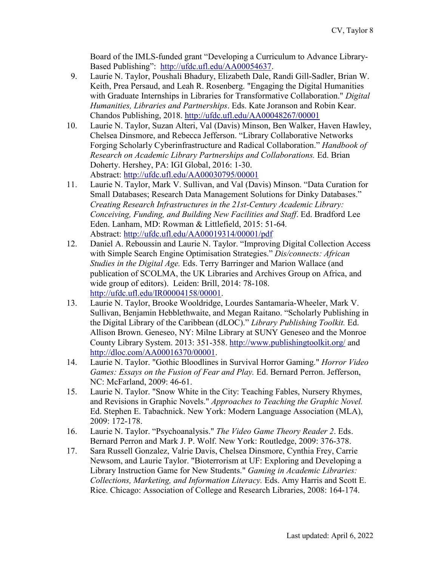Board of the IMLS-funded grant "Developing a Curriculum to Advance LibraryBased Publishing": [http://ufdc.ufl.edu/AA00054637.](http://ufdc.ufl.edu/AA00054637)

- 9. Laurie N. Taylor, Poushali Bhadury, Elizabeth Dale, Randi Gill-Sadler, Brian W. Keith, Prea Persaud, and Leah R. Rosenberg. "Engaging the Digital Humanities with Graduate Internships in Libraries for Transformative Collaboration." *Digital Humanities, Libraries and Partnerships*. Eds. Kate Joranson and Robin Kear. Chandos Publishing, 2018.<http://ufdc.ufl.edu/AA00048267/00001>
- 10. Laurie N. Taylor, Suzan Alteri, Val (Davis) Minson, Ben Walker, Haven Hawley, Chelsea Dinsmore, and Rebecca Jefferson. "Library Collaborative Networks Forging Scholarly Cyberinfrastructure and Radical Collaboration." *Handbook of Research on Academic Library Partnerships and Collaborations.* Ed. Brian Doherty. Hershey, PA: IGI Global, 2016: 1-30. Abstract:<http://ufdc.ufl.edu/AA00030795/00001>
- 11. Laurie N. Taylor, Mark V. Sullivan, and Val (Davis) Minson. "Data Curation for Small Databases; Research Data Management Solutions for Dinky Databases." *Creating Research Infrastructures in the 21st-Century Academic Library: Conceiving, Funding, and Building New Facilities and Staff*. Ed. Bradford Lee Eden. Lanham, MD: Rowman & Littlefield, 2015: 51-64*.*  Abstract:<http://ufdc.ufl.edu/AA00019314/00001/pdf>
- 12. Daniel A. Reboussin and Laurie N. Taylor. "Improving Digital Collection Access with Simple Search Engine Optimisation Strategies." *Dis/connects: African Studies in the Digital Age.* Eds. Terry Barringer and Marion Wallace (and publication of SCOLMA, the UK Libraries and Archives Group on Africa, and wide group of editors). Leiden: Brill, 2014: 78-108. [http://ufdc.ufl.edu/IR00004158/00001.](http://ufdc.ufl.edu/IR00004158/00001)
- 13. Laurie N. Taylor, Brooke Wooldridge, Lourdes Santamaria-Wheeler, Mark V. Sullivan, Benjamin Hebblethwaite, and Megan Raitano. "Scholarly Publishing in the Digital Library of the Caribbean (dLOC)." *Library Publishing Toolkit.* Ed. Allison Brown. Geneseo, NY: Milne Library at SUNY Geneseo and the Monroe County Library System. 2013: 351-358.<http://www.publishingtoolkit.org/> and [http://dloc.com/AA00016370/00001.](http://dloc.com/AA00016370/00001)
- 14. Laurie N. Taylor. "Gothic Bloodlines in Survival Horror Gaming." *Horror Video Games: Essays on the Fusion of Fear and Play.* Ed. Bernard Perron. Jefferson, NC: McFarland, 2009: 46-61.
- 15. Laurie N. Taylor. "Snow White in the City: Teaching Fables, Nursery Rhymes, and Revisions in Graphic Novels." *Approaches to Teaching the Graphic Novel.* Ed. Stephen E. Tabachnick. New York: Modern Language Association (MLA), 2009: 172-178.
- 16. Laurie N. Taylor. "Psychoanalysis." *The Video Game Theory Reader 2*. Eds. Bernard Perron and Mark J. P. Wolf. New York: Routledge, 2009: 376-378.
- 17. Sara Russell Gonzalez, Valrie Davis, Chelsea Dinsmore, Cynthia Frey, Carrie Newsom, and Laurie Taylor. "Bioterrorism at UF: Exploring and Developing a Library Instruction Game for New Students." *Gaming in Academic Libraries: Collections, Marketing, and Information Literacy.* Eds. Amy Harris and Scott E. Rice. Chicago: Association of College and Research Libraries, 2008: 164-174.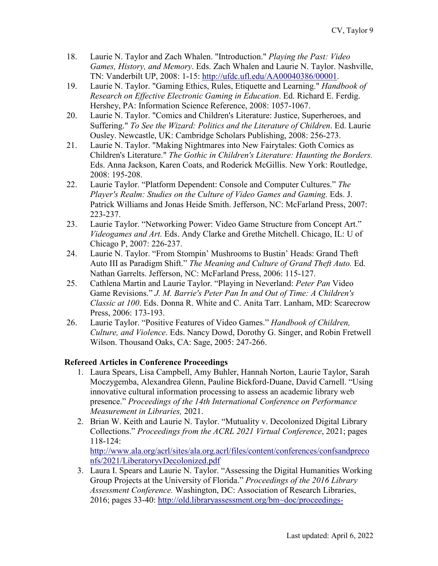- 18. Laurie N. Taylor and Zach Whalen. "Introduction." *Playing the Past: Video Games, History, and Memory*. Eds. Zach Whalen and Laurie N. Taylor. Nashville, TN: Vanderbilt UP, 2008: 1-15: [http://ufdc.ufl.edu/AA00040386/00001.](http://ufdc.ufl.edu/AA00040386/00001)
- 19. Laurie N. Taylor. "Gaming Ethics, Rules, Etiquette and Learning." *Handbook of Research on Effective Electronic Gaming in Education*. Ed. Richard E. Ferdig. Hershey, PA: Information Science Reference, 2008: 1057-1067.
- 20. Laurie N. Taylor. "Comics and Children's Literature: Justice, Superheroes, and Suffering." *To See the Wizard: Politics and the Literature of Children*. Ed. Laurie Ousley. Newcastle, UK: Cambridge Scholars Publishing, 2008: 256-273.
- 21. Laurie N. Taylor. "Making Nightmares into New Fairytales: Goth Comics as Children's Literature." *The Gothic in Children's Literature: Haunting the Borders.* Eds. Anna Jackson, Karen Coats, and Roderick McGillis. New York: Routledge, 2008: 195-208.
- 22. Laurie Taylor. "Platform Dependent: Console and Computer Cultures." *The Player's Realm: Studies on the Culture of Video Games and Gaming.* Eds. J. Patrick Williams and Jonas Heide Smith. Jefferson, NC: McFarland Press, 2007: 223-237.
- 23. Laurie Taylor. "Networking Power: Video Game Structure from Concept Art." *Videogames and Art.* Eds. Andy Clarke and Grethe Mitchell. Chicago, IL: U of Chicago P, 2007: 226-237.
- 24. Laurie N. Taylor. "From Stompin' Mushrooms to Bustin' Heads: Grand Theft Auto III as Paradigm Shift." *The Meaning and Culture of Grand Theft Auto.* Ed. Nathan Garrelts. Jefferson, NC: McFarland Press, 2006: 115-127.
- 25. Cathlena Martin and Laurie Taylor. "Playing in Neverland: *Peter Pan* Video Game Revisions." *J. M. Barrie's Peter Pan In and Out of Time: A Children's Classic at 100*. Eds. Donna R. White and C. Anita Tarr. Lanham, MD: Scarecrow Press, 2006: 173-193.
- 26. Laurie Taylor. "Positive Features of Video Games." *Handbook of Children, Culture, and Violence*. Eds. Nancy Dowd, Dorothy G. Singer, and Robin Fretwell Wilson. Thousand Oaks, CA: Sage, 2005: 247-266.

## **Refereed Articles in Conference Proceedings**

- 1. Laura Spears, Lisa Campbell, Amy Buhler, Hannah Norton, Laurie Taylor, Sarah Moczygemba, Alexandrea Glenn, Pauline Bickford-Duane, David Carnell. "Using innovative cultural information processing to assess an academic library web presence." *Proceedings of the 14th International Conference on Performance Measurement in Libraries,* 2021.
- 2. Brian W. Keith and Laurie N. Taylor. "Mutuality v. Decolonized Digital Library Collections." *Proceedings from the ACRL 2021 Virtual Conference*, 2021; pages 118-124:

[http://www.ala.org/acrl/sites/ala.org.acrl/files/content/conferences/confsandpreco](http://www.ala.org/acrl/sites/ala.org.acrl/files/content/conferences/confsandpreconfs/2021/LiberatoryvDecolonized.pdf) [nfs/2021/LiberatoryvDecolonized.pdf](http://www.ala.org/acrl/sites/ala.org.acrl/files/content/conferences/confsandpreconfs/2021/LiberatoryvDecolonized.pdf)

3. Laura I. Spears and Laurie N. Taylor. "Assessing the Digital Humanities Working Group Projects at the University of Florida." *Proceedings of the 2016 Library Assessment Conference.* Washington, DC: Association of Research Libraries, 2016; pages 33-40: [http://old.libraryassessment.org/bm~doc/proceedings-](http://old.libraryassessment.org/bm%7Edoc/proceedings-2016.pdf)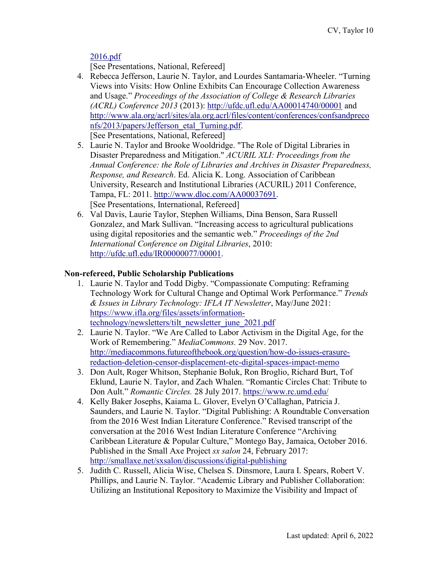[2016.pdf](http://old.libraryassessment.org/bm%7Edoc/proceedings-2016.pdf)

[See Presentations, National, Refereed]

4. Rebecca Jefferson, Laurie N. Taylor, and Lourdes Santamaria-Wheeler. "Turning Views into Visits: How Online Exhibits Can Encourage Collection Awareness and Usage." *Proceedings of the Association of College & Research Libraries (ACRL) Conference 2013* (2013): <http://ufdc.ufl.edu/AA00014740/00001> and [http://www.ala.org/acrl/sites/ala.org.acrl/files/content/conferences/confsandpreco](http://www.ala.org/acrl/sites/ala.org.acrl/files/content/conferences/confsandpreconfs/2013/papers/Jefferson_etal_Turning.pdf) [nfs/2013/papers/Jefferson\\_etal\\_Turning.pdf.](http://www.ala.org/acrl/sites/ala.org.acrl/files/content/conferences/confsandpreconfs/2013/papers/Jefferson_etal_Turning.pdf) [See Presentations, National, Refereed]

- 5. Laurie N. Taylor and Brooke Wooldridge. "The Role of Digital Libraries in Disaster Preparedness and Mitigation." *ACURIL XLI: Proceedings from the Annual Conference: the Role of Libraries and Archives in Disaster Preparedness, Response, and Research*. Ed. Alicia K. Long. Association of Caribbean University, Research and Institutional Libraries (ACURIL) 2011 Conference, Tampa, FL: 2011. [http://www.dloc.com/AA00037691.](http://www.dloc.com/AA00037691) [See Presentations, International, Refereed]
- 6. Val Davis, Laurie Taylor, Stephen Williams, Dina Benson, Sara Russell Gonzalez, and Mark Sullivan. "Increasing access to agricultural publications using digital repositories and the semantic web." *Proceedings of the 2nd International Conference on Digital Libraries*, 2010: [http://ufdc.ufl.edu/IR00000077/00001.](http://ufdc.ufl.edu/IR00000077/00001)

## **Non-refereed, Public Scholarship Publications**

- 1. Laurie N. Taylor and Todd Digby. "Compassionate Computing: Reframing Technology Work for Cultural Change and Optimal Work Performance." *Trends & Issues in Library Technology: IFLA IT Newsletter*, May/June 2021: [https://www.ifla.org/files/assets/information](https://www.ifla.org/files/assets/information-technology/newsletters/tilt_newsletter_june_2021.pdf)[technology/newsletters/tilt\\_newsletter\\_june\\_2021.pdf](https://www.ifla.org/files/assets/information-technology/newsletters/tilt_newsletter_june_2021.pdf)
- 2. Laurie N. Taylor. "We Are Called to Labor Activism in the Digital Age, for the Work of Remembering." *MediaCommons.* 29 Nov. 2017. [http://mediacommons.futureofthebook.org/question/how-do-issues-erasure](http://mediacommons.futureofthebook.org/question/how-do-issues-erasure-redaction-deletion-censor-displacement-etc-digital-spaces-impact-memo)[redaction-deletion-censor-displacement-etc-digital-spaces-impact-memo](http://mediacommons.futureofthebook.org/question/how-do-issues-erasure-redaction-deletion-censor-displacement-etc-digital-spaces-impact-memo)
- 3. Don Ault, Roger Whitson, Stephanie Boluk, Ron Broglio, Richard Burt, Tof Eklund, Laurie N. Taylor, and Zach Whalen. "Romantic Circles Chat: Tribute to Don Ault." *Romantic Circles.* 28 July 2017.<https://www.rc.umd.edu/>
- 4. Kelly Baker Josephs, Kaiama L. Glover, Evelyn O'Callaghan, Patricia J. Saunders, and Laurie N. Taylor. "Digital Publishing: A Roundtable Conversation from the 2016 West Indian Literature Conference." Revised transcript of the conversation at the 2016 West Indian Literature Conference "Archiving Caribbean Literature & Popular Culture," Montego Bay, Jamaica, October 2016. Published in the Small Axe Project *sx salon* 24, February 2017: <http://smallaxe.net/sxsalon/discussions/digital-publishing>
- 5. Judith C. Russell, Alicia Wise, Chelsea S. Dinsmore, Laura I. Spears, Robert V. Phillips, and Laurie N. Taylor. "Academic Library and Publisher Collaboration: Utilizing an Institutional Repository to Maximize the Visibility and Impact of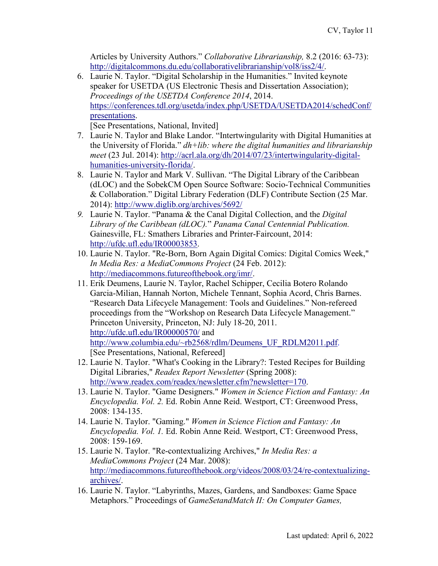Articles by University Authors." *Collaborative Librarianship,* 8.2 (2016: 63-73): [http://digitalcommons.du.edu/collaborativelibrarianship/vol8/iss2/4/.](http://digitalcommons.du.edu/collaborativelibrarianship/vol8/iss2/4/)

6. Laurie N. Taylor. "Digital Scholarship in the Humanities." Invited keynote speaker for USETDA (US Electronic Thesis and Dissertation Association); *Proceedings of the USETDA Conference 2014*, 2014. [https://conferences.tdl.org/usetda/index.php/USETDA/USETDA2014/schedConf/](https://conferences.tdl.org/usetda/index.php/USETDA/USETDA2014/schedConf/presentations) [presentations.](https://conferences.tdl.org/usetda/index.php/USETDA/USETDA2014/schedConf/presentations)

[See Presentations, National, Invited]

- 7. Laurie N. Taylor and Blake Landor. "Intertwingularity with Digital Humanities at the University of Florida." *dh+lib: where the digital humanities and librarianship meet* (23 Jul. 2014): [http://acrl.ala.org/dh/2014/07/23/intertwingularity-digital](http://acrl.ala.org/dh/2014/07/23/intertwingularity-digital-humanities-university-florida/)[humanities-university-florida/.](http://acrl.ala.org/dh/2014/07/23/intertwingularity-digital-humanities-university-florida/)
- 8. Laurie N. Taylor and Mark V. Sullivan. "The Digital Library of the Caribbean (dLOC) and the SobekCM Open Source Software: Socio-Technical Communities & Collaboration." Digital Library Federation (DLF) Contribute Section (25 Mar. 2014):<http://www.diglib.org/archives/5692/>
- *9.* Laurie N. Taylor. "Panama & the Canal Digital Collection, and the *Digital Library of the Caribbean (dLOC).*" *Panama Canal Centennial Publication.*  Gainesville, FL: Smathers Libraries and Printer-Faircount, 2014: [http://ufdc.ufl.edu/IR00003853.](http://ufdc.ufl.edu/IR00003853)
- 10. Laurie N. Taylor. "Re-Born, Born Again Digital Comics: Digital Comics Week," *In Media Res: a MediaCommons Project* (24 Feb. 2012): [http://mediacommons.futureofthebook.org/imr/.](http://mediacommons.futureofthebook.org/imr/)
- 11. Erik Deumens, Laurie N. Taylor, Rachel Schipper, Cecilia Botero Rolando Garcia-Milian, Hannah Norton, Michele Tennant, Sophia Acord, Chris Barnes. "Research Data Lifecycle Management: Tools and Guidelines." Non-refereed proceedings from the "Workshop on Research Data Lifecycle Management." Princeton University, Princeton, NJ: July 18-20, 2011. <http://ufdc.ufl.edu/IR00000570/> and [http://www.columbia.edu/~rb2568/rdlm/Deumens\\_UF\\_RDLM2011.pdf.](http://www.columbia.edu/%7Erb2568/rdlm/Deumens_UF_RDLM2011.pdf) [See Presentations, National, Refereed]
- 12. Laurie N. Taylor. "What's Cooking in the Library?: Tested Recipes for Building Digital Libraries," *Readex Report Newsletter* (Spring 2008): [http://www.readex.com/readex/newsletter.cfm?newsletter=170.](http://www.readex.com/readex/newsletter.cfm?newsletter=170)
- 13. Laurie N. Taylor. "Game Designers." *Women in Science Fiction and Fantasy: An Encyclopedia. Vol. 2.* Ed. Robin Anne Reid. Westport, CT: Greenwood Press, 2008: 134-135.
- 14. Laurie N. Taylor. "Gaming." *Women in Science Fiction and Fantasy: An Encyclopedia. Vol. 1.* Ed. Robin Anne Reid. Westport, CT: Greenwood Press, 2008: 159-169.
- 15. Laurie N. Taylor. "Re-contextualizing Archives," *In Media Res: a MediaCommons Project* (24 Mar. 2008): [http://mediacommons.futureofthebook.org/videos/2008/03/24/re-contextualizing](http://mediacommons.futureofthebook.org/videos/2008/03/24/re-contextualizing-archives/)[archives/.](http://mediacommons.futureofthebook.org/videos/2008/03/24/re-contextualizing-archives/)
- 16. Laurie N. Taylor. "Labyrinths, Mazes, Gardens, and Sandboxes: Game Space Metaphors." Proceedings of *GameSetandMatch II: On Computer Games,*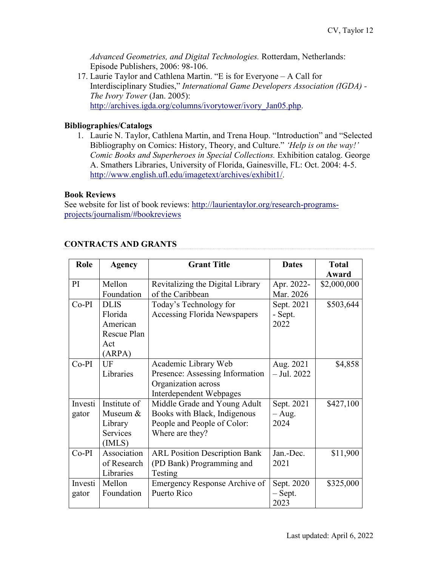*Advanced Geometries, and Digital Technologies.* Rotterdam, Netherlands: Episode Publishers, 2006: 98-106.

17. Laurie Taylor and Cathlena Martin. "E is for Everyone – A Call for Interdisciplinary Studies," *[International Game Developers Association \(IGDA\) -](http://www.igda.org/columns/ivorytower/ivory_Jan05.php) [The Ivory Tower](http://www.igda.org/columns/ivorytower/ivory_Jan05.php)* (Jan. 2005): [http://archives.igda.org/columns/ivorytower/ivory\\_Jan05.php.](http://archives.igda.org/columns/ivorytower/ivory_Jan05.php)

### **Bibliographies/Catalogs**

1. Laurie N. Taylor, Cathlena Martin, and Trena Houp. "Introduction" and "Selected Bibliography on Comics: History, Theory, and Culture." *'Help is on the way!' Comic Books and Superheroes in Special Collections.* Exhibition catalog. George A. Smathers Libraries, University of Florida, Gainesville, FL: Oct. 2004: 4-5. [http://www.english.ufl.edu/imagetext/archives/exhibit1/.](http://www.english.ufl.edu/imagetext/archives/exhibit1/)

### **Book Reviews**

See website for list of book reviews: [http://laurientaylor.org/research-programs](http://laurientaylor.org/research-programs-projects/journalism/#bookreviews)[projects/journalism/#bookreviews](http://laurientaylor.org/research-programs-projects/journalism/#bookreviews)

| Role    | <b>Agency</b>   | <b>Grant Title</b>                   | <b>Dates</b>  | <b>Total</b> |
|---------|-----------------|--------------------------------------|---------------|--------------|
|         |                 |                                      |               | Award        |
| PI      | Mellon          | Revitalizing the Digital Library     | Apr. 2022-    | \$2,000,000  |
|         | Foundation      | of the Caribbean                     | Mar. 2026     |              |
| $Co-PI$ | <b>DLIS</b>     | Today's Technology for               | Sept. 2021    | \$503,644    |
|         | Florida         | <b>Accessing Florida Newspapers</b>  | - Sept.       |              |
|         | American        |                                      | 2022          |              |
|         | Rescue Plan     |                                      |               |              |
|         | Act             |                                      |               |              |
|         | (ARPA)          |                                      |               |              |
| $Co-PI$ | UF              | Academic Library Web                 | Aug. 2021     | \$4,858      |
|         | Libraries       | Presence: Assessing Information      | $-$ Jul. 2022 |              |
|         |                 | Organization across                  |               |              |
|         |                 | Interdependent Webpages              |               |              |
| Investi | Institute of    | Middle Grade and Young Adult         | Sept. 2021    | \$427,100    |
| gator   | Museum &        | Books with Black, Indigenous         | $- Aug.$      |              |
|         | Library         | People and People of Color:          | 2024          |              |
|         | <b>Services</b> | Where are they?                      |               |              |
|         | (IMLS)          |                                      |               |              |
| $Co-PI$ | Association     | <b>ARL Position Description Bank</b> | Jan.-Dec.     | \$11,900     |
|         | of Research     | (PD Bank) Programming and            | 2021          |              |
|         | Libraries       | Testing                              |               |              |
| Investi | Mellon          | Emergency Response Archive of        | Sept. 2020    | \$325,000    |
| gator   | Foundation      | Puerto Rico                          | $-$ Sept.     |              |
|         |                 |                                      | 2023          |              |

# **CONTRACTS AND GRANTS**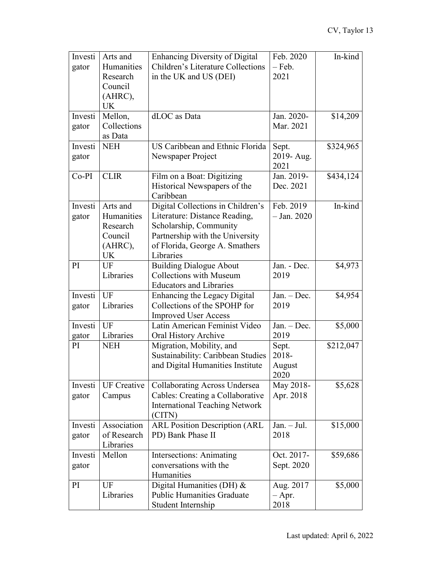| Investi       | Arts and                | <b>Enhancing Diversity of Digital</b>                                 | Feb. 2020      | In-kind   |
|---------------|-------------------------|-----------------------------------------------------------------------|----------------|-----------|
| gator         | Humanities              | Children's Literature Collections                                     | – Feb.         |           |
|               | Research                | in the UK and US (DEI)                                                | 2021           |           |
|               | Council                 |                                                                       |                |           |
|               | (AHRC),                 |                                                                       |                |           |
|               | <b>UK</b>               |                                                                       |                |           |
| Investi       | Mellon,                 | dLOC as Data                                                          | Jan. 2020-     | \$14,209  |
| gator         | Collections             |                                                                       | Mar. 2021      |           |
|               | as Data                 |                                                                       |                |           |
| Investi       | <b>NEH</b>              | US Caribbean and Ethnic Florida                                       | Sept.          | \$324,965 |
| gator         |                         | Newspaper Project                                                     | 2019- Aug.     |           |
|               |                         |                                                                       | 2021           |           |
| $Co-PI$       | <b>CLIR</b>             | Film on a Boat: Digitizing                                            | Jan. 2019-     | \$434,124 |
|               |                         | Historical Newspapers of the                                          | Dec. 2021      |           |
|               |                         | Caribbean                                                             |                |           |
| Investi       | Arts and                | Digital Collections in Children's                                     | Feb. 2019      | In-kind   |
| gator         | Humanities              | Literature: Distance Reading,                                         | $-$ Jan. 2020  |           |
|               | Research                | Scholarship, Community                                                |                |           |
|               | Council                 | Partnership with the University                                       |                |           |
|               | (AHRC),                 | of Florida, George A. Smathers                                        |                |           |
|               | <b>UK</b>               | Libraries                                                             |                |           |
| PI            | UF                      | <b>Building Dialogue About</b>                                        | Jan. - Dec.    | \$4,973   |
|               | Libraries               | <b>Collections with Museum</b>                                        | 2019           |           |
|               |                         | <b>Educators and Libraries</b>                                        |                |           |
| Investi       | UF                      | Enhancing the Legacy Digital                                          | Jan. - Dec.    | \$4,954   |
| gator         | Libraries               | Collections of the SPOHP for                                          | 2019           |           |
|               | UF                      | <b>Improved User Access</b>                                           |                |           |
| Investi       |                         | Latin American Feminist Video                                         | $Jan. - Dec.$  | \$5,000   |
| gator<br>PI   | Libraries<br><b>NEH</b> | Oral History Archive                                                  | 2019           |           |
|               |                         | Migration, Mobility, and                                              | Sept.<br>2018- | \$212,047 |
|               |                         | Sustainability: Caribbean Studies<br>and Digital Humanities Institute |                |           |
|               |                         |                                                                       | August<br>2020 |           |
| Investi       | <b>UF</b> Creative      | <b>Collaborating Across Undersea</b>                                  | May 2018-      | \$5,628   |
| gator         | Campus                  | Cables: Creating a Collaborative                                      | Apr. 2018      |           |
|               |                         | <b>International Teaching Network</b>                                 |                |           |
|               |                         | (CITN)                                                                |                |           |
| Investi       | Association             | <b>ARL Position Description (ARL</b>                                  | $Jan. - Jul.$  | \$15,000  |
| gator         | of Research             | PD) Bank Phase II                                                     | 2018           |           |
|               | Libraries               |                                                                       |                |           |
| Investi       | Mellon                  | Intersections: Animating                                              | Oct. 2017-     | \$59,686  |
| gator         |                         | conversations with the                                                | Sept. 2020     |           |
|               |                         | Humanities                                                            |                |           |
| <sub>PI</sub> | UF                      | Digital Humanities (DH) &                                             | Aug. 2017      | \$5,000   |
|               | Libraries               | <b>Public Humanities Graduate</b>                                     | $-$ Apr.       |           |
|               |                         | Student Internship                                                    | 2018           |           |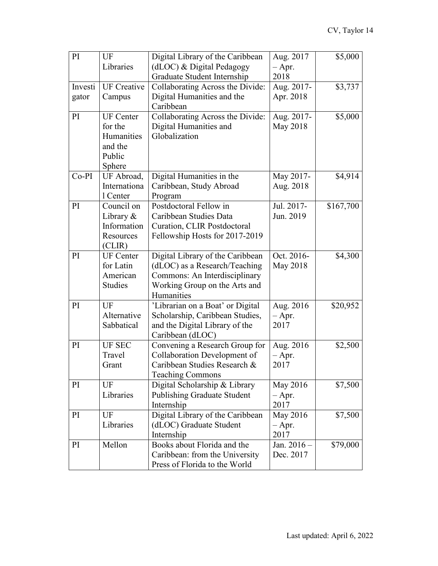| PI      | UF                 | Digital Library of the Caribbean   | Aug. 2017   | \$5,000   |
|---------|--------------------|------------------------------------|-------------|-----------|
|         | Libraries          | (dLOC) & Digital Pedagogy          | $-$ Apr.    |           |
|         |                    | Graduate Student Internship        | 2018        |           |
| Investi | <b>UF</b> Creative | Collaborating Across the Divide:   | Aug. 2017-  | \$3,737   |
| gator   | Campus             | Digital Humanities and the         | Apr. 2018   |           |
|         |                    | Caribbean                          |             |           |
| PI      | <b>UF</b> Center   | Collaborating Across the Divide:   | Aug. 2017-  | \$5,000   |
|         | for the            | Digital Humanities and             | May 2018    |           |
|         | Humanities         | Globalization                      |             |           |
|         | and the            |                                    |             |           |
|         | Public             |                                    |             |           |
|         | Sphere             |                                    |             |           |
| $Co-PI$ | UF Abroad,         | Digital Humanities in the          | May 2017-   | \$4,914   |
|         | Internationa       | Caribbean, Study Abroad            | Aug. 2018   |           |
|         | 1 Center           | Program                            |             |           |
| PI      | Council on         | Postdoctoral Fellow in             | Jul. 2017-  | \$167,700 |
|         | Library $&$        | Caribbean Studies Data             | Jun. 2019   |           |
|         | Information        | <b>Curation, CLIR Postdoctoral</b> |             |           |
|         | Resources          | Fellowship Hosts for 2017-2019     |             |           |
|         | (CLIR)             |                                    |             |           |
| PI      | <b>UF</b> Center   | Digital Library of the Caribbean   | Oct. 2016-  | \$4,300   |
|         | for Latin          | (dLOC) as a Research/Teaching      | May 2018    |           |
|         | American           | Commons: An Interdisciplinary      |             |           |
|         | <b>Studies</b>     | Working Group on the Arts and      |             |           |
|         |                    | Humanities                         |             |           |
| PI      | UF                 | 'Librarian on a Boat' or Digital   | Aug. 2016   | \$20,952  |
|         | Alternative        | Scholarship, Caribbean Studies,    | $-$ Apr.    |           |
|         | Sabbatical         | and the Digital Library of the     | 2017        |           |
|         |                    | Caribbean (dLOC)                   |             |           |
| PI      | <b>UF SEC</b>      | Convening a Research Group for     | Aug. 2016   | \$2,500   |
|         | Travel             | Collaboration Development of       | $-$ Apr.    |           |
|         | Grant              | Caribbean Studies Research &       | 2017        |           |
|         |                    | <b>Teaching Commons</b>            |             |           |
| PI      | UF                 | Digital Scholarship & Library      | May 2016    | \$7,500   |
|         | Libraries          | <b>Publishing Graduate Student</b> | $-$ Apr.    |           |
|         |                    | Internship                         | 2017        |           |
| PI      | UF                 | Digital Library of the Caribbean   | May 2016    | \$7,500   |
|         | Libraries          | (dLOC) Graduate Student            | $-$ Apr.    |           |
|         |                    | Internship                         | 2017        |           |
| PI      | Mellon             | Books about Florida and the        | Jan. 2016 - | \$79,000  |
|         |                    | Caribbean: from the University     | Dec. 2017   |           |
|         |                    | Press of Florida to the World      |             |           |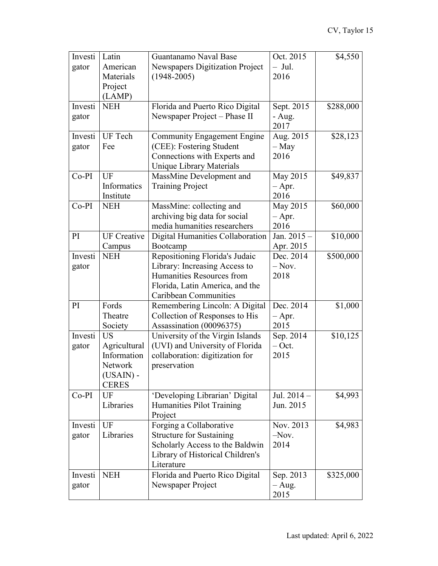| Investi | Latin                       | Guantanamo Naval Base              | Oct. 2015   | \$4,550   |
|---------|-----------------------------|------------------------------------|-------------|-----------|
| gator   | American                    | Newspapers Digitization Project    | $-$ Jul.    |           |
|         | Materials                   | $(1948 - 2005)$                    | 2016        |           |
|         | Project                     |                                    |             |           |
|         | (LAMP)                      |                                    |             |           |
| Investi | <b>NEH</b>                  | Florida and Puerto Rico Digital    | Sept. 2015  | \$288,000 |
| gator   |                             | Newspaper Project - Phase II       | - Aug.      |           |
|         |                             |                                    | 2017        |           |
| Investi | UF Tech                     | <b>Community Engagement Engine</b> | Aug. 2015   | \$28,123  |
| gator   | Fee                         | (CEE): Fostering Student           | $-$ May     |           |
|         |                             | Connections with Experts and       | 2016        |           |
|         |                             | Unique Library Materials           |             |           |
| $Co-PI$ | UF                          | MassMine Development and           | May 2015    | \$49,837  |
|         | Informatics                 | <b>Training Project</b>            | $-$ Apr.    |           |
|         | Institute                   |                                    | 2016        |           |
| $Co-PI$ | <b>NEH</b>                  | MassMine: collecting and           | May 2015    | \$60,000  |
|         |                             | archiving big data for social      | $-$ Apr.    |           |
|         |                             | media humanities researchers       | 2016        |           |
| PI      | <b>UF</b> Creative          | Digital Humanities Collaboration   | Jan. 2015 - | \$10,000  |
|         | Campus                      | Bootcamp                           | Apr. 2015   |           |
| Investi | <b>NEH</b>                  | Repositioning Florida's Judaic     | Dec. 2014   | \$500,000 |
| gator   |                             | Library: Increasing Access to      | $-$ Nov.    |           |
|         |                             | Humanities Resources from          | 2018        |           |
|         |                             | Florida, Latin America, and the    |             |           |
|         |                             | Caribbean Communities              |             |           |
| PI      | Fords                       | Remembering Lincoln: A Digital     | Dec. 2014   | \$1,000   |
|         | Theatre                     | Collection of Responses to His     | $-$ Apr.    |           |
|         | Society                     | Assassination (00096375)           | 2015        |           |
| Investi | <b>US</b>                   | University of the Virgin Islands   | Sep. 2014   | \$10,125  |
| gator   | Agricultural                | (UVI) and University of Florida    | $-$ Oct.    |           |
|         | Information                 | collaboration: digitization for    | 2015        |           |
|         | Network                     | preservation                       |             |           |
|         | $(USAIN)$ -<br><b>CERES</b> |                                    |             |           |
| $Co-PI$ | UF                          | 'Developing Librarian' Digital     | Jul. 2014-  | \$4,993   |
|         | Libraries                   | Humanities Pilot Training          | Jun. 2015   |           |
|         |                             | Project                            |             |           |
| Investi | UF                          | Forging a Collaborative            | Nov. 2013   | \$4,983   |
| gator   | Libraries                   | <b>Structure for Sustaining</b>    | $-Nov.$     |           |
|         |                             | Scholarly Access to the Baldwin    | 2014        |           |
|         |                             | Library of Historical Children's   |             |           |
|         |                             | Literature                         |             |           |
| Investi | <b>NEH</b>                  | Florida and Puerto Rico Digital    | Sep. 2013   | \$325,000 |
| gator   |                             | Newspaper Project                  | $-$ Aug.    |           |
|         |                             |                                    | 2015        |           |
|         |                             |                                    |             |           |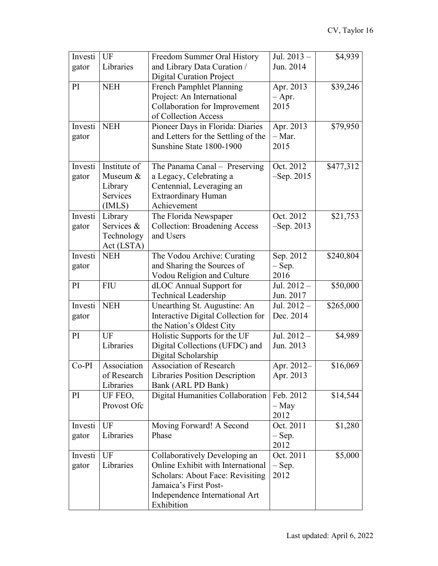| Investi | UF              | Freedom Summer Oral History           | Jul. 2013-    | \$4,939   |
|---------|-----------------|---------------------------------------|---------------|-----------|
| gator   | Libraries       | and Library Data Curation /           | Jun. 2014     |           |
|         |                 | <b>Digital Curation Project</b>       |               |           |
| PI      | <b>NEH</b>      | <b>French Pamphlet Planning</b>       | Apr. 2013     | \$39,246  |
|         |                 | Project: An International             | $-$ Apr.      |           |
|         |                 | Collaboration for Improvement         | 2015          |           |
|         |                 | of Collection Access                  |               |           |
| Investi | <b>NEH</b>      | Pioneer Days in Florida: Diaries      | Apr. 2013     | \$79,950  |
| gator   |                 | and Letters for the Settling of the   | $-$ Mar.      |           |
|         |                 | Sunshine State 1800-1900              | 2015          |           |
|         |                 |                                       |               |           |
| Investi | Institute of    | The Panama Canal – Preserving         | Oct. 2012     | \$477,312 |
| gator   | Museum &        | a Legacy, Celebrating a               | $-$ Sep. 2015 |           |
|         | Library         | Centennial, Leveraging an             |               |           |
|         | <b>Services</b> | <b>Extraordinary Human</b>            |               |           |
|         | (IMLS)          | Achievement                           |               |           |
| Investi | Library         | The Florida Newspaper                 | Oct. 2012     | \$21,753  |
| gator   | Services &      | <b>Collection: Broadening Access</b>  | $-$ Sep. 2013 |           |
|         | Technology      | and Users                             |               |           |
|         | Act (LSTA)      |                                       |               |           |
| Investi | <b>NEH</b>      | The Vodou Archive: Curating           | Sep. 2012     | \$240,804 |
|         |                 | and Sharing the Sources of            | $-$ Sep.      |           |
| gator   |                 |                                       | 2016          |           |
|         |                 | Vodou Religion and Culture            |               |           |
| PI      | <b>FIU</b>      | dLOC Annual Support for               | Jul. 2012 -   | \$50,000  |
|         |                 | <b>Technical Leadership</b>           | Jun. 2017     |           |
| Investi | <b>NEH</b>      | Unearthing St. Augustine: An          | Jul. 2012-    | \$265,000 |
| gator   |                 | Interactive Digital Collection for    | Dec. 2014     |           |
|         |                 | the Nation's Oldest City              |               |           |
| PI      | UF              | Holistic Supports for the UF          | Jul. 2012 -   | \$4,989   |
|         | Libraries       | Digital Collections (UFDC) and        | Jun. 2013     |           |
|         |                 | Digital Scholarship                   |               |           |
| $Co-PI$ | Association     | <b>Association of Research</b>        | Apr. 2012-    | \$16,069  |
|         | of Research     | <b>Libraries Position Description</b> | Apr. 2013     |           |
|         | Libraries       | Bank (ARL PD Bank)                    |               |           |
| PI      | UF FEO,         | Digital Humanities Collaboration      | Feb. 2012     | \$14,544  |
|         | Provost Ofc     |                                       | – May         |           |
|         |                 |                                       | 2012          |           |
| Investi | UF              | Moving Forward! A Second              | Oct. 2011     | \$1,280   |
| gator   | Libraries       | Phase                                 | $-$ Sep.      |           |
|         |                 |                                       | 2012          |           |
| Investi | UF              | Collaboratively Developing an         | Oct. 2011     | \$5,000   |
| gator   | Libraries       | Online Exhibit with International     | $-$ Sep.      |           |
|         |                 | Scholars: About Face: Revisiting      | 2012          |           |
|         |                 | Jamaica's First Post-                 |               |           |
|         |                 | Independence International Art        |               |           |
|         |                 | Exhibition                            |               |           |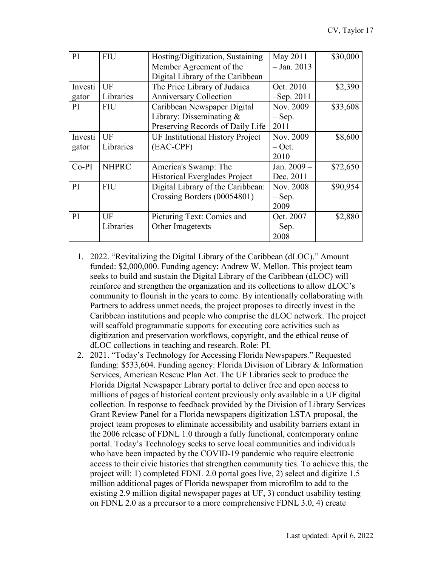| PI      | <b>FIU</b>   | Hosting/Digitization, Sustaining        | May 2011      | \$30,000 |
|---------|--------------|-----------------------------------------|---------------|----------|
|         |              | Member Agreement of the                 | $-$ Jan. 2013 |          |
|         |              | Digital Library of the Caribbean        |               |          |
| Investi | UF           | The Price Library of Judaica            | Oct. 2010     | \$2,390  |
| gator   | Libraries    | <b>Anniversary Collection</b>           | $-$ Sep. 2011 |          |
| PI      | <b>FIU</b>   | Caribbean Newspaper Digital             | Nov. 2009     | \$33,608 |
|         |              | Library: Disseminating $&$              | $-$ Sep.      |          |
|         |              | Preserving Records of Daily Life        | 2011          |          |
| Investi | UF           | <b>UF Institutional History Project</b> | Nov. 2009     | \$8,600  |
| gator   | Libraries    | (EAC-CPF)                               | $-$ Oct.      |          |
|         |              |                                         | 2010          |          |
| $Co-PI$ | <b>NHPRC</b> | America's Swamp: The                    | Jan. 2009 -   | \$72,650 |
|         |              | Historical Everglades Project           | Dec. 2011     |          |
| PI      | <b>FIU</b>   | Digital Library of the Caribbean:       | Nov. 2008     | \$90,954 |
|         |              | Crossing Borders (00054801)             | $-$ Sep.      |          |
|         |              |                                         | 2009          |          |
| PI      | UF           | Picturing Text: Comics and              | Oct. 2007     | \$2,880  |
|         | Libraries    | Other Imagetexts                        | $-$ Sep.      |          |
|         |              |                                         | 2008          |          |

- 1. 2022. "Revitalizing the Digital Library of the Caribbean (dLOC)." Amount funded: \$2,000,000. Funding agency: Andrew W. Mellon. This project team seeks to build and sustain the Digital Library of the Caribbean (dLOC) will reinforce and strengthen the organization and its collections to allow dLOC's community to flourish in the years to come. By intentionally collaborating with Partners to address unmet needs, the project proposes to directly invest in the Caribbean institutions and people who comprise the dLOC network. The project will scaffold programmatic supports for executing core activities such as digitization and preservation workflows, copyright, and the ethical reuse of dLOC collections in teaching and research. Role: PI.
- 2. 2021. "Today's Technology for Accessing Florida Newspapers." Requested funding: \$533,604. Funding agency: Florida Division of Library & Information Services, American Rescue Plan Act. The UF Libraries seek to produce the Florida Digital Newspaper Library portal to deliver free and open access to millions of pages of historical content previously only available in a UF digital collection. In response to feedback provided by the Division of Library Services Grant Review Panel for a Florida newspapers digitization LSTA proposal, the project team proposes to eliminate accessibility and usability barriers extant in the 2006 release of FDNL 1.0 through a fully functional, contemporary online portal. Today's Technology seeks to serve local communities and individuals who have been impacted by the COVID-19 pandemic who require electronic access to their civic histories that strengthen community ties. To achieve this, the project will: 1) completed FDNL 2.0 portal goes live, 2) select and digitize 1.5 million additional pages of Florida newspaper from microfilm to add to the existing 2.9 million digital newspaper pages at UF, 3) conduct usability testing on FDNL 2.0 as a precursor to a more comprehensive FDNL 3.0, 4) create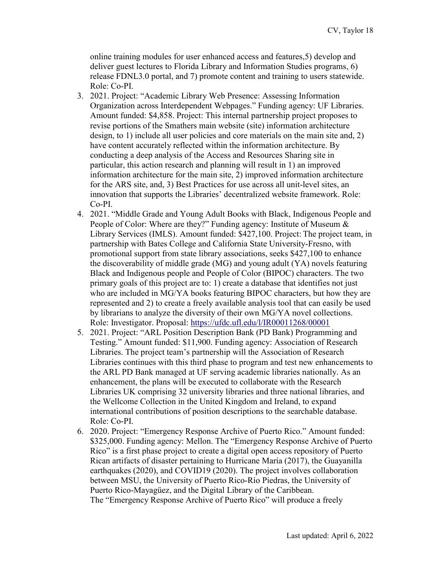online training modules for user enhanced access and features,5) develop and deliver guest lectures to Florida Library and Information Studies programs, 6) release FDNL3.0 portal, and 7) promote content and training to users statewide. Role: Co-PI.

- 3. 2021. Project: "Academic Library Web Presence: Assessing Information Organization across Interdependent Webpages." Funding agency: UF Libraries. Amount funded: \$4,858. Project: This internal partnership project proposes to revise portions of the Smathers main website (site) information architecture design, to 1) include all user policies and core materials on the main site and, 2) have content accurately reflected within the information architecture. By conducting a deep analysis of the Access and Resources Sharing site in particular, this action research and planning will result in 1) an improved information architecture for the main site, 2) improved information architecture for the ARS site, and, 3) Best Practices for use across all unit-level sites, an innovation that supports the Libraries' decentralized website framework. Role: Co-PI.
- 4. 2021. "Middle Grade and Young Adult Books with Black, Indigenous People and People of Color: Where are they?" Funding agency: Institute of Museum & Library Services (IMLS). Amount funded: \$427,100. Project: The project team, in partnership with Bates College and California State University-Fresno, with promotional support from state library associations, seeks \$427,100 to enhance the discoverability of middle grade (MG) and young adult (YA) novels featuring Black and Indigenous people and People of Color (BIPOC) characters. The two primary goals of this project are to: 1) create a database that identifies not just who are included in MG/YA books featuring BIPOC characters, but how they are represented and 2) to create a freely available analysis tool that can easily be used by librarians to analyze the diversity of their own MG/YA novel collections. Role: Investigator. Proposal:<https://ufdc.ufl.edu/l/IR00011268/00001>
- 5. 2021. Project: "ARL Position Description Bank (PD Bank) Programming and Testing." Amount funded: \$11,900. Funding agency: Association of Research Libraries. The project team's partnership will the Association of Research Libraries continues with this third phase to program and test new enhancements to the ARL PD Bank managed at UF serving academic libraries nationally. As an enhancement, the plans will be executed to collaborate with the Research Libraries UK comprising 32 university libraries and three national libraries, and the Wellcome Collection in the United Kingdom and Ireland, to expand international contributions of position descriptions to the searchable database. Role: Co-PI.
- 6. 2020. Project: "Emergency Response Archive of Puerto Rico." Amount funded: \$325,000. Funding agency: Mellon. The "Emergency Response Archive of Puerto Rico" is a first phase project to create a digital open access repository of Puerto Rican artifacts of disaster pertaining to Hurricane María (2017), the Guayanilla earthquakes (2020), and COVID19 (2020). The project involves collaboration between MSU, the University of Puerto Rico-Río Piedras, the University of Puerto Rico-Mayagüez, and the Digital Library of the Caribbean. The "Emergency Response Archive of Puerto Rico" will produce a freely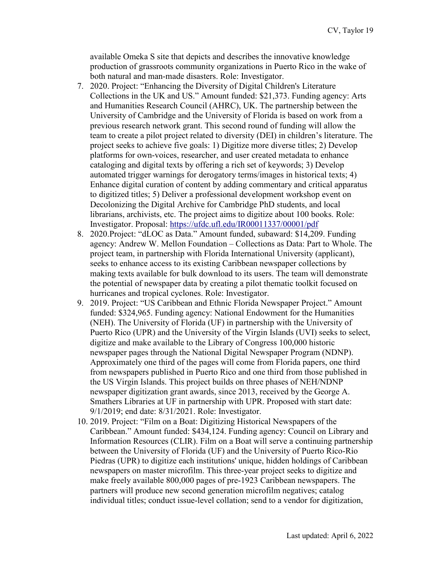available Omeka S site that depicts and describes the innovative knowledge production of grassroots community organizations in Puerto Rico in the wake of both natural and man-made disasters. Role: Investigator.

- 7. 2020. Project: "Enhancing the Diversity of Digital Children's Literature Collections in the UK and US." Amount funded: \$21,373. Funding agency: Arts and Humanities Research Council (AHRC), UK. The partnership between the University of Cambridge and the University of Florida is based on work from a previous research network grant. This second round of funding will allow the team to create a pilot project related to diversity (DEI) in children's literature. The project seeks to achieve five goals: 1) Digitize more diverse titles; 2) Develop platforms for own-voices, researcher, and user created metadata to enhance cataloging and digital texts by offering a rich set of keywords; 3) Develop automated trigger warnings for derogatory terms/images in historical texts; 4) Enhance digital curation of content by adding commentary and critical apparatus to digitized titles; 5) Deliver a professional development workshop event on Decolonizing the Digital Archive for Cambridge PhD students, and local librarians, archivists, etc. The project aims to digitize about 100 books. Role: Investigator. Proposal:<https://ufdc.ufl.edu/IR00011337/00001/pdf>
- 8. 2020.Project: "dLOC as Data." Amount funded, subaward: \$14,209. Funding agency: Andrew W. Mellon Foundation – Collections as Data: Part to Whole. The project team, in partnership with Florida International University (applicant), seeks to enhance access to its existing Caribbean newspaper collections by making texts available for bulk download to its users. The team will demonstrate the potential of newspaper data by creating a pilot thematic toolkit focused on hurricanes and tropical cyclones. Role: Investigator.
- 9. 2019. Project: "US Caribbean and Ethnic Florida Newspaper Project." Amount funded: \$324,965. Funding agency: National Endowment for the Humanities (NEH). The University of Florida (UF) in partnership with the University of Puerto Rico (UPR) and the University of the Virgin Islands (UVI) seeks to select, digitize and make available to the Library of Congress 100,000 historic newspaper pages through the National Digital Newspaper Program (NDNP). Approximately one third of the pages will come from Florida papers, one third from newspapers published in Puerto Rico and one third from those published in the US Virgin Islands. This project builds on three phases of NEH/NDNP newspaper digitization grant awards, since 2013, received by the George A. Smathers Libraries at UF in partnership with UPR. Proposed with start date: 9/1/2019; end date: 8/31/2021. Role: Investigator.
- 10. 2019. Project: "Film on a Boat: Digitizing Historical Newspapers of the Caribbean." Amount funded: \$434,124. Funding agency: Council on Library and Information Resources (CLIR). Film on a Boat will serve a continuing partnership between the University of Florida (UF) and the University of Puerto Rico-Rio Piedras (UPR) to digitize each institutions' unique, hidden holdings of Caribbean newspapers on master microfilm. This three-year project seeks to digitize and make freely available 800,000 pages of pre-1923 Caribbean newspapers. The partners will produce new second generation microfilm negatives; catalog individual titles; conduct issue-level collation; send to a vendor for digitization,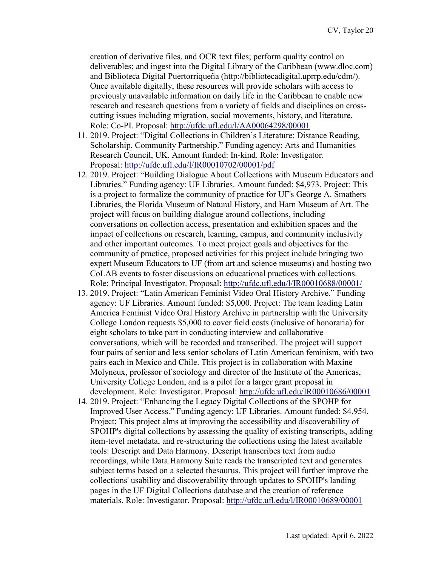creation of derivative files, and OCR text files; perform quality control on deliverables; and ingest into the Digital Library of the Caribbean (www.dloc.com) and Biblioteca Digital Puertorriqueña (http://bibliotecadigital.uprrp.edu/cdm/). Once available digitally, these resources will provide scholars with access to previously unavailable information on daily life in the Caribbean to enable new research and research questions from a variety of fields and disciplines on crosscutting issues including migration, social movements, history, and literature. Role: Co-PI. Proposal:<http://ufdc.ufl.edu/l/AA00064298/00001>

- 11. 2019. Project: "Digital Collections in Children's Literature: Distance Reading, Scholarship, Community Partnership." Funding agency: Arts and Humanities Research Council, UK. Amount funded: In-kind. Role: Investigator. Proposal:<http://ufdc.ufl.edu/l/IR00010702/00001/pdf>
- 12. 2019. Project: "Building Dialogue About Collections with Museum Educators and Libraries." Funding agency: UF Libraries. Amount funded: \$4,973. Project: This is a project to formalize the community of practice for UF's George A. Smathers Libraries, the Florida Museum of Natural History, and Harn Museum of Art. The project will focus on building dialogue around collections, including conversations on collection access, presentation and exhibition spaces and the impact of collections on research, learning, campus, and community inclusivity and other important outcomes. To meet project goals and objectives for the community of practice, proposed activities for this project include bringing two expert Museum Educators to UF (from art and science museums) and hosting two CoLAB events to foster discussions on educational practices with collections. Role: Principal Investigator. Proposal:<http://ufdc.ufl.edu/l/IR00010688/00001/>
- 13. 2019. Project: "Latin American Feminist Video Oral History Archive." Funding agency: UF Libraries. Amount funded: \$5,000. Project: The team leading Latin America Feminist Video Oral History Archive in partnership with the University College London requests \$5,000 to cover field costs (inclusive of honoraria) for eight scholars to take part in conducting interview and collaborative conversations, which will be recorded and transcribed. The project will support four pairs of senior and less senior scholars of Latin American feminism, with two pairs each in Mexico and Chile. This project is in collaboration with Maxine Molyneux, professor of sociology and director of the Institute of the Americas, University College London, and is a pilot for a larger grant proposal in development. Role: Investigator. Proposal:<http://ufdc.ufl.edu/IR00010686/00001>
- 14. 2019. Project: "Enhancing the Legacy Digital Collections of the SPOHP for Improved User Access." Funding agency: UF Libraries. Amount funded: \$4,954. Project: This project alms at improving the accessibility and discoverability of SPOHP's digital collections by assessing the quality of existing transcripts, adding item-tevel metadata, and re-structuring the collections using the latest available tools: Descript and Data Harmony. Descript transcribes text from audio recordings, while Data Harmony Suite reads the transcripted text and generates subject terms based on a selected thesaurus. This project will further improve the collections' usability and discoverability through updates to SPOHP's landing pages in the UF Digital Collections database and the creation of reference materials. Role: Investigator. Proposal:<http://ufdc.ufl.edu/l/IR00010689/00001>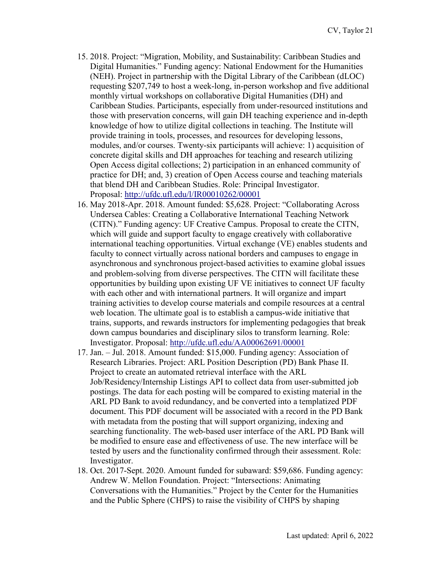- 15. 2018. Project: "Migration, Mobility, and Sustainability: Caribbean Studies and Digital Humanities." Funding agency: National Endowment for the Humanities (NEH). Project in partnership with the Digital Library of the Caribbean (dLOC) requesting \$207,749 to host a week-long, in-person workshop and five additional monthly virtual workshops on collaborative Digital Humanities (DH) and Caribbean Studies. Participants, especially from under-resourced institutions and those with preservation concerns, will gain DH teaching experience and in-depth knowledge of how to utilize digital collections in teaching. The Institute will provide training in tools, processes, and resources for developing lessons, modules, and/or courses. Twenty-six participants will achieve: 1) acquisition of concrete digital skills and DH approaches for teaching and research utilizing Open Access digital collections; 2) participation in an enhanced community of practice for DH; and, 3) creation of Open Access course and teaching materials that blend DH and Caribbean Studies. Role: Principal Investigator. Proposal:<http://ufdc.ufl.edu/l/IR00010262/00001>
- 16. May 2018-Apr. 2018. Amount funded: \$5,628. Project: "Collaborating Across Undersea Cables: Creating a Collaborative International Teaching Network (CITN)." Funding agency: UF Creative Campus. Proposal to create the CITN, which will guide and support faculty to engage creatively with collaborative international teaching opportunities. Virtual exchange (VE) enables students and faculty to connect virtually across national borders and campuses to engage in asynchronous and synchronous project-based activities to examine global issues and problem-solving from diverse perspectives. The CITN will facilitate these opportunities by building upon existing UF VE initiatives to connect UF faculty with each other and with international partners. It will organize and impart training activities to develop course materials and compile resources at a central web location. The ultimate goal is to establish a campus-wide initiative that trains, supports, and rewards instructors for implementing pedagogies that break down campus boundaries and disciplinary silos to transform learning. Role: Investigator. Proposal:<http://ufdc.ufl.edu/AA00062691/00001>
- 17. Jan. Jul. 2018. Amount funded: \$15,000. Funding agency: Association of Research Libraries. Project: ARL Position Description (PD) Bank Phase II. Project to create an automated retrieval interface with the ARL Job/Residency/Internship Listings API to collect data from user-submitted job postings. The data for each posting will be compared to existing material in the ARL PD Bank to avoid redundancy, and be converted into a templatized PDF document. This PDF document will be associated with a record in the PD Bank with metadata from the posting that will support organizing, indexing and searching functionality. The web-based user interface of the ARL PD Bank will be modified to ensure ease and effectiveness of use. The new interface will be tested by users and the functionality confirmed through their assessment. Role: Investigator.
- 18. Oct. 2017-Sept. 2020. Amount funded for subaward: \$59,686. Funding agency: Andrew W. Mellon Foundation. Project: "Intersections: Animating Conversations with the Humanities." Project by the Center for the Humanities and the Public Sphere (CHPS) to raise the visibility of CHPS by shaping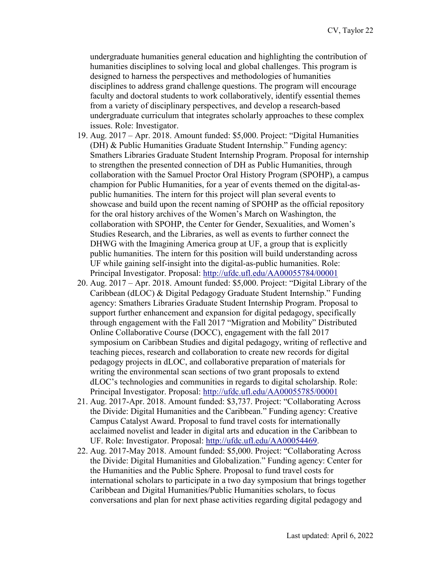undergraduate humanities general education and highlighting the contribution of humanities disciplines to solving local and global challenges. This program is designed to harness the perspectives and methodologies of humanities disciplines to address grand challenge questions. The program will encourage faculty and doctoral students to work collaboratively, identify essential themes from a variety of disciplinary perspectives, and develop a research-based undergraduate curriculum that integrates scholarly approaches to these complex issues. Role: Investigator.

- 19. Aug. 2017 Apr. 2018. Amount funded: \$5,000. Project: "Digital Humanities (DH) & Public Humanities Graduate Student Internship." Funding agency: Smathers Libraries Graduate Student Internship Program. Proposal for internship to strengthen the presented connection of DH as Public Humanities, through collaboration with the Samuel Proctor Oral History Program (SPOHP), a campus champion for Public Humanities, for a year of events themed on the digital-aspublic humanities. The intern for this project will plan several events to showcase and build upon the recent naming of SPOHP as the official repository for the oral history archives of the Women's March on Washington, the collaboration with SPOHP, the Center for Gender, Sexualities, and Women's Studies Research, and the Libraries, as well as events to further connect the DHWG with the Imagining America group at UF, a group that is explicitly public humanities. The intern for this position will build understanding across UF while gaining self-insight into the digital-as-public humanities. Role: Principal Investigator. Proposal:<http://ufdc.ufl.edu/AA00055784/00001>
- 20. Aug. 2017 Apr. 2018. Amount funded: \$5,000. Project: "Digital Library of the Caribbean (dLOC) & Digital Pedagogy Graduate Student Internship." Funding agency: Smathers Libraries Graduate Student Internship Program. Proposal to support further enhancement and expansion for digital pedagogy, specifically through engagement with the Fall 2017 "Migration and Mobility" Distributed Online Collaborative Course (DOCC), engagement with the fall 2017 symposium on Caribbean Studies and digital pedagogy, writing of reflective and teaching pieces, research and collaboration to create new records for digital pedagogy projects in dLOC, and collaborative preparation of materials for writing the environmental scan sections of two grant proposals to extend dLOC's technologies and communities in regards to digital scholarship. Role: Principal Investigator. Proposal:<http://ufdc.ufl.edu/AA00055785/00001>
- 21. Aug. 2017-Apr. 2018. Amount funded: \$3,737. Project: "Collaborating Across the Divide: Digital Humanities and the Caribbean." Funding agency: Creative Campus Catalyst Award. Proposal to fund travel costs for internationally acclaimed novelist and leader in digital arts and education in the Caribbean to UF. Role: Investigator. Proposal: [http://ufdc.ufl.edu/AA00054469.](http://ufdc.ufl.edu/AA00054469)
- 22. Aug. 2017-May 2018. Amount funded: \$5,000. Project: "Collaborating Across the Divide: Digital Humanities and Globalization." Funding agency: Center for the Humanities and the Public Sphere. Proposal to fund travel costs for international scholars to participate in a two day symposium that brings together Caribbean and Digital Humanities/Public Humanities scholars, to focus conversations and plan for next phase activities regarding digital pedagogy and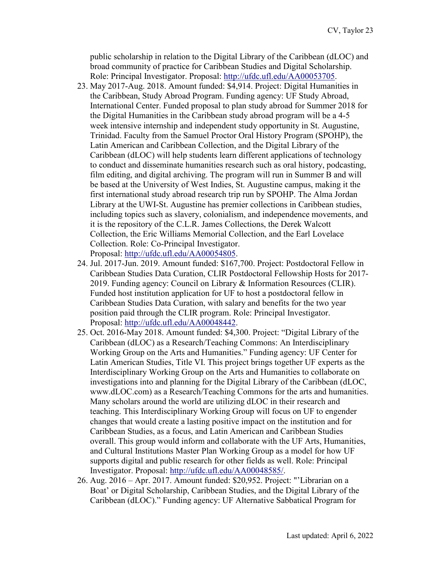public scholarship in relation to the Digital Library of the Caribbean (dLOC) and broad community of practice for Caribbean Studies and Digital Scholarship. Role: Principal Investigator. Proposal: [http://ufdc.ufl.edu/AA00053705.](http://ufdc.ufl.edu/AA00053705)

- 23. May 2017-Aug. 2018. Amount funded: \$4,914. Project: Digital Humanities in the Caribbean, Study Abroad Program. Funding agency: UF Study Abroad, International Center. Funded proposal to plan study abroad for Summer 2018 for the Digital Humanities in the Caribbean study abroad program will be a 4-5 week intensive internship and independent study opportunity in St. Augustine, Trinidad. Faculty from the Samuel Proctor Oral History Program (SPOHP), the Latin American and Caribbean Collection, and the Digital Library of the Caribbean (dLOC) will help students learn different applications of technology to conduct and disseminate humanities research such as oral history, podcasting, film editing, and digital archiving. The program will run in Summer B and will be based at the University of West Indies, St. Augustine campus, making it the first international study abroad research trip run by SPOHP. The Alma Jordan Library at the UWI-St. Augustine has premier collections in Caribbean studies, including topics such as slavery, colonialism, and independence movements, and it is the repository of the C.L.R. James Collections, the Derek Walcott Collection, the Eric Williams Memorial Collection, and the Earl Lovelace Collection. Role: Co-Principal Investigator. Proposal: [http://ufdc.ufl.edu/AA00054805.](http://ufdc.ufl.edu/AA00054805)
- 24. Jul. 2017-Jun. 2019. Amount funded: \$167,700. Project: Postdoctoral Fellow in Caribbean Studies Data Curation, CLIR Postdoctoral Fellowship Hosts for 2017- 2019. Funding agency: Council on Library & Information Resources (CLIR). Funded host institution application for UF to host a postdoctoral fellow in Caribbean Studies Data Curation, with salary and benefits for the two year position paid through the CLIR program. Role: Principal Investigator. Proposal: [http://ufdc.ufl.edu/AA00048442.](http://ufdc.ufl.edu/AA00048442)
- 25. Oct. 2016-May 2018. Amount funded: \$4,300. Project: "Digital Library of the Caribbean (dLOC) as a Research/Teaching Commons: An Interdisciplinary Working Group on the Arts and Humanities." Funding agency: UF Center for Latin American Studies, Title VI. This project brings together UF experts as the Interdisciplinary Working Group on the Arts and Humanities to collaborate on investigations into and planning for the Digital Library of the Caribbean (dLOC, www.dLOC.com) as a Research/Teaching Commons for the arts and humanities. Many scholars around the world are utilizing dLOC in their research and teaching. This Interdisciplinary Working Group will focus on UF to engender changes that would create a lasting positive impact on the institution and for Caribbean Studies, as a focus, and Latin American and Caribbean Studies overall. This group would inform and collaborate with the UF Arts, Humanities, and Cultural Institutions Master Plan Working Group as a model for how UF supports digital and public research for other fields as well. Role: Principal Investigator. Proposal: [http://ufdc.ufl.edu/AA00048585/.](http://ufdc.ufl.edu/AA00048585/)
- 26. Aug. 2016 Apr. 2017. Amount funded: \$20,952. Project: "'Librarian on a Boat' or Digital Scholarship, Caribbean Studies, and the Digital Library of the Caribbean (dLOC)." Funding agency: UF Alternative Sabbatical Program for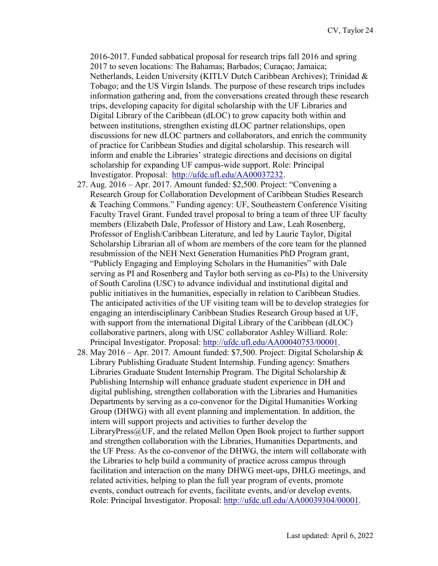2016-2017. Funded sabbatical proposal for research trips fall 2016 and spring 2017 to seven locations: The Bahamas; Barbados; Curaçao; Jamaica; Netherlands, Leiden University (KITLV Dutch Caribbean Archives); Trinidad & Tobago; and the US Virgin Islands. The purpose of these research trips includes information gathering and, from the conversations created through these research trips, developing capacity for digital scholarship with the UF Libraries and Digital Library of the Caribbean (dLOC) to grow capacity both within and between institutions, strengthen existing dLOC partner relationships, open discussions for new dLOC partners and collaborators, and enrich the community of practice for Caribbean Studies and digital scholarship. This research will inform and enable the Libraries' strategic directions and decisions on digital scholarship for expanding UF campus-wide support. Role: Principal Investigator. Proposal: [http://ufdc.ufl.edu/AA00037232.](http://ufdc.ufl.edu/AA00037232)

- 27. Aug. 2016 Apr. 2017. Amount funded: \$2,500. Project: "Convening a Research Group for Collaboration Development of Caribbean Studies Research & Teaching Commons." Funding agency: UF, Southeastern Conference Visiting Faculty Travel Grant. Funded travel proposal to bring a team of three UF faculty members (Elizabeth Dale, Professor of History and Law, Leah Rosenberg, Professor of English/Caribbean Literature, and led by Laurie Taylor, Digital Scholarship Librarian all of whom are members of the core team for the planned resubmission of the NEH Next Generation Humanities PhD Program grant, "Publicly Engaging and Employing Scholars in the Humanities" with Dale serving as PI and Rosenberg and Taylor both serving as co-PIs) to the University of South Carolina (USC) to advance individual and institutional digital and public initiatives in the humanities, especially in relation to Caribbean Studies. The anticipated activities of the UF visiting team will be to develop strategies for engaging an interdisciplinary Caribbean Studies Research Group based at UF, with support from the international Digital Library of the Caribbean (dLOC) collaborative partners, along with USC collaborator Ashley Williard. Role: Principal Investigator. Proposal: [http://ufdc.ufl.edu/AA00040753/00001.](http://ufdc.ufl.edu/AA00040753/00001)
- 28. May 2016 Apr. 2017. Amount funded: \$7,500. Project: Digital Scholarship & Library Publishing Graduate Student Internship. Funding agency: Smathers Libraries Graduate Student Internship Program. The Digital Scholarship & Publishing Internship will enhance graduate student experience in DH and digital publishing, strengthen collaboration with the Libraries and Humanities Departments by serving as a co-convenor for the Digital Humanities Working Group (DHWG) with all event planning and implementation. In addition, the intern will support projects and activities to further develop the LibraryPress@UF, and the related Mellon Open Book project to further support and strengthen collaboration with the Libraries, Humanities Departments, and the UF Press. As the co-convenor of the DHWG, the intern will collaborate with the Libraries to help build a community of practice across campus through facilitation and interaction on the many DHWG meet-ups, DHLG meetings, and related activities, helping to plan the full year program of events, promote events, conduct outreach for events, facilitate events, and/or develop events. Role: Principal Investigator. Proposal: [http://ufdc.ufl.edu/AA00039304/00001.](http://ufdc.ufl.edu/AA00039304/00001)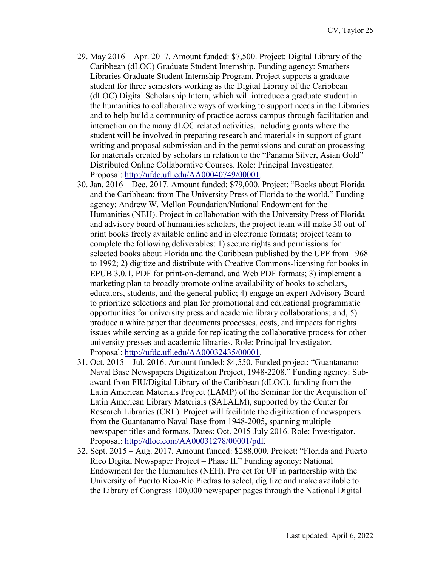- 29. May 2016 Apr. 2017. Amount funded: \$7,500. Project: Digital Library of the Caribbean (dLOC) Graduate Student Internship. Funding agency: Smathers Libraries Graduate Student Internship Program. Project supports a graduate student for three semesters working as the Digital Library of the Caribbean (dLOC) Digital Scholarship Intern, which will introduce a graduate student in the humanities to collaborative ways of working to support needs in the Libraries and to help build a community of practice across campus through facilitation and interaction on the many dLOC related activities, including grants where the student will be involved in preparing research and materials in support of grant writing and proposal submission and in the permissions and curation processing for materials created by scholars in relation to the "Panama Silver, Asian Gold" Distributed Online Collaborative Courses. Role: Principal Investigator. Proposal: [http://ufdc.ufl.edu/AA00040749/00001.](http://ufdc.ufl.edu/AA00040749/00001)
- 30. Jan. 2016 Dec. 2017. Amount funded: \$79,000. Project: "Books about Florida and the Caribbean: from The University Press of Florida to the world." Funding agency: Andrew W. Mellon Foundation/National Endowment for the Humanities (NEH). Project in collaboration with the University Press of Florida and advisory board of humanities scholars, the project team will make 30 out-ofprint books freely available online and in electronic formats; project team to complete the following deliverables: 1) secure rights and permissions for selected books about Florida and the Caribbean published by the UPF from 1968 to 1992; 2) digitize and distribute with Creative Commons-licensing for books in EPUB 3.0.1, PDF for print-on-demand, and Web PDF formats; 3) implement a marketing plan to broadly promote online availability of books to scholars, educators, students, and the general public; 4) engage an expert Advisory Board to prioritize selections and plan for promotional and educational programmatic opportunities for university press and academic library collaborations; and, 5) produce a white paper that documents processes, costs, and impacts for rights issues while serving as a guide for replicating the collaborative process for other university presses and academic libraries. Role: Principal Investigator. Proposal: [http://ufdc.ufl.edu/AA00032435/00001.](http://ufdc.ufl.edu/AA00032435/00001)
- 31. Oct. 2015 Jul. 2016. Amount funded: \$4,550. Funded project: "Guantanamo Naval Base Newspapers Digitization Project, 1948-2208." Funding agency: Sub‐ award from FIU/Digital Library of the Caribbean (dLOC), funding from the Latin American Materials Project (LAMP) of the Seminar for the Acquisition of Latin American Library Materials (SALALM), supported by the Center for Research Libraries (CRL). Project will facilitate the digitization of newspapers from the Guantanamo Naval Base from 1948-2005, spanning multiple newspaper titles and formats. Dates: Oct. 2015-July 2016. Role: Investigator. Proposal: [http://dloc.com/AA00031278/00001/pdf.](http://dloc.com/AA00031278/00001/pdf)
- 32. Sept. 2015 Aug. 2017. Amount funded: \$288,000. Project: "Florida and Puerto Rico Digital Newspaper Project – Phase II." Funding agency: National Endowment for the Humanities (NEH). Project for UF in partnership with the University of Puerto Rico-Rio Piedras to select, digitize and make available to the Library of Congress 100,000 newspaper pages through the National Digital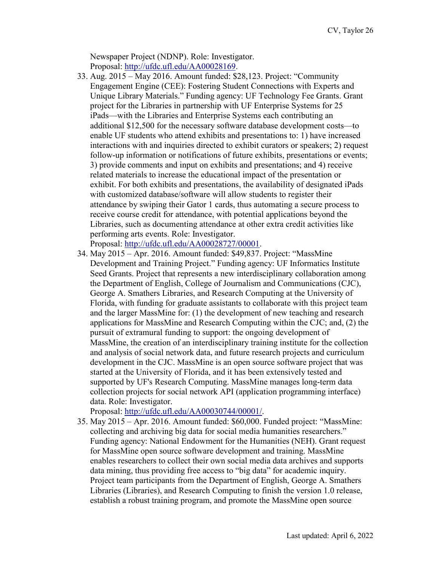Newspaper Project (NDNP). Role: Investigator. Proposal: [http://ufdc.ufl.edu/AA00028169.](http://ufdc.ufl.edu/AA00028169)

- 33. Aug. 2015 May 2016. Amount funded: \$28,123. Project: "Community Engagement Engine (CEE): Fostering Student Connections with Experts and Unique Library Materials." Funding agency: UF Technology Fee Grants. Grant project for the Libraries in partnership with UF Enterprise Systems for 25 iPads—with the Libraries and Enterprise Systems each contributing an additional \$12,500 for the necessary software database development costs—to enable UF students who attend exhibits and presentations to: 1) have increased interactions with and inquiries directed to exhibit curators or speakers; 2) request follow-up information or notifications of future exhibits, presentations or events; 3) provide comments and input on exhibits and presentations; and 4) receive related materials to increase the educational impact of the presentation or exhibit. For both exhibits and presentations, the availability of designated iPads with customized database/software will allow students to register their attendance by swiping their Gator 1 cards, thus automating a secure process to receive course credit for attendance, with potential applications beyond the Libraries, such as documenting attendance at other extra credit activities like performing arts events. Role: Investigator. Proposal: [http://ufdc.ufl.edu/AA00028727/00001.](http://ufdc.ufl.edu/AA00028727/00001)
- 34. May 2015 Apr. 2016. Amount funded: \$49,837. Project: "MassMine Development and Training Project." Funding agency: UF Informatics Institute Seed Grants. Project that represents a new interdisciplinary collaboration among the Department of English, College of Journalism and Communications (CJC), George A. Smathers Libraries, and Research Computing at the University of Florida, with funding for graduate assistants to collaborate with this project team and the larger MassMine for: (1) the development of new teaching and research applications for MassMine and Research Computing within the CJC; and, (2) the pursuit of extramural funding to support: the ongoing development of MassMine, the creation of an interdisciplinary training institute for the collection and analysis of social network data, and future research projects and curriculum development in the CJC. MassMine is an open source software project that was started at the University of Florida, and it has been extensively tested and supported by UF's Research Computing. MassMine manages long-term data collection projects for social network API (application programming interface) data. Role: Investigator.

Proposal: [http://ufdc.ufl.edu/AA00030744/00001/.](http://ufdc.ufl.edu/AA00030744/00001/)

35. May 2015 – Apr. 2016. Amount funded: \$60,000. Funded project: "MassMine: collecting and archiving big data for social media humanities researchers." Funding agency: National Endowment for the Humanities (NEH). Grant request for MassMine open source software development and training. MassMine enables researchers to collect their own social media data archives and supports data mining, thus providing free access to "big data" for academic inquiry. Project team participants from the Department of English, George A. Smathers Libraries (Libraries), and Research Computing to finish the version 1.0 release, establish a robust training program, and promote the MassMine open source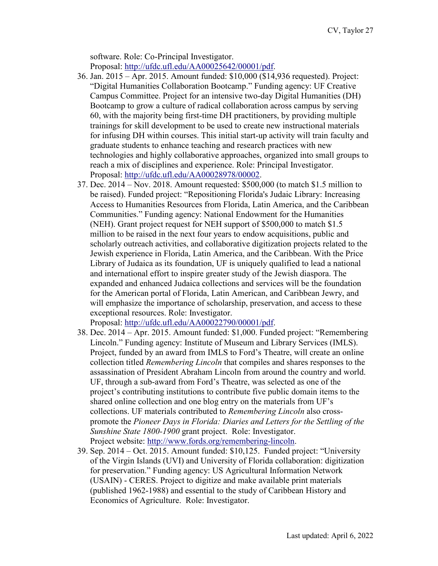software. Role: Co-Principal Investigator. Proposal: [http://ufdc.ufl.edu/AA00025642/00001/pdf.](http://ufdc.ufl.edu/AA00025642/00001/pdf)

- 36. Jan. 2015 Apr. 2015. Amount funded: \$10,000 (\$14,936 requested). Project: "Digital Humanities Collaboration Bootcamp." Funding agency: UF Creative Campus Committee. Project for an intensive two-day Digital Humanities (DH) Bootcamp to grow a culture of radical collaboration across campus by serving 60, with the majority being first-time DH practitioners, by providing multiple trainings for skill development to be used to create new instructional materials for infusing DH within courses. This initial start-up activity will train faculty and graduate students to enhance teaching and research practices with new technologies and highly collaborative approaches, organized into small groups to reach a mix of disciplines and experience. Role: Principal Investigator. Proposal: [http://ufdc.ufl.edu/AA00028978/00002.](http://ufdc.ufl.edu/AA00028978/00002)
- 37. Dec. 2014 Nov. 2018. Amount requested: \$500,000 (to match \$1.5 million to be raised). Funded project: "Repositioning Florida's Judaic Library: Increasing Access to Humanities Resources from Florida, Latin America, and the Caribbean Communities." Funding agency: National Endowment for the Humanities (NEH). Grant project request for NEH support of \$500,000 to match \$1.5 million to be raised in the next four years to endow acquisitions, public and scholarly outreach activities, and collaborative digitization projects related to the Jewish experience in Florida, Latin America, and the Caribbean. With the Price Library of Judaica as its foundation, UF is uniquely qualified to lead a national and international effort to inspire greater study of the Jewish diaspora. The expanded and enhanced Judaica collections and services will be the foundation for the American portal of Florida, Latin American, and Caribbean Jewry, and will emphasize the importance of scholarship, preservation, and access to these exceptional resources. Role: Investigator.

Proposal: [http://ufdc.ufl.edu/AA00022790/00001/pdf.](http://ufdc.ufl.edu/AA00022790/00001/pdf)

- 38. Dec. 2014 Apr. 2015. Amount funded: \$1,000. Funded project: "Remembering Lincoln." Funding agency: Institute of Museum and Library Services (IMLS). Project, funded by an award from IMLS to Ford's Theatre, will create an online collection titled *Remembering Lincoln* that compiles and shares responses to the assassination of President Abraham Lincoln from around the country and world. UF, through a sub-award from Ford's Theatre, was selected as one of the project's contributing institutions to contribute five public domain items to the shared online collection and one blog entry on the materials from UF's collections. UF materials contributed to *Remembering Lincoln* also crosspromote the *Pioneer Days in Florida: Diaries and Letters for the Settling of the Sunshine State 1800-1900* grant project. Role: Investigator. Project website: [http://www.fords.org/remembering-lincoln.](http://www.fords.org/remembering-lincoln)
- 39. Sep. 2014 Oct. 2015. Amount funded: \$10,125. Funded project: "University of the Virgin Islands (UVI) and University of Florida collaboration: digitization for preservation." Funding agency: US Agricultural Information Network (USAIN) - CERES. Project to digitize and make available print materials (published 1962-1988) and essential to the study of Caribbean History and Economics of Agriculture. Role: Investigator.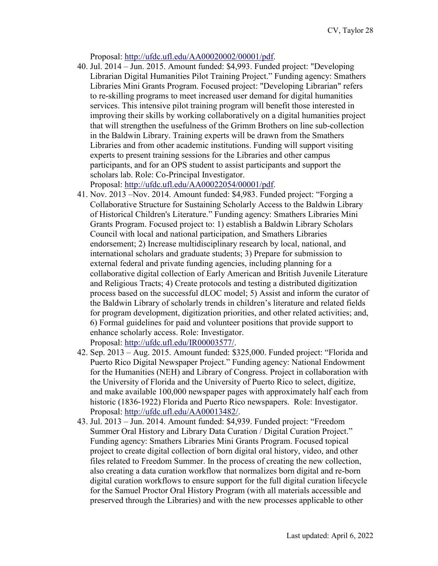Proposal: [http://ufdc.ufl.edu/AA00020002/00001/pdf.](http://ufdc.ufl.edu/AA00020002/00001/pdf)

40. Jul. 2014 – Jun. 2015. Amount funded: \$4,993. Funded project: "Developing Librarian Digital Humanities Pilot Training Project." Funding agency: Smathers Libraries Mini Grants Program. Focused project: "Developing Librarian" refers to re-skilling programs to meet increased user demand for digital humanities services. This intensive pilot training program will benefit those interested in improving their skills by working collaboratively on a digital humanities project that will strengthen the usefulness of the Grimm Brothers on line sub-collection in the Baldwin Library. Training experts will be drawn from the Smathers Libraries and from other academic institutions. Funding will support visiting experts to present training sessions for the Libraries and other campus participants, and for an OPS student to assist participants and support the scholars lab. Role: Co-Principal Investigator.

Proposal: [http://ufdc.ufl.edu/AA00022054/00001/pdf.](http://ufdc.ufl.edu/AA00022054/00001/pdf)

- 41. Nov. 2013 –Nov. 2014. Amount funded: \$4,983. Funded project: "Forging a Collaborative Structure for Sustaining Scholarly Access to the Baldwin Library of Historical Children's Literature." Funding agency: Smathers Libraries Mini Grants Program. Focused project to: 1) establish a Baldwin Library Scholars Council with local and national participation, and Smathers Libraries endorsement; 2) Increase multidisciplinary research by local, national, and international scholars and graduate students; 3) Prepare for submission to external federal and private funding agencies, including planning for a collaborative digital collection of Early American and British Juvenile Literature and Religious Tracts; 4) Create protocols and testing a distributed digitization process based on the successful dLOC model; 5) Assist and inform the curator of the Baldwin Library of scholarly trends in children's literature and related fields for program development, digitization priorities, and other related activities; and, 6) Formal guidelines for paid and volunteer positions that provide support to enhance scholarly access. Role: Investigator. Proposal: [http://ufdc.ufl.edu/IR00003577/.](http://ufdc.ufl.edu/IR00003577/)
- 42. Sep. 2013 Aug. 2015. Amount funded: \$325,000. Funded project: "Florida and Puerto Rico Digital Newspaper Project." Funding agency: National Endowment for the Humanities (NEH) and Library of Congress. Project in collaboration with the University of Florida and the University of Puerto Rico to select, digitize, and make available 100,000 newspaper pages with approximately half each from historic (1836‐1922) Florida and Puerto Rico newspapers. Role: Investigator. Proposal: [http://ufdc.ufl.edu/AA00013482/.](http://ufdc.ufl.edu/AA00013482/)
- 43. Jul. 2013 Jun. 2014. Amount funded: \$4,939. Funded project: "Freedom Summer Oral History and Library Data Curation / Digital Curation Project." Funding agency: Smathers Libraries Mini Grants Program. Focused topical project to create digital collection of born digital oral history, video, and other files related to Freedom Summer. In the process of creating the new collection, also creating a data curation workflow that normalizes born digital and re-born digital curation workflows to ensure support for the full digital curation lifecycle for the Samuel Proctor Oral History Program (with all materials accessible and preserved through the Libraries) and with the new processes applicable to other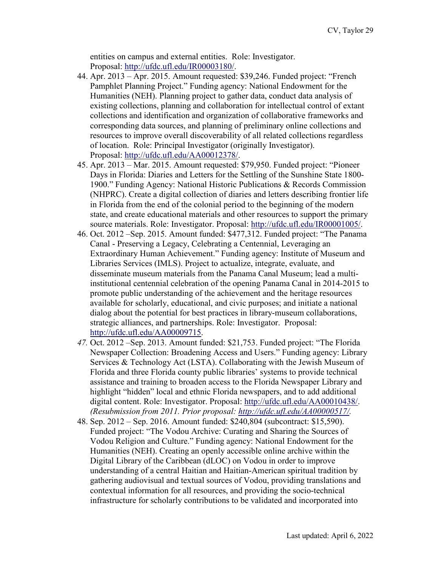entities on campus and external entities. Role: Investigator. Proposal: [http://ufdc.ufl.edu/IR00003180/.](http://ufdc.ufl.edu/IR00003180/)

- 44. Apr. 2013 Apr. 2015. Amount requested: \$39,246. Funded project: "French Pamphlet Planning Project." Funding agency: National Endowment for the Humanities (NEH). Planning project to gather data, conduct data analysis of existing collections, planning and collaboration for intellectual control of extant collections and identification and organization of collaborative frameworks and corresponding data sources, and planning of preliminary online collections and resources to improve overall discoverability of all related collections regardless of location. Role: Principal Investigator (originally Investigator). Proposal: [http://ufdc.ufl.edu/AA00012378/.](http://ufdc.ufl.edu/AA00012378/)
- 45. Apr. 2013 Mar. 2015. Amount requested: \$79,950. Funded project: "Pioneer Days in Florida: Diaries and Letters for the Settling of the Sunshine State 1800- 1900." Funding Agency: National Historic Publications & Records Commission (NHPRC). Create a digital collection of diaries and letters describing frontier life in Florida from the end of the colonial period to the beginning of the modern state, and create educational materials and other resources to support the primary source materials. Role: Investigator. Proposal: [http://ufdc.ufl.edu/IR00001005/.](http://ufdc.ufl.edu/IR00001005/)
- 46. Oct. 2012 –Sep. 2015. Amount funded: \$477,312. Funded project: "The Panama Canal - Preserving a Legacy, Celebrating a Centennial, Leveraging an Extraordinary Human Achievement." Funding agency: Institute of Museum and Libraries Services (IMLS). Project to actualize, integrate, evaluate, and disseminate museum materials from the Panama Canal Museum; lead a multiinstitutional centennial celebration of the opening Panama Canal in 2014-2015 to promote public understanding of the achievement and the heritage resources available for scholarly, educational, and civic purposes; and initiate a national dialog about the potential for best practices in library-museum collaborations, strategic alliances, and partnerships. Role: Investigator. Proposal: [http://ufdc.ufl.edu/AA00009715.](http://ufdc.ufl.edu/AA00009715)
- *47.* Oct. 2012 –Sep. 2013. Amount funded: \$21,753. Funded project: "The Florida Newspaper Collection: Broadening Access and Users." Funding agency: Library Services & Technology Act (LSTA). Collaborating with the Jewish Museum of Florida and three Florida county public libraries' systems to provide technical assistance and training to broaden access to the Florida Newspaper Library and highlight "hidden" local and ethnic Florida newspapers, and to add additional digital content. Role: Investigator. Proposal: [http://ufdc.ufl.edu/AA00010438/.](http://ufdc.ufl.edu/AA00010438/) *(Resubmission from 2011. Prior proposal: [http://ufdc.ufl.edu/AA00000517/.](http://ufdc.ufl.edu/AA00000517/)*
- 48. Sep. 2012 Sep. 2016. Amount funded: \$240,804 (subcontract: \$15,590). Funded project: "The Vodou Archive: Curating and Sharing the Sources of Vodou Religion and Culture." Funding agency: National Endowment for the Humanities (NEH). Creating an openly accessible online archive within the Digital Library of the Caribbean (dLOC) on Vodou in order to improve understanding of a central Haitian and Haitian-American spiritual tradition by gathering audiovisual and textual sources of Vodou, providing translations and contextual information for all resources, and providing the socio-technical infrastructure for scholarly contributions to be validated and incorporated into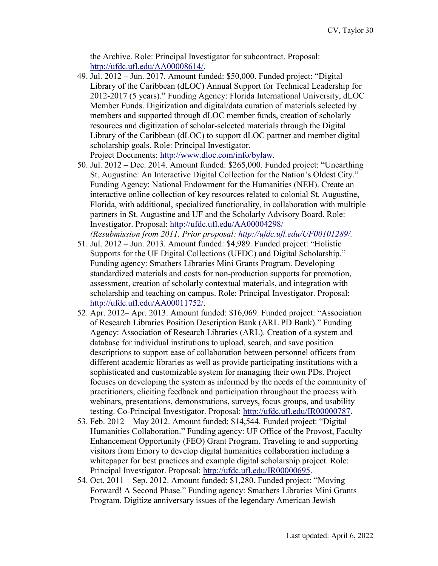the Archive. Role: Principal Investigator for subcontract. Proposal: [http://ufdc.ufl.edu/AA00008614/.](http://ufdc.ufl.edu/AA00008614/)

- 49. Jul. 2012 Jun. 2017. Amount funded: \$50,000. Funded project: "Digital Library of the Caribbean (dLOC) Annual Support for Technical Leadership for 2012-2017 (5 years)." Funding Agency: Florida International University, dLOC Member Funds. Digitization and digital/data curation of materials selected by members and supported through dLOC member funds, creation of scholarly resources and digitization of scholar-selected materials through the Digital Library of the Caribbean (dLOC) to support dLOC partner and member digital scholarship goals. Role: Principal Investigator. Project Documents: [http://www.dloc.com/info/bylaw.](http://www.dloc.com/info/bylaw)
- 50. Jul. 2012 Dec. 2014. Amount funded: \$265,000. Funded project: "Unearthing St. Augustine: An Interactive Digital Collection for the Nation's Oldest City." Funding Agency: National Endowment for the Humanities (NEH). Create an interactive online collection of key resources related to colonial St. Augustine, Florida, with additional, specialized functionality, in collaboration with multiple partners in St. Augustine and UF and the Scholarly Advisory Board. Role: Investigator. Proposal:<http://ufdc.ufl.edu/AA00004298/>

*(Resubmission from 2011. Prior proposal: [http://ufdc.ufl.edu/UF00101289/.](http://ufdc.ufl.edu/UF00101289/)* 

- 51. Jul. 2012 Jun. 2013. Amount funded: \$4,989. Funded project: "Holistic Supports for the UF Digital Collections (UFDC) and Digital Scholarship." Funding agency: Smathers Libraries Mini Grants Program. Developing standardized materials and costs for non-production supports for promotion, assessment, creation of scholarly contextual materials, and integration with scholarship and teaching on campus. Role: Principal Investigator. Proposal: [http://ufdc.ufl.edu/AA00011752/.](http://ufdc.ufl.edu/AA00011752/)
- 52. Apr. 2012– Apr. 2013. Amount funded: \$16,069. Funded project: "Association of Research Libraries Position Description Bank (ARL PD Bank)." Funding Agency: Association of Research Libraries (ARL). Creation of a system and database for individual institutions to upload, search, and save position descriptions to support ease of collaboration between personnel officers from different academic libraries as well as provide participating institutions with a sophisticated and customizable system for managing their own PDs. Project focuses on developing the system as informed by the needs of the community of practitioners, eliciting feedback and participation throughout the process with webinars, presentations, demonstrations, surveys, focus groups, and usability testing. Co-Principal Investigator. Proposal: [http://ufdc.ufl.edu/IR00000787.](http://ufdc.ufl.edu/IR00000787)
- 53. Feb. 2012 May 2012. Amount funded: \$14,544. Funded project: "Digital Humanities Collaboration." Funding agency: UF Office of the Provost, Faculty Enhancement Opportunity (FEO) Grant Program. Traveling to and supporting visitors from Emory to develop digital humanities collaboration including a whitepaper for best practices and example digital scholarship project. Role: Principal Investigator. Proposal: [http://ufdc.ufl.edu/IR00000695.](http://ufdc.ufl.edu/IR00000695)
- 54. Oct. 2011 Sep. 2012. Amount funded: \$1,280. Funded project: "Moving Forward! A Second Phase." Funding agency: Smathers Libraries Mini Grants Program. Digitize anniversary issues of the legendary American Jewish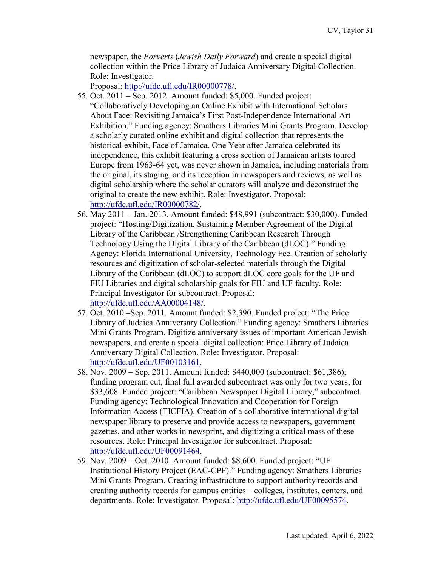newspaper, the *Forverts* (*Jewish Daily Forward*) and create a special digital collection within the Price Library of Judaica Anniversary Digital Collection. Role: Investigator.

Proposal: [http://ufdc.ufl.edu/IR00000778/.](http://ufdc.ufl.edu/IR00000778/)

- 55. Oct. 2011 Sep. 2012. Amount funded: \$5,000. Funded project: "Collaboratively Developing an Online Exhibit with International Scholars: About Face: Revisiting Jamaica's First Post-Independence International Art Exhibition." Funding agency: Smathers Libraries Mini Grants Program. Develop a scholarly curated online exhibit and digital collection that represents the historical exhibit, Face of Jamaica. One Year after Jamaica celebrated its independence, this exhibit featuring a cross section of Jamaican artists toured Europe from 1963-64 yet, was never shown in Jamaica, including materials from the original, its staging, and its reception in newspapers and reviews, as well as digital scholarship where the scholar curators will analyze and deconstruct the original to create the new exhibit. Role: Investigator. Proposal: [http://ufdc.ufl.edu/IR00000782/.](http://ufdc.ufl.edu/IR00000782/)
- 56. May 2011 Jan. 2013. Amount funded: \$48,991 (subcontract: \$30,000). Funded project: "Hosting/Digitization, Sustaining Member Agreement of the Digital Library of the Caribbean /Strengthening Caribbean Research Through Technology Using the Digital Library of the Caribbean (dLOC)." Funding Agency: Florida International University, Technology Fee. Creation of scholarly resources and digitization of scholar-selected materials through the Digital Library of the Caribbean (dLOC) to support dLOC core goals for the UF and FIU Libraries and digital scholarship goals for FIU and UF faculty. Role: Principal Investigator for subcontract. Proposal: [http://ufdc.ufl.edu/AA00004148/.](http://ufdc.ufl.edu/AA00004148/)
- 57. Oct. 2010 –Sep. 2011. Amount funded: \$2,390. Funded project: "The Price Library of Judaica Anniversary Collection." Funding agency: Smathers Libraries Mini Grants Program. Digitize anniversary issues of important American Jewish newspapers, and create a special digital collection: Price Library of Judaica Anniversary Digital Collection. Role: Investigator. Proposal: [http://ufdc.ufl.edu/UF00103161.](http://ufdc.ufl.edu/UF00103161)
- 58. Nov. 2009 Sep. 2011. Amount funded: \$440,000 (subcontract: \$61,386); funding program cut, final full awarded subcontract was only for two years, for \$33,608. Funded project: "Caribbean Newspaper Digital Library," subcontract. Funding agency: Technological Innovation and Cooperation for Foreign Information Access (TICFIA). Creation of a collaborative international digital newspaper library to preserve and provide access to newspapers, government gazettes, and other works in newsprint, and digitizing a critical mass of these resources. Role: Principal Investigator for subcontract. Proposal: [http://ufdc.ufl.edu/UF00091464.](http://ufdc.ufl.edu/UF00091464)
- 59. Nov. 2009 Oct. 2010. Amount funded: \$8,600. Funded project: "UF Institutional History Project (EAC-CPF)." Funding agency: Smathers Libraries Mini Grants Program. Creating infrastructure to support authority records and creating authority records for campus entities – colleges, institutes, centers, and departments. Role: Investigator. Proposal: [http://ufdc.ufl.edu/UF00095574.](http://ufdc.ufl.edu/UF00095574)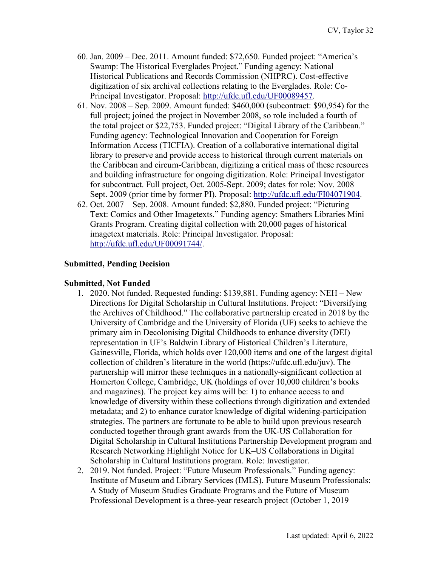- 60. Jan. 2009 Dec. 2011. Amount funded: \$72,650. Funded project: "America's Swamp: The Historical Everglades Project." Funding agency: National Historical Publications and Records Commission (NHPRC). Cost-effective digitization of six archival collections relating to the Everglades. Role: Co-Principal Investigator. Proposal: [http://ufdc.ufl.edu/UF00089457.](http://ufdc.ufl.edu/UF00089457)
- 61. Nov. 2008 Sep. 2009. Amount funded: \$460,000 (subcontract: \$90,954) for the full project; joined the project in November 2008, so role included a fourth of the total project or \$22,753. Funded project: "Digital Library of the Caribbean." Funding agency: Technological Innovation and Cooperation for Foreign Information Access (TICFIA). Creation of a collaborative international digital library to preserve and provide access to historical through current materials on the Caribbean and circum-Caribbean, digitizing a critical mass of these resources and building infrastructure for ongoing digitization. Role: Principal Investigator for subcontract. Full project, Oct. 2005-Sept. 2009; dates for role: Nov. 2008 – Sept. 2009 (prior time by former PI). Proposal: [http://ufdc.ufl.edu/FI04071904.](http://ufdc.ufl.edu/FI04071904)
- 62. Oct. 2007 Sep. 2008. Amount funded: \$2,880. Funded project: "Picturing Text: Comics and Other Imagetexts." Funding agency: Smathers Libraries Mini Grants Program. Creating digital collection with 20,000 pages of historical imagetext materials. Role: Principal Investigator. Proposal: [http://ufdc.ufl.edu/UF00091744/.](http://ufdc.ufl.edu/UF00091744/)

#### **Submitted, Pending Decision**

#### **Submitted, Not Funded**

- 1. 2020. Not funded. Requested funding: \$139,881. Funding agency: NEH New Directions for Digital Scholarship in Cultural Institutions. Project: "Diversifying the Archives of Childhood." The collaborative partnership created in 2018 by the University of Cambridge and the University of Florida (UF) seeks to achieve the primary aim in Decolonising Digital Childhoods to enhance diversity (DEI) representation in UF's Baldwin Library of Historical Children's Literature, Gainesville, Florida, which holds over 120,000 items and one of the largest digital collection of children's literature in the world (https://ufdc.ufl.edu/juv). The partnership will mirror these techniques in a nationally-significant collection at Homerton College, Cambridge, UK (holdings of over 10,000 children's books and magazines). The project key aims will be: 1) to enhance access to and knowledge of diversity within these collections through digitization and extended metadata; and 2) to enhance curator knowledge of digital widening-participation strategies. The partners are fortunate to be able to build upon previous research conducted together through grant awards from the UK-US Collaboration for Digital Scholarship in Cultural Institutions Partnership Development program and Research Networking Highlight Notice for UK–US Collaborations in Digital Scholarship in Cultural Institutions program. Role: Investigator.
- 2. 2019. Not funded. Project: "Future Museum Professionals." Funding agency: Institute of Museum and Library Services (IMLS). Future Museum Professionals: A Study of Museum Studies Graduate Programs and the Future of Museum Professional Development is a three-year research project (October 1, 2019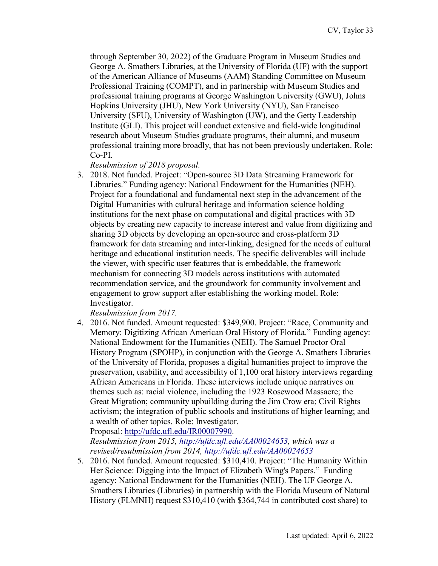through September 30, 2022) of the Graduate Program in Museum Studies and George A. Smathers Libraries, at the University of Florida (UF) with the support of the American Alliance of Museums (AAM) Standing Committee on Museum Professional Training (COMPT), and in partnership with Museum Studies and professional training programs at George Washington University (GWU), Johns Hopkins University (JHU), New York University (NYU), San Francisco University (SFU), University of Washington (UW), and the Getty Leadership Institute (GLI). This project will conduct extensive and field-wide longitudinal research about Museum Studies graduate programs, their alumni, and museum professional training more broadly, that has not been previously undertaken. Role: Co-PI.

*Resubmission of 2018 proposal.*

3. 2018. Not funded. Project: "Open-source 3D Data Streaming Framework for Libraries." Funding agency: National Endowment for the Humanities (NEH). Project for a foundational and fundamental next step in the advancement of the Digital Humanities with cultural heritage and information science holding institutions for the next phase on computational and digital practices with 3D objects by creating new capacity to increase interest and value from digitizing and sharing 3D objects by developing an open-source and cross-platform 3D framework for data streaming and inter-linking, designed for the needs of cultural heritage and educational institution needs. The specific deliverables will include the viewer, with specific user features that is embeddable, the framework mechanism for connecting 3D models across institutions with automated recommendation service, and the groundwork for community involvement and engagement to grow support after establishing the working model. Role: Investigator.

*Resubmission from 2017.*

4. 2016. Not funded. Amount requested: \$349,900. Project: "Race, Community and Memory: Digitizing African American Oral History of Florida." Funding agency: National Endowment for the Humanities (NEH). The Samuel Proctor Oral History Program (SPOHP), in conjunction with the George A. Smathers Libraries of the University of Florida, proposes a digital humanities project to improve the preservation, usability, and accessibility of 1,100 oral history interviews regarding African Americans in Florida. These interviews include unique narratives on themes such as: racial violence, including the 1923 Rosewood Massacre; the Great Migration; community upbuilding during the Jim Crow era; Civil Rights activism; the integration of public schools and institutions of higher learning; and a wealth of other topics. Role: Investigator.

Proposal: [http://ufdc.ufl.edu/IR00007990.](http://ufdc.ufl.edu/IR00007990)

*Resubmission from 2015, [http://ufdc.ufl.edu/AA00024653,](http://ufdc.ufl.edu/AA00024653) which was a revised/resubmission from 2014,<http://ufdc.ufl.edu/AA00024653>*

5. 2016. Not funded. Amount requested: \$310,410. Project: "The Humanity Within Her Science: Digging into the Impact of Elizabeth Wing's Papers." Funding agency: National Endowment for the Humanities (NEH). The UF George A. Smathers Libraries (Libraries) in partnership with the Florida Museum of Natural History (FLMNH) request \$310,410 (with \$364,744 in contributed cost share) to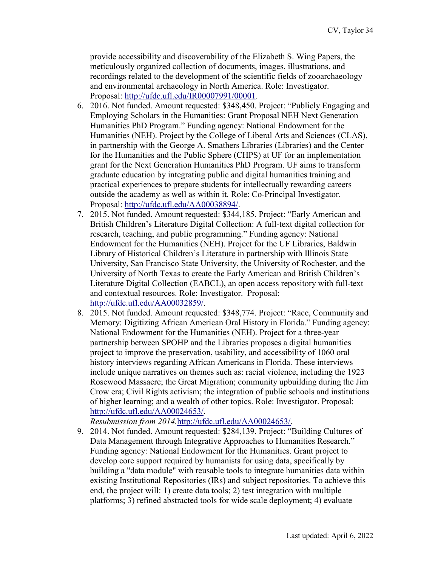provide accessibility and discoverability of the Elizabeth S. Wing Papers, the meticulously organized collection of documents, images, illustrations, and recordings related to the development of the scientific fields of zooarchaeology and environmental archaeology in North America. Role: Investigator. Proposal: [http://ufdc.ufl.edu/IR00007991/00001.](http://ufdc.ufl.edu/IR00007991/00001)

- 6. 2016. Not funded. Amount requested: \$348,450. Project: "Publicly Engaging and Employing Scholars in the Humanities: Grant Proposal NEH Next Generation Humanities PhD Program." Funding agency: National Endowment for the Humanities (NEH). Project by the College of Liberal Arts and Sciences (CLAS), in partnership with the George A. Smathers Libraries (Libraries) and the Center for the Humanities and the Public Sphere (CHPS) at UF for an implementation grant for the Next Generation Humanities PhD Program. UF aims to transform graduate education by integrating public and digital humanities training and practical experiences to prepare students for intellectually rewarding careers outside the academy as well as within it. Role: Co-Principal Investigator. Proposal: [http://ufdc.ufl.edu/AA00038894/.](http://ufdc.ufl.edu/AA00038894/)
- 7. 2015. Not funded. Amount requested: \$344,185. Project: "Early American and British Children's Literature Digital Collection: A full-text digital collection for research, teaching, and public programming." Funding agency: National Endowment for the Humanities (NEH). Project for the UF Libraries, Baldwin Library of Historical Children's Literature in partnership with Illinois State University, San Francisco State University, the University of Rochester, and the University of North Texas to create the Early American and British Children's Literature Digital Collection (EABCL), an open access repository with full-text and contextual resources. Role: Investigator. Proposal: [http://ufdc.ufl.edu/AA00032859/.](http://ufdc.ufl.edu/AA00032859/)
- 8. 2015. Not funded. Amount requested: \$348,774. Project: "Race, Community and Memory: Digitizing African American Oral History in Florida." Funding agency: National Endowment for the Humanities (NEH). Project for a three-year partnership between SPOHP and the Libraries proposes a digital humanities project to improve the preservation, usability, and accessibility of 1060 oral history interviews regarding African Americans in Florida. These interviews include unique narratives on themes such as: racial violence, including the 1923 Rosewood Massacre; the Great Migration; community upbuilding during the Jim Crow era; Civil Rights activism; the integration of public schools and institutions of higher learning; and a wealth of other topics. Role: Investigator. Proposal: [http://ufdc.ufl.edu/AA00024653/.](http://ufdc.ufl.edu/AA00024653/)

*Resubmission from 2014.*[http://ufdc.ufl.edu/AA00024653/.](http://ufdc.ufl.edu/AA00024653/)

9. 2014. Not funded. Amount requested: \$284,139. Project: "Building Cultures of Data Management through Integrative Approaches to Humanities Research." Funding agency: National Endowment for the Humanities. Grant project to develop core support required by humanists for using data, specifically by building a "data module" with reusable tools to integrate humanities data within existing Institutional Repositories (IRs) and subject repositories. To achieve this end, the project will: 1) create data tools; 2) test integration with multiple platforms; 3) refined abstracted tools for wide scale deployment; 4) evaluate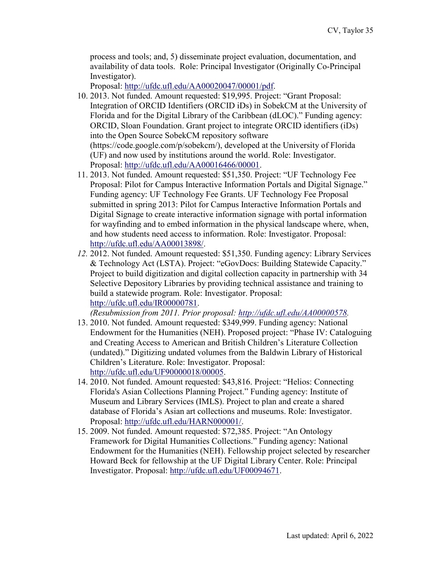process and tools; and, 5) disseminate project evaluation, documentation, and availability of data tools. Role: Principal Investigator (Originally Co-Principal Investigator).

Proposal: [http://ufdc.ufl.edu/AA00020047/00001/pdf.](http://ufdc.ufl.edu/AA00020047/00001/pdf)

- 10. 2013. Not funded. Amount requested: \$19,995. Project: "Grant Proposal: Integration of ORCID Identifiers (ORCID iDs) in SobekCM at the University of Florida and for the Digital Library of the Caribbean (dLOC)." Funding agency: ORCID, Sloan Foundation. Grant project to integrate ORCID identifiers (iDs) into the Open Source SobekCM repository software (https://code.google.com/p/sobekcm/), developed at the University of Florida (UF) and now used by institutions around the world. Role: Investigator. Proposal: [http://ufdc.ufl.edu/AA00016466/00001.](http://ufdc.ufl.edu/AA00016466/00001)
- 11. 2013. Not funded. Amount requested: \$51,350. Project: "UF Technology Fee Proposal: Pilot for Campus Interactive Information Portals and Digital Signage." Funding agency: UF Technology Fee Grants. UF Technology Fee Proposal submitted in spring 2013: Pilot for Campus Interactive Information Portals and Digital Signage to create interactive information signage with portal information for wayfinding and to embed information in the physical landscape where, when, and how students need access to information. Role: Investigator. Proposal: [http://ufdc.ufl.edu/AA00013898/.](http://ufdc.ufl.edu/AA00013898/)
- *12.* 2012. Not funded. Amount requested: \$51,350. Funding agency: Library Services & Technology Act (LSTA). Project: "eGovDocs: Building Statewide Capacity." Project to build digitization and digital collection capacity in partnership with 34 Selective Depository Libraries by providing technical assistance and training to build a statewide program. Role: Investigator. Proposal: [http://ufdc.ufl.edu/IR00000781.](http://ufdc.ufl.edu/IR00000781)

*(Resubmission from 2011. Prior proposal: [http://ufdc.ufl.edu/AA00000578.](http://ufdc.ufl.edu/AA00000578)*

- 13. 2010. Not funded. Amount requested: \$349,999. Funding agency: National Endowment for the Humanities (NEH). Proposed project: "Phase IV: Cataloguing and Creating Access to American and British Children's Literature Collection (undated)." Digitizing undated volumes from the Baldwin Library of Historical Children's Literature. Role: Investigator. Proposal: [http://ufdc.ufl.edu/UF90000018/00005.](http://ufdc.ufl.edu/UF90000018/00005)
- 14. 2010. Not funded. Amount requested: \$43,816. Project: "Helios: Connecting Florida's Asian Collections Planning Project." Funding agency: Institute of Museum and Library Services (IMLS). Project to plan and create a shared database of Florida's Asian art collections and museums. Role: Investigator. Proposal: [http://ufdc.ufl.edu/HARN000001/.](http://ufdc.ufl.edu/HARN000001/)
- 15. 2009. Not funded. Amount requested: \$72,385. Project: "An Ontology Framework for Digital Humanities Collections." Funding agency: National Endowment for the Humanities (NEH). Fellowship project selected by researcher Howard Beck for fellowship at the UF Digital Library Center. Role: Principal Investigator. Proposal: [http://ufdc.ufl.edu/UF00094671.](http://ufdc.ufl.edu/UF00094671)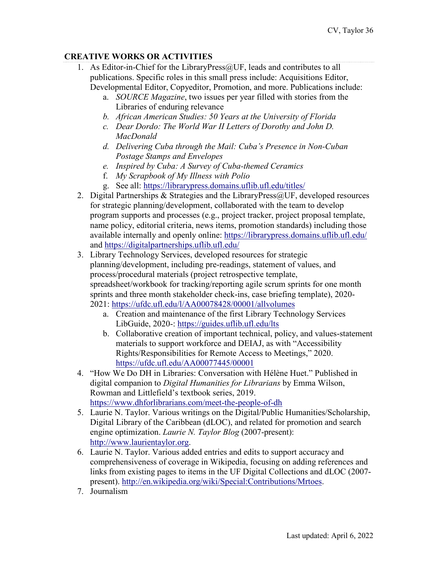# **CREATIVE WORKS OR ACTIVITIES**

- 1. As Editor-in-Chief for the LibraryPress@UF, leads and contributes to all publications. Specific roles in this small press include: Acquisitions Editor, Developmental Editor, Copyeditor, Promotion, and more. Publications include:
	- a. *SOURCE Magazine*, two issues per year filled with stories from the Libraries of enduring relevance
	- *b. African American Studies: 50 Years at the University of Florida*
	- *c. Dear Dordo: The World War II Letters of Dorothy and John D. MacDonald*
	- *d. Delivering Cuba through the Mail: Cuba's Presence in Non-Cuban Postage Stamps and Envelopes*
	- *e. Inspired by Cuba: A Survey of Cuba-themed Ceramics*
	- f. *My Scrapbook of My Illness with Polio*
	- g. See all:<https://librarypress.domains.uflib.ufl.edu/titles/>
- 2. Digital Partnerships & Strategies and the Library Press $@$ UF, developed resources for strategic planning/development, collaborated with the team to develop program supports and processes (e.g., project tracker, project proposal template, name policy, editorial criteria, news items, promotion standards) including those available internally and openly online:<https://librarypress.domains.uflib.ufl.edu/> and<https://digitalpartnerships.uflib.ufl.edu/>
- 3. Library Technology Services, developed resources for strategic planning/development, including pre-readings, statement of values, and process/procedural materials (project retrospective template, spreadsheet/workbook for tracking/reporting agile scrum sprints for one month sprints and three month stakeholder check-ins, case briefing template), 2020- 2021:<https://ufdc.ufl.edu/l/AA00078428/00001/allvolumes>
	- a. Creation and maintenance of the first Library Technology Services LibGuide, 2020-:<https://guides.uflib.ufl.edu/lts>
	- b. Collaborative creation of important technical, policy, and values-statement materials to support workforce and DEIAJ, as with "Accessibility Rights/Responsibilities for Remote Access to Meetings," 2020. <https://ufdc.ufl.edu/AA00077445/00001>
- 4. "How We Do DH in Libraries: Conversation with Hélène Huet." Published in digital companion to *Digital Humanities for Librarians* by Emma Wilson, Rowman and Littlefield's textbook series, 2019. <https://www.dhforlibrarians.com/meet-the-people-of-dh>
- 5. Laurie N. Taylor. Various writings on the Digital/Public Humanities/Scholarship, Digital Library of the Caribbean (dLOC), and related for promotion and search engine optimization. *Laurie N. Taylor Blog* (2007-present): [http://www.laurientaylor.org.](http://www.laurientaylor.org/)
- 6. Laurie N. Taylor. Various added entries and edits to support accuracy and comprehensiveness of coverage in Wikipedia, focusing on adding references and links from existing pages to items in the UF Digital Collections and dLOC (2007 present). [http://en.wikipedia.org/wiki/Special:Contributions/Mrtoes.](http://en.wikipedia.org/wiki/Special:Contributions/Mrtoes)
- 7. Journalism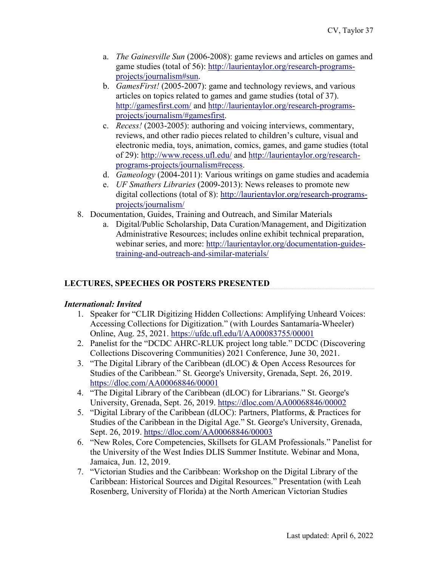- a. *The Gainesville Sun* (2006-2008): game reviews and articles on games and game studies (total of 56): [http://laurientaylor.org/research-programs](http://laurientaylor.org/research-programs-projects/journalism#sun)[projects/journalism#sun.](http://laurientaylor.org/research-programs-projects/journalism#sun)
- b. *GamesFirst!* (2005-2007): game and technology reviews, and various articles on topics related to games and game studies (total of 37). <http://gamesfirst.com/> and [http://laurientaylor.org/research-programs](http://laurientaylor.org/research-programs-projects/journalism/#gamesfirst)[projects/journalism/#gamesfirst.](http://laurientaylor.org/research-programs-projects/journalism/#gamesfirst)
- c. *Recess!* (2003-2005): authoring and voicing interviews, commentary, reviews, and other radio pieces related to children's culture, visual and electronic media, toys, animation, comics, games, and game studies (total of 29):<http://www.recess.ufl.edu/> and [http://laurientaylor.org/research](http://laurientaylor.org/research-programs-projects/journalism#recess)[programs-projects/journalism#recess.](http://laurientaylor.org/research-programs-projects/journalism#recess)
- d. *Gameology* (2004-2011): Various writings on game studies and academia
- e. *UF Smathers Libraries* (2009-2013): News releases to promote new digital collections (total of 8): [http://laurientaylor.org/research-programs](http://laurientaylor.org/research-programs-projects/journalism/)[projects/journalism/](http://laurientaylor.org/research-programs-projects/journalism/)
- 8. Documentation, Guides, Training and Outreach, and Similar Materials
	- a. Digital/Public Scholarship, Data Curation/Management, and Digitization Administrative Resources; includes online exhibit technical preparation, webinar series, and more: [http://laurientaylor.org/documentation-guides](http://laurientaylor.org/documentation-guides-training-and-outreach-and-similar-materials/)[training-and-outreach-and-similar-materials/](http://laurientaylor.org/documentation-guides-training-and-outreach-and-similar-materials/)

# **LECTURES, SPEECHES OR POSTERS PRESENTED**

## *International: Invited*

- 1. Speaker for "CLIR Digitizing Hidden Collections: Amplifying Unheard Voices: Accessing Collections for Digitization." (with Lourdes Santamaría-Wheeler) Online, Aug. 25, 2021. <https://ufdc.ufl.edu/l/AA00083755/00001>
- 2. Panelist for the "DCDC AHRC-RLUK project long table." DCDC (Discovering Collections Discovering Communities) 2021 Conference, June 30, 2021.
- 3. "The Digital Library of the Caribbean (dLOC) & Open Access Resources for Studies of the Caribbean." St. George's University, Grenada, Sept. 26, 2019. [https://dloc.com/AA00068846/00001](https://dloc.com/AA00068846/00001/citation?search=laurie+%3dgrenada)
- 4. "The Digital Library of the Caribbean (dLOC) for Librarians." St. George's University, Grenada, Sept. 26, 2019.<https://dloc.com/AA00068846/00002>
- 5. "Digital Library of the Caribbean (dLOC): Partners, Platforms, & Practices for Studies of the Caribbean in the Digital Age." St. George's University, Grenada, Sept. 26, 2019.<https://dloc.com/AA00068846/00003>
- 6. "New Roles, Core Competencies, Skillsets for GLAM Professionals." Panelist for the University of the West Indies DLIS Summer Institute. Webinar and Mona, Jamaica, Jun. 12, 2019.
- 7. "Victorian Studies and the Caribbean: Workshop on the Digital Library of the Caribbean: Historical Sources and Digital Resources." Presentation (with Leah Rosenberg, University of Florida) at the North American Victorian Studies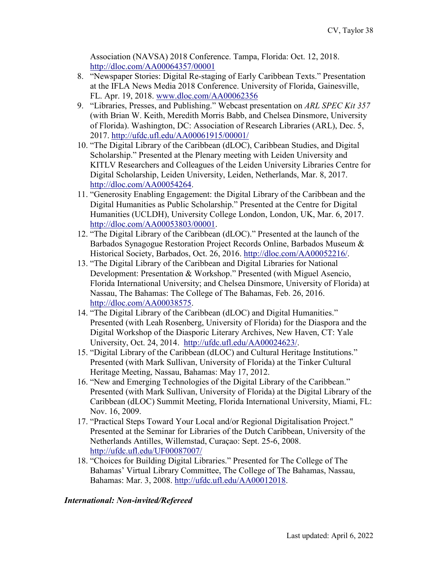Association (NAVSA) 2018 Conference. Tampa, Florida: Oct. 12, 2018. <http://dloc.com/AA00064357/00001>

- 8. "Newspaper Stories: Digital Re-staging of Early Caribbean Texts." Presentation at the IFLA News Media 2018 Conference. University of Florida, Gainesville, FL. Apr. 19, 2018. [www.dloc.com/AA00062356](http://www.dloc.com/AA00062356)
- 9. "Libraries, Presses, and Publishing." Webcast presentation on *ARL SPEC Kit 357* (with Brian W. Keith, Meredith Morris Babb, and Chelsea Dinsmore, University of Florida). Washington, DC: Association of Research Libraries (ARL), Dec. 5, 2017. <http://ufdc.ufl.edu/AA00061915/00001/>
- 10. "The Digital Library of the Caribbean (dLOC), Caribbean Studies, and Digital Scholarship." Presented at the Plenary meeting with Leiden University and KITLV Researchers and Colleagues of the Leiden University Libraries Centre for Digital Scholarship, Leiden University, Leiden, Netherlands, Mar. 8, 2017. [http://dloc.com/AA00054264.](http://dloc.com/AA00054264)
- 11. "Generosity Enabling Engagement: the Digital Library of the Caribbean and the Digital Humanities as Public Scholarship." Presented at the Centre for Digital Humanities (UCLDH), University College London, London, UK, Mar. 6, 2017. [http://dloc.com/AA00053803/00001.](http://dloc.com/AA00053803/00001)
- 12. "The Digital Library of the Caribbean (dLOC)." Presented at the launch of the Barbados Synagogue Restoration Project Records Online, Barbados Museum & Historical Society, Barbados, Oct. 26, 2016. [http://dloc.com/AA00052216/.](http://dloc.com/AA00052216/)
- 13. "The Digital Library of the Caribbean and Digital Libraries for National Development: Presentation & Workshop." Presented (with Miguel Asencio, Florida International University; and Chelsea Dinsmore, University of Florida) at Nassau, The Bahamas: The College of The Bahamas, Feb. 26, 2016. [http://dloc.com/AA00038575.](http://dloc.com/AA00038575)
- 14. "The Digital Library of the Caribbean (dLOC) and Digital Humanities." Presented (with Leah Rosenberg, University of Florida) for the Diaspora and the Digital Workshop of the Diasporic Literary Archives, New Haven, CT: Yale University, Oct. 24, 2014. [http://ufdc.ufl.edu/AA00024623/.](http://ufdc.ufl.edu/AA00024623/)
- 15. "Digital Library of the Caribbean (dLOC) and Cultural Heritage Institutions." Presented (with Mark Sullivan, University of Florida) at the Tinker Cultural Heritage Meeting, Nassau, Bahamas: May 17, 2012.
- 16. "New and Emerging Technologies of the Digital Library of the Caribbean." Presented (with Mark Sullivan, University of Florida) at the Digital Library of the Caribbean (dLOC) Summit Meeting, Florida International University, Miami, FL: Nov. 16, 2009.
- 17. "Practical Steps Toward Your Local and/or Regional Digitalisation Project." Presented at the Seminar for Libraries of the Dutch Caribbean, University of the Netherlands Antilles, Willemstad, Curaçao: Sept. 25-6, 2008. <http://ufdc.ufl.edu/UF00087007/>
- 18. "Choices for Building Digital Libraries." Presented for The College of The Bahamas' Virtual Library Committee, The College of The Bahamas, Nassau, Bahamas: Mar. 3, 2008. [http://ufdc.ufl.edu/AA00012018.](http://ufdc.ufl.edu/AA00012018)

## *International: Non-invited/Refereed*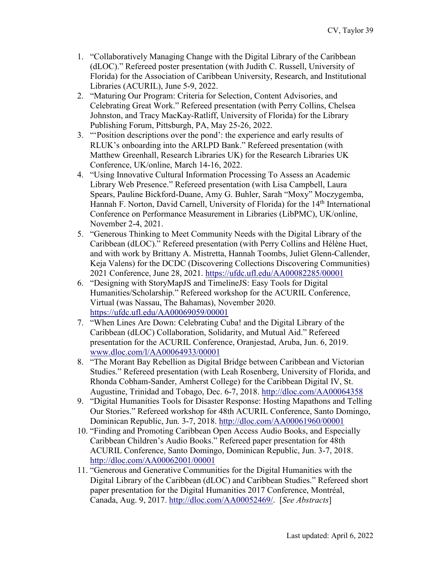- 1. "Collaboratively Managing Change with the Digital Library of the Caribbean (dLOC)." Refereed poster presentation (with Judith C. Russell, University of Florida) for the Association of Caribbean University, Research, and Institutional Libraries (ACURIL), June 5-9, 2022.
- 2. "Maturing Our Program: Criteria for Selection, Content Advisories, and Celebrating Great Work." Refereed presentation (with Perry Collins, Chelsea Johnston, and Tracy MacKay-Ratliff, University of Florida) for the Library Publishing Forum, Pittsburgh, PA, May 25-26, 2022.
- 3. "'Position descriptions over the pond': the experience and early results of RLUK's onboarding into the ARLPD Bank." Refereed presentation (with Matthew Greenhall, Research Libraries UK) for the Research Libraries UK Conference, UK/online, March 14-16, 2022.
- 4. "Using Innovative Cultural Information Processing To Assess an Academic Library Web Presence." Refereed presentation (with Lisa Campbell, Laura Spears, Pauline Bickford-Duane, Amy G. Buhler, Sarah "Moxy" Moczygemba, Hannah F. Norton, David Carnell, University of Florida) for the 14<sup>th</sup> International Conference on Performance Measurement in Libraries (LibPMC), UK/online, November 2-4, 2021.
- 5. "Generous Thinking to Meet Community Needs with the Digital Library of the Caribbean (dLOC)." Refereed presentation (with Perry Collins and Hélène Huet, and with work by Brittany A. Mistretta, Hannah Toombs, Juliet Glenn-Callender, Keja Valens) for the DCDC (Discovering Collections Discovering Communities) 2021 Conference, June 28, 2021.<https://ufdc.ufl.edu/AA00082285/00001>
- 6. "Designing with StoryMapJS and TimelineJS: Easy Tools for Digital Humanities/Scholarship." Refereed workshop for the ACURIL Conference, Virtual (was Nassau, The Bahamas), November 2020. <https://ufdc.ufl.edu/AA00069059/00001>
- 7. "When Lines Are Down: Celebrating Cuba! and the Digital Library of the Caribbean (dLOC) Collaboration, Solidarity, and Mutual Aid." Refereed presentation for the ACURIL Conference, Oranjestad, Aruba, Jun. 6, 2019. [www.dloc.com/l/AA00064933/00001](http://www.dloc.com/l/AA00064933/00001)
- 8. "The Morant Bay Rebellion as Digital Bridge between Caribbean and Victorian Studies." Refereed presentation (with Leah Rosenberg, University of Florida, and Rhonda Cobham-Sander, Amherst College) for the Caribbean Digital IV, St. Augustine, Trinidad and Tobago, Dec. 6-7, 2018. http://dloc.com/AA00064358
- 9. "Digital Humanities Tools for Disaster Response: Hosting Mapathons and Telling Our Stories." Refereed workshop for 48th ACURIL Conference, Santo Domingo, Dominican Republic, Jun. 3-7, 2018. <http://dloc.com/AA00061960/00001>
- 10. "Finding and Promoting Caribbean Open Access Audio Books, and Especially Caribbean Children's Audio Books." Refereed paper presentation for 48th ACURIL Conference, Santo Domingo, Dominican Republic, Jun. 3-7, 2018. <http://dloc.com/AA00062001/00001>
- 11. "Generous and Generative Communities for the Digital Humanities with the Digital Library of the Caribbean (dLOC) and Caribbean Studies." Refereed short paper presentation for the Digital Humanities 2017 Conference, Montréal, Canada, Aug. 9, 2017. [http://dloc.com/AA00052469/.](http://dloc.com/AA00052469/) [*See Abstracts*]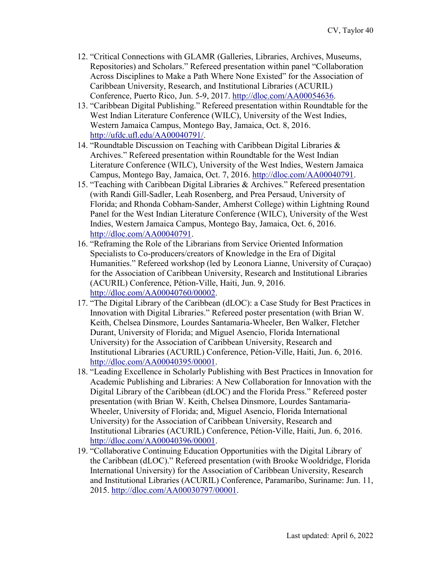- 12. "Critical Connections with GLAMR (Galleries, Libraries, Archives, Museums, Repositories) and Scholars." Refereed presentation within panel "Collaboration Across Disciplines to Make a Path Where None Existed" for the Association of Caribbean University, Research, and Institutional Libraries (ACURIL) Conference, Puerto Rico, Jun. 5-9, 2017. [http://dloc.com/AA00054636.](http://dloc.com/AA00054636)
- 13. "Caribbean Digital Publishing." Refereed presentation within Roundtable for the West Indian Literature Conference (WILC), University of the West Indies, Western Jamaica Campus, Montego Bay, Jamaica, Oct. 8, 2016. [http://ufdc.ufl.edu/AA00040791/.](http://ufdc.ufl.edu/AA00040791/)
- 14. "Roundtable Discussion on Teaching with Caribbean Digital Libraries & Archives." Refereed presentation within Roundtable for the West Indian Literature Conference (WILC), University of the West Indies, Western Jamaica Campus, Montego Bay, Jamaica, Oct. 7, 2016. [http://dloc.com/AA00040791.](http://dloc.com/AA00040791)
- 15. "Teaching with Caribbean Digital Libraries & Archives." Refereed presentation (with Randi Gill-Sadler, Leah Rosenberg, and Prea Persaud, University of Florida; and Rhonda Cobham-Sander, Amherst College) within Lightning Round Panel for the West Indian Literature Conference (WILC), University of the West Indies, Western Jamaica Campus, Montego Bay, Jamaica, Oct. 6, 2016. [http://dloc.com/AA00040791.](http://dloc.com/AA00040791)
- 16. "Reframing the Role of the Librarians from Service Oriented Information Specialists to Co-producers/creators of Knowledge in the Era of Digital Humanities." Refereed workshop (led by Leonora Lianne, University of Curaçao) for the Association of Caribbean University, Research and Institutional Libraries (ACURIL) Conference, Pétion-Ville, Haiti, Jun. 9, 2016. [http://dloc.com/AA00040760/00002.](http://dloc.com/AA00040760/00002)
- 17. "The Digital Library of the Caribbean (dLOC): a Case Study for Best Practices in Innovation with Digital Libraries." Refereed poster presentation (with Brian W. Keith, Chelsea Dinsmore, Lourdes Santamaria-Wheeler, Ben Walker, Fletcher Durant, University of Florida; and Miguel Asencio, Florida International University) for the Association of Caribbean University, Research and Institutional Libraries (ACURIL) Conference, Pétion-Ville, Haiti, Jun. 6, 2016. [http://dloc.com/AA00040395/00001.](http://dloc.com/AA00040395/00001)
- 18. "Leading Excellence in Scholarly Publishing with Best Practices in Innovation for Academic Publishing and Libraries: A New Collaboration for Innovation with the Digital Library of the Caribbean (dLOC) and the Florida Press." Refereed poster presentation (with Brian W. Keith, Chelsea Dinsmore, Lourdes Santamaria-Wheeler, University of Florida; and, Miguel Asencio, Florida International University) for the Association of Caribbean University, Research and Institutional Libraries (ACURIL) Conference, Pétion-Ville, Haiti, Jun. 6, 2016. [http://dloc.com/AA00040396/00001.](http://dloc.com/AA00040396/00001)
- 19. "Collaborative Continuing Education Opportunities with the Digital Library of the Caribbean (dLOC)." Refereed presentation (with Brooke Wooldridge, Florida International University) for the Association of Caribbean University, Research and Institutional Libraries (ACURIL) Conference, Paramaribo, Suriname: Jun. 11, 2015. [http://dloc.com/AA00030797/00001.](http://dloc.com/AA00030797/00001)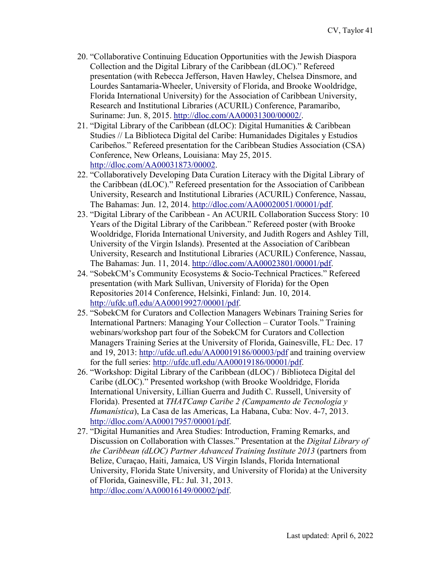- 20. "Collaborative Continuing Education Opportunities with the Jewish Diaspora Collection and the Digital Library of the Caribbean (dLOC)." Refereed presentation (with Rebecca Jefferson, Haven Hawley, Chelsea Dinsmore, and Lourdes Santamaria-Wheeler, University of Florida, and Brooke Wooldridge, Florida International University) for the Association of Caribbean University, Research and Institutional Libraries (ACURIL) Conference, Paramaribo, Suriname: Jun. 8, 2015. [http://dloc.com/AA00031300/00002/.](http://dloc.com/AA00031300/00002/)
- 21. "Digital Library of the Caribbean (dLOC): Digital Humanities & Caribbean Studies // La Biblioteca Digital del Caribe: Humanidades Digitales y Estudios Caribeños." Refereed presentation for the Caribbean Studies Association (CSA) Conference, New Orleans, Louisiana: May 25, 2015. [http://dloc.com/AA00031873/00002.](http://dloc.com/AA00031873/00002)
- 22. "Collaboratively Developing Data Curation Literacy with the Digital Library of the Caribbean (dLOC)." Refereed presentation for the Association of Caribbean University, Research and Institutional Libraries (ACURIL) Conference, Nassau, The Bahamas: Jun. 12, 2014. [http://dloc.com/AA00020051/00001/pdf.](http://dloc.com/AA00020051/00001/pdf)
- 23. "Digital Library of the Caribbean An ACURIL Collaboration Success Story: 10 Years of the Digital Library of the Caribbean." Refereed poster (with Brooke Wooldridge, Florida International University, and Judith Rogers and Ashley Till, University of the Virgin Islands). Presented at the Association of Caribbean University, Research and Institutional Libraries (ACURIL) Conference, Nassau, The Bahamas: Jun. 11, 2014. [http://dloc.com/AA00023801/00001/pdf.](http://dloc.com/AA00023801/00001/pdf)
- 24. "SobekCM's Community Ecosystems & Socio-Technical Practices." Refereed presentation (with Mark Sullivan, University of Florida) for the Open Repositories 2014 Conference, Helsinki, Finland: Jun. 10, 2014. [http://ufdc.ufl.edu/AA00019927/00001/pdf.](http://ufdc.ufl.edu/AA00019927/00001/pdf)
- 25. "SobekCM for Curators and Collection Managers Webinars Training Series for International Partners: Managing Your Collection – Curator Tools." Training webinars/workshop part four of the SobekCM for Curators and Collection Managers Training Series at the University of Florida, Gainesville, FL: Dec. 17 and 19, 2013:<http://ufdc.ufl.edu/AA00019186/00003/pdf> and training overview for the full series: [http://ufdc.ufl.edu/AA00019186/00001/pdf.](http://ufdc.ufl.edu/AA00019186/00001/pdf)
- 26. "Workshop: Digital Library of the Caribbean (dLOC) / Biblioteca Digital del Caribe (dLOC)." Presented workshop (with Brooke Wooldridge, Florida International University, Lillian Guerra and Judith C. Russell, University of Florida). Presented at *THATCamp Caribe 2 (Campamento de Tecnología y Humanística*), La Casa de las Americas, La Habana, Cuba: Nov. 4-7, 2013. [http://dloc.com/AA00017957/00001/pdf.](http://dloc.com/AA00017957/00001/pdf)
- 27. "Digital Humanities and Area Studies: Introduction, Framing Remarks, and Discussion on Collaboration with Classes." Presentation at the *Digital Library of the Caribbean (dLOC) Partner Advanced Training Institute 2013* (partners from Belize, Curaçao, Haiti, Jamaica, US Virgin Islands, Florida International University, Florida State University, and University of Florida) at the University of Florida, Gainesville, FL: Jul. 31, 2013. [http://dloc.com/AA00016149/00002/pdf.](http://dloc.com/AA00016149/00002/pdf)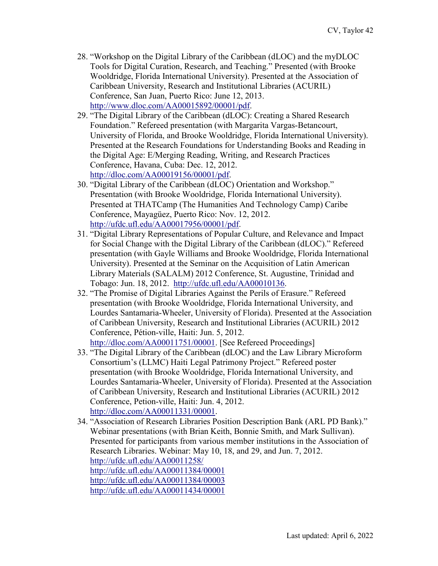- 28. "Workshop on the Digital Library of the Caribbean (dLOC) and the myDLOC Tools for Digital Curation, Research, and Teaching." Presented (with Brooke Wooldridge, Florida International University). Presented at the Association of Caribbean University, Research and Institutional Libraries (ACURIL) Conference, San Juan, Puerto Rico: June 12, 2013. [http://www.dloc.com/AA00015892/00001/pdf.](http://www.dloc.com/AA00015892/00001/pdf)
- 29. "The Digital Library of the Caribbean (dLOC): Creating a Shared Research Foundation." Refereed presentation (with Margarita Vargas-Betancourt, University of Florida, and Brooke Wooldridge, Florida International University). Presented at the Research Foundations for Understanding Books and Reading in the Digital Age: E/Merging Reading, Writing, and Research Practices Conference, Havana, Cuba: Dec. 12, 2012. [http://dloc.com/AA00019156/00001/pdf.](http://dloc.com/AA00019156/00001/pdf)
- 30. "Digital Library of the Caribbean (dLOC) Orientation and Workshop." Presentation (with Brooke Wooldridge, Florida International University). Presented at THATCamp (The Humanities And Technology Camp) Caribe Conference, Mayagüez, Puerto Rico: Nov. 12, 2012. [http://ufdc.ufl.edu/AA00017956/00001/pdf.](http://ufdc.ufl.edu/AA00017956/00001/pdf)
- 31. "Digital Library Representations of Popular Culture, and Relevance and Impact for Social Change with the Digital Library of the Caribbean (dLOC)." Refereed presentation (with Gayle Williams and Brooke Wooldridge, Florida International University). Presented at the Seminar on the Acquisition of Latin American Library Materials (SALALM) 2012 Conference, St. Augustine, Trinidad and Tobago: Jun. 18, 2012. [http://ufdc.ufl.edu/AA00010136.](http://ufdc.ufl.edu/AA00010136)
- 32. "The Promise of Digital Libraries Against the Perils of Erasure." Refereed presentation (with Brooke Wooldridge, Florida International University, and Lourdes Santamaria-Wheeler, University of Florida). Presented at the Association of Caribbean University, Research and Institutional Libraries (ACURIL) 2012 Conference, Pétion-ville, Haiti: Jun. 5, 2012. [http://dloc.com/AA00011751/00001.](http://dloc.com/AA00011751/00001) [See Refereed Proceedings]
- 33. "The Digital Library of the Caribbean (dLOC) and the Law Library Microform Consortium's (LLMC) Haiti Legal Patrimony Project." Refereed poster presentation (with Brooke Wooldridge, Florida International University, and Lourdes Santamaria-Wheeler, University of Florida). Presented at the Association of Caribbean University, Research and Institutional Libraries (ACURIL) 2012 Conference, Petion-ville, Haiti: Jun. 4, 2012. [http://dloc.com/AA00011331/00001.](http://dloc.com/AA00011331/00001)
- 34. "Association of Research Libraries Position Description Bank (ARL PD Bank)." Webinar presentations (with Brian Keith, Bonnie Smith, and Mark Sullivan). Presented for participants from various member institutions in the Association of Research Libraries. Webinar: May 10, 18, and 29, and Jun. 7, 2012. <http://ufdc.ufl.edu/AA00011258/> <http://ufdc.ufl.edu/AA00011384/00001> <http://ufdc.ufl.edu/AA00011384/00003> <http://ufdc.ufl.edu/AA00011434/00001>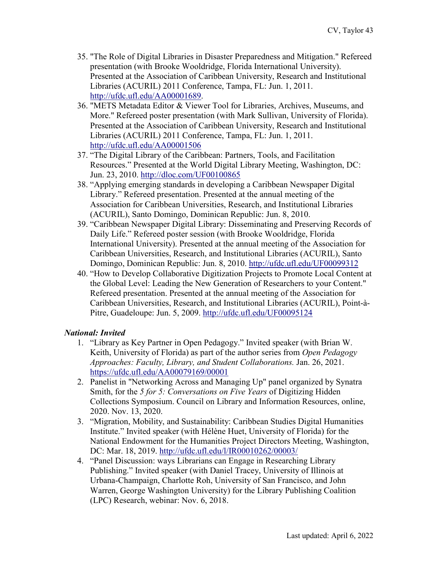- 35. "The Role of Digital Libraries in Disaster Preparedness and Mitigation." Refereed presentation (with Brooke Wooldridge, Florida International University). Presented at the Association of Caribbean University, Research and Institutional Libraries (ACURIL) 2011 Conference, Tampa, FL: Jun. 1, 2011. [http://ufdc.ufl.edu/AA00001689.](http://ufdc.ufl.edu/AA00001689)
- 36. "METS Metadata Editor & Viewer Tool for Libraries, Archives, Museums, and More." Refereed poster presentation (with Mark Sullivan, University of Florida). Presented at the Association of Caribbean University, Research and Institutional Libraries (ACURIL) 2011 Conference, Tampa, FL: Jun. 1, 2011. <http://ufdc.ufl.edu/AA00001506>
- 37. "The Digital Library of the Caribbean: Partners, Tools, and Facilitation Resources." Presented at the World Digital Library Meeting, Washington, DC: Jun. 23, 2010. <http://dloc.com/UF00100865>
- 38. "Applying emerging standards in developing a Caribbean Newspaper Digital Library." Refereed presentation. Presented at the annual meeting of the Association for Caribbean Universities, Research, and Institutional Libraries (ACURIL), Santo Domingo, Dominican Republic: Jun. 8, 2010.
- 39. "Caribbean Newspaper Digital Library: Disseminating and Preserving Records of Daily Life." Refereed poster session (with Brooke Wooldridge, Florida International University). Presented at the annual meeting of the Association for Caribbean Universities, Research, and Institutional Libraries (ACURIL), Santo Domingo, Dominican Republic: Jun. 8, 2010.<http://ufdc.ufl.edu/UF00099312>
- 40. "How to Develop Collaborative Digitization Projects to Promote Local Content at the Global Level: Leading the New Generation of Researchers to your Content." Refereed presentation. Presented at the annual meeting of the Association for Caribbean Universities, Research, and Institutional Libraries (ACURIL), Point-à-Pitre, Guadeloupe: Jun. 5, 2009. <http://ufdc.ufl.edu/UF00095124>

## *National: Invited*

- 1. "Library as Key Partner in Open Pedagogy." Invited speaker (with Brian W. Keith, University of Florida) as part of the author series from *Open Pedagogy Approaches: Faculty, Library, and Student Collaborations.* Jan. 26, 2021. <https://ufdc.ufl.edu/AA00079169/00001>
- 2. Panelist in "Networking Across and Managing Up" panel organized by Synatra Smith, for the *5 for 5: Conversations on Five Years* of Digitizing Hidden Collections Symposium. Council on Library and Information Resources, online, 2020. Nov. 13, 2020.
- 3. "Migration, Mobility, and Sustainability: Caribbean Studies Digital Humanities Institute." Invited speaker (with Hélène Huet, University of Florida) for the National Endowment for the Humanities Project Directors Meeting, Washington, DC: Mar. 18, 2019.<http://ufdc.ufl.edu/l/IR00010262/00003/>
- 4. "Panel Discussion: ways Librarians can Engage in Researching Library Publishing." Invited speaker (with Daniel Tracey, University of Illinois at Urbana-Champaign, Charlotte Roh, University of San Francisco, and John Warren, George Washington University) for the Library Publishing Coalition (LPC) Research, webinar: Nov. 6, 2018.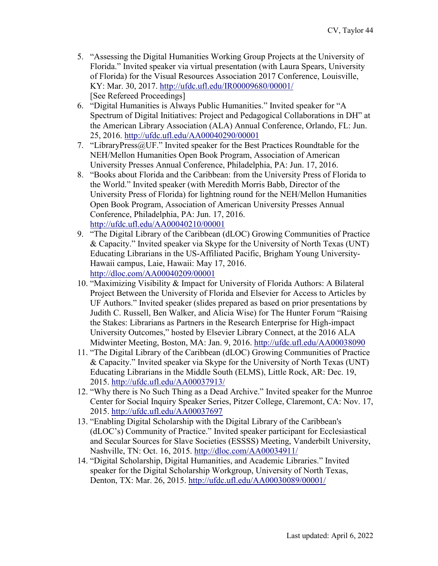- 5. "Assessing the Digital Humanities Working Group Projects at the University of Florida." Invited speaker via virtual presentation (with Laura Spears, University of Florida) for the Visual Resources Association 2017 Conference, Louisville, KY: Mar. 30, 2017.<http://ufdc.ufl.edu/IR00009680/00001/> [See Refereed Proceedings]
- 6. "Digital Humanities is Always Public Humanities." Invited speaker for "A Spectrum of Digital Initiatives: Project and Pedagogical Collaborations in DH" at the American Library Association (ALA) Annual Conference, Orlando, FL: Jun. 25, 2016. <http://ufdc.ufl.edu/AA00040290/00001>
- 7. "LibraryPress@UF." Invited speaker for the Best Practices Roundtable for the NEH/Mellon Humanities Open Book Program, Association of American University Presses Annual Conference, Philadelphia, PA: Jun. 17, 2016.
- 8. "Books about Florida and the Caribbean: from the University Press of Florida to the World." Invited speaker (with Meredith Morris Babb, Director of the University Press of Florida) for lightning round for the NEH/Mellon Humanities Open Book Program, Association of American University Presses Annual Conference, Philadelphia, PA: Jun. 17, 2016. <http://ufdc.ufl.edu/AA00040210/00001>
- 9. "The Digital Library of the Caribbean (dLOC) Growing Communities of Practice & Capacity." Invited speaker via Skype for the University of North Texas (UNT) Educating Librarians in the US-Affiliated Pacific, Brigham Young University-Hawaii campus, Laie, Hawaii: May 17, 2016. <http://dloc.com/AA00040209/00001>
- 10. "Maximizing Visibility & Impact for University of Florida Authors: A Bilateral Project Between the University of Florida and Elsevier for Access to Articles by UF Authors." Invited speaker (slides prepared as based on prior presentations by Judith C. Russell, Ben Walker, and Alicia Wise) for The Hunter Forum "Raising the Stakes: Librarians as Partners in the Research Enterprise for High-impact University Outcomes," hosted by Elsevier Library Connect, at the 2016 ALA Midwinter Meeting, Boston, MA: Jan. 9, 2016.<http://ufdc.ufl.edu/AA00038090>
- 11. "The Digital Library of the Caribbean (dLOC) Growing Communities of Practice & Capacity." Invited speaker via Skype for the University of North Texas (UNT) Educating Librarians in the Middle South (ELMS), Little Rock, AR: Dec. 19, 2015.<http://ufdc.ufl.edu/AA00037913/>
- 12. "Why there is No Such Thing as a Dead Archive." Invited speaker for the Munroe Center for Social Inquiry Speaker Series, Pitzer College, Claremont, CA: Nov. 17, 2015. <http://ufdc.ufl.edu/AA00037697>
- 13. "Enabling Digital Scholarship with the Digital Library of the Caribbean's (dLOC's) Community of Practice." Invited speaker participant for Ecclesiastical and Secular Sources for Slave Societies (ESSSS) Meeting, Vanderbilt University, Nashville, TN: Oct. 16, 2015.<http://dloc.com/AA00034911/>
- 14. "Digital Scholarship, Digital Humanities, and Academic Libraries." Invited speaker for the Digital Scholarship Workgroup, University of North Texas, Denton, TX: Mar. 26, 2015. <http://ufdc.ufl.edu/AA00030089/00001/>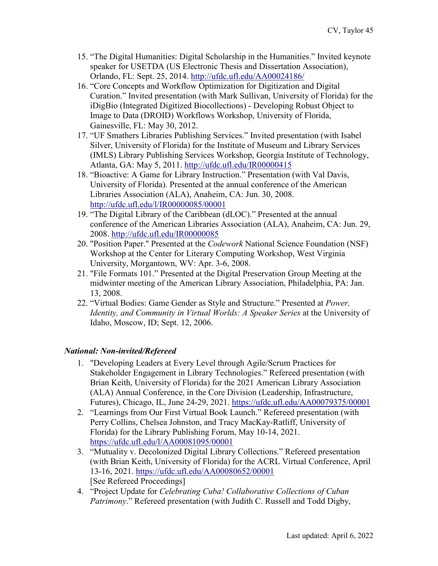- 15. "The Digital Humanities: Digital Scholarship in the Humanities." Invited keynote speaker for USETDA (US Electronic Thesis and Dissertation Association), Orlando, FL: Sept. 25, 2014.<http://ufdc.ufl.edu/AA00024186/>
- 16. "Core Concepts and Workflow Optimization for Digitization and Digital Curation." Invited presentation (with Mark Sullivan, University of Florida) for the iDigBio (Integrated Digitized Biocollections) - Developing Robust Object to Image to Data (DROID) Workflows Workshop, University of Florida, Gainesville, FL: May 30, 2012.
- 17. "UF Smathers Libraries Publishing Services." Invited presentation (with Isabel Silver, University of Florida) for the Institute of Museum and Library Services (IMLS) Library Publishing Services Workshop, Georgia Institute of Technology, Atlanta, GA: May 5, 2011.<http://ufdc.ufl.edu/IR00000415>
- 18. "Bioactive: A Game for Library Instruction." Presentation (with Val Davis, University of Florida). Presented at the annual conference of the American Libraries Association (ALA), Anaheim, CA: Jun. 30, 2008. <http://ufdc.ufl.edu/l/IR00000085/00001>
- 19. "The Digital Library of the Caribbean (dLOC)." Presented at the annual conference of the American Libraries Association (ALA), Anaheim, CA: Jun. 29, 2008.<http://ufdc.ufl.edu/IR00000085>
- 20. "Position Paper." Presented at the *Codework* National Science Foundation (NSF) Workshop at the Center for Literary Computing Workshop, West Virginia University, Morgantown, WV: Apr. 3-6, 2008.
- 21. "File Formats 101." Presented at the Digital Preservation Group Meeting at the midwinter meeting of the American Library Association, Philadelphia, PA: Jan. 13, 2008.
- 22. "Virtual Bodies: Game Gender as Style and Structure." Presented at *Power, Identity, and Community in Virtual Worlds: A Speaker Series* at the University of Idaho, Moscow, ID; Sept. 12, 2006.

# *National: Non-invited/Refereed*

- 1. "Developing Leaders at Every Level through Agile/Scrum Practices for Stakeholder Engagement in Library Technologies." Refereed presentation (with Brian Keith, University of Florida) for the 2021 American Library Association (ALA) Annual Conference, in the Core Division (Leadership, Infrastructure, Futures), Chicago, IL, June 24-29, 2021.<https://ufdc.ufl.edu/AA00079375/00001>
- 2. "Learnings from Our First Virtual Book Launch." Refereed presentation (with Perry Collins, Chelsea Johnston, and Tracy MacKay-Ratliff, University of Florida) for the Library Publishing Forum, May 10-14, 2021. <https://ufdc.ufl.edu/l/AA00081095/00001>
- 3. "Mutuality v. Decolonized Digital Library Collections." Refereed presentation (with Brian Keith, University of Florida) for the ACRL Virtual Conference, April 13-16, 2021. <https://ufdc.ufl.edu/AA00080652/00001> [See Refereed Proceedings]
- 4. "Project Update for *Celebrating Cuba! Collaborative Collections of Cuban Patrimony*." Refereed presentation (with Judith C. Russell and Todd Digby,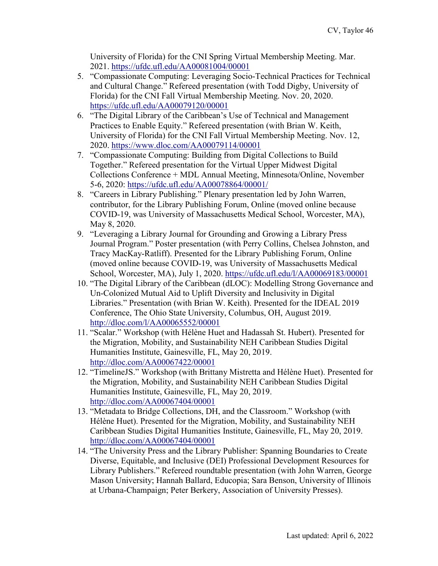University of Florida) for the CNI Spring Virtual Membership Meeting. Mar. 2021.<https://ufdc.ufl.edu/AA00081004/00001>

- 5. "Compassionate Computing: Leveraging Socio-Technical Practices for Technical and Cultural Change." Refereed presentation (with Todd Digby, University of Florida) for the CNI Fall Virtual Membership Meeting. Nov. 20, 2020. <https://ufdc.ufl.edu/AA00079120/00001>
- 6. "The Digital Library of the Caribbean's Use of Technical and Management Practices to Enable Equity." Refereed presentation (with Brian W. Keith, University of Florida) for the CNI Fall Virtual Membership Meeting. Nov. 12, 2020. <https://www.dloc.com/AA00079114/00001>
- 7. "Compassionate Computing: Building from Digital Collections to Build Together." Refereed presentation for the Virtual Upper Midwest Digital Collections Conference + MDL Annual Meeting, Minnesota/Online, November 5-6, 2020:<https://ufdc.ufl.edu/AA00078864/00001/>
- 8. "Careers in Library Publishing." Plenary presentation led by John Warren, contributor, for the Library Publishing Forum, Online (moved online because COVID-19, was University of Massachusetts Medical School, Worcester, MA), May 8, 2020.
- 9. "Leveraging a Library Journal for Grounding and Growing a Library Press Journal Program." Poster presentation (with Perry Collins, Chelsea Johnston, and Tracy MacKay-Ratliff). Presented for the Library Publishing Forum, Online (moved online because COVID-19, was University of Massachusetts Medical School, Worcester, MA), July 1, 2020. <https://ufdc.ufl.edu/l/AA00069183/00001>
- 10. "The Digital Library of the Caribbean (dLOC): Modelling Strong Governance and Un-Colonized Mutual Aid to Uplift Diversity and Inclusivity in Digital Libraries." Presentation (with Brian W. Keith). Presented for the IDEAL 2019 Conference, The Ohio State University, Columbus, OH, August 2019. <http://dloc.com/l/AA00065552/00001>
- 11. "Scalar." Workshop (with Hélène Huet and Hadassah St. Hubert). Presented for the Migration, Mobility, and Sustainability NEH Caribbean Studies Digital Humanities Institute, Gainesville, FL, May 20, 2019. <http://dloc.com/AA00067422/00001>
- 12. "TimelineJS." Workshop (with Brittany Mistretta and Hélène Huet). Presented for the Migration, Mobility, and Sustainability NEH Caribbean Studies Digital Humanities Institute, Gainesville, FL, May 20, 2019. [http://dloc.com/AA00067404/00001](http://dloc.com/AA00067404/00001?search=neh+=2019)
- 13. "Metadata to Bridge Collections, DH, and the Classroom." Workshop (with Hélène Huet). Presented for the Migration, Mobility, and Sustainability NEH Caribbean Studies Digital Humanities Institute, Gainesville, FL, May 20, 2019. [http://dloc.com/AA00067404/00001](http://dloc.com/AA00067404/00001?search=neh+=2019)
- 14. "The University Press and the Library Publisher: Spanning Boundaries to Create Diverse, Equitable, and Inclusive (DEI) Professional Development Resources for Library Publishers." Refereed roundtable presentation (with John Warren, George Mason University; Hannah Ballard, Educopia; Sara Benson, University of Illinois at Urbana-Champaign; Peter Berkery, Association of University Presses).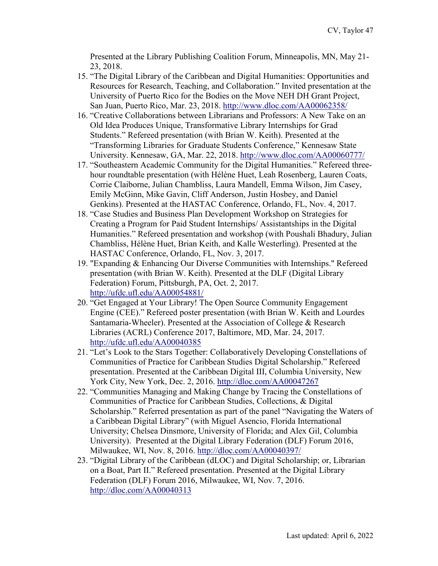Presented at the Library Publishing Coalition Forum, Minneapolis, MN, May 21- 23, 2018.

- 15. "The Digital Library of the Caribbean and Digital Humanities: Opportunities and Resources for Research, Teaching, and Collaboration." Invited presentation at the University of Puerto Rico for the Bodies on the Move NEH DH Grant Project, San Juan, Puerto Rico, Mar. 23, 2018.<http://www.dloc.com/AA00062358/>
- 16. "Creative Collaborations between Librarians and Professors: A New Take on an Old Idea Produces Unique, Transformative Library Internships for Grad Students." Refereed presentation (with Brian W. Keith). Presented at the "Transforming Libraries for Graduate Students Conference," Kennesaw State University. Kennesaw, GA, Mar. 22, 2018.<http://www.dloc.com/AA00060777/>
- 17. "Southeastern Academic Community for the Digital Humanities." Refereed threehour roundtable presentation (with Hélène Huet, Leah Rosenberg, Lauren Coats, Corrie Claiborne, Julian Chambliss, Laura Mandell, Emma Wilson, Jim Casey, Emily McGinn, Mike Gavin, Cliff Anderson, Justin Hosbey, and Daniel Genkins). Presented at the HASTAC Conference, Orlando, FL, Nov. 4, 2017.
- 18. "Case Studies and Business Plan Development Workshop on Strategies for Creating a Program for Paid Student Internships/ Assistantships in the Digital Humanities." Refereed presentation and workshop (with Poushali Bhadury, Julian Chambliss, Hélène Huet, Brian Keith, and Kalle Westerling). Presented at the HASTAC Conference, Orlando, FL, Nov. 3, 2017.
- 19. "Expanding & Enhancing Our Diverse Communities with Internships." Refereed presentation (with Brian W. Keith). Presented at the DLF (Digital Library Federation) Forum, Pittsburgh, PA, Oct. 2, 2017. <http://ufdc.ufl.edu/AA00054881/>
- 20. "Get Engaged at Your Library! The Open Source Community Engagement Engine (CEE)." Refereed poster presentation (with Brian W. Keith and Lourdes Santamaria-Wheeler). Presented at the Association of College & Research Libraries (ACRL) Conference 2017, Baltimore, MD, Mar. 24, 2017. <http://ufdc.ufl.edu/AA00040385>
- 21. "Let's Look to the Stars Together: Collaboratively Developing Constellations of Communities of Practice for Caribbean Studies Digital Scholarship." Refereed presentation. Presented at the Caribbean Digital III, Columbia University, New York City, New York, Dec. 2, 2016.<http://dloc.com/AA00047267>
- 22. "Communities Managing and Making Change by Tracing the Constellations of Communities of Practice for Caribbean Studies, Collections, & Digital Scholarship." Referred presentation as part of the panel "Navigating the Waters of a Caribbean Digital Library" (with Miguel Asencio, Florida International University; Chelsea Dinsmore, University of Florida; and Alex Gil, Columbia University). Presented at the Digital Library Federation (DLF) Forum 2016, Milwaukee, WI, Nov. 8, 2016. <http://dloc.com/AA00040397/>
- 23. "Digital Library of the Caribbean (dLOC) and Digital Scholarship; or, Librarian on a Boat, Part II." Refereed presentation. Presented at the Digital Library Federation (DLF) Forum 2016, Milwaukee, WI, Nov. 7, 2016. <http://dloc.com/AA00040313>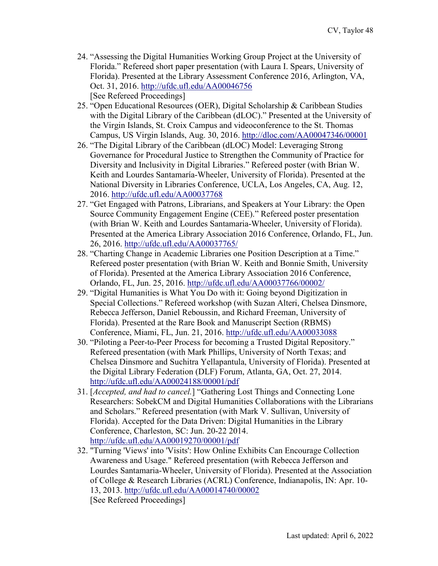- 24. "Assessing the Digital Humanities Working Group Project at the University of Florida." Refereed short paper presentation (with Laura I. Spears, University of Florida). Presented at the Library Assessment Conference 2016, Arlington, VA, Oct. 31, 2016.<http://ufdc.ufl.edu/AA00046756> [See Refereed Proceedings]
- 25. "Open Educational Resources (OER), Digital Scholarship & Caribbean Studies with the Digital Library of the Caribbean (dLOC)." Presented at the University of the Virgin Islands, St. Croix Campus and videoconference to the St. Thomas Campus, US Virgin Islands, Aug. 30, 2016.<http://dloc.com/AA00047346/00001>
- 26. "The Digital Library of the Caribbean (dLOC) Model: Leveraging Strong Governance for Procedural Justice to Strengthen the Community of Practice for Diversity and Inclusivity in Digital Libraries." Refereed poster (with Brian W. Keith and Lourdes Santamaría-Wheeler, University of Florida). Presented at the National Diversity in Libraries Conference, UCLA, Los Angeles, CA, Aug. 12, 2016.<http://ufdc.ufl.edu/AA00037768>
- 27. "Get Engaged with Patrons, Librarians, and Speakers at Your Library: the Open Source Community Engagement Engine (CEE)." Refereed poster presentation (with Brian W. Keith and Lourdes Santamaria-Wheeler, University of Florida). Presented at the America Library Association 2016 Conference, Orlando, FL, Jun. 26, 2016.<http://ufdc.ufl.edu/AA00037765/>
- 28. "Charting Change in Academic Libraries one Position Description at a Time." Refereed poster presentation (with Brian W. Keith and Bonnie Smith, University of Florida). Presented at the America Library Association 2016 Conference, Orlando, FL, Jun. 25, 2016. <http://ufdc.ufl.edu/AA00037766/00002/>
- 29. "Digital Humanities is What You Do with it: Going beyond Digitization in Special Collections." Refereed workshop (with Suzan Alteri, Chelsea Dinsmore, Rebecca Jefferson, Daniel Reboussin, and Richard Freeman, University of Florida). Presented at the Rare Book and Manuscript Section (RBMS) Conference, Miami, FL, Jun. 21, 2016.<http://ufdc.ufl.edu/AA00033088>
- 30. "Piloting a Peer-to-Peer Process for becoming a Trusted Digital Repository." Refereed presentation (with Mark Phillips, University of North Texas; and Chelsea Dinsmore and Suchitra Yellapantula, University of Florida). Presented at the Digital Library Federation (DLF) Forum, Atlanta, GA, Oct. 27, 2014. <http://ufdc.ufl.edu/AA00024188/00001/pdf>
- 31. [*Accepted, and had to cancel.*] "Gathering Lost Things and Connecting Lone Researchers: SobekCM and Digital Humanities Collaborations with the Librarians and Scholars." Refereed presentation (with Mark V. Sullivan, University of Florida). Accepted for the Data Driven: Digital Humanities in the Library Conference, Charleston, SC: Jun. 20-22 2014. <http://ufdc.ufl.edu/AA00019270/00001/pdf>
- 32. "Turning 'Views' into 'Visits': How Online Exhibits Can Encourage Collection Awareness and Usage." Refereed presentation (with Rebecca Jefferson and Lourdes Santamaria-Wheeler, University of Florida). Presented at the Association of College & Research Libraries (ACRL) Conference, Indianapolis, IN: Apr. 10- 13, 2013.<http://ufdc.ufl.edu/AA00014740/00002> [See Refereed Proceedings]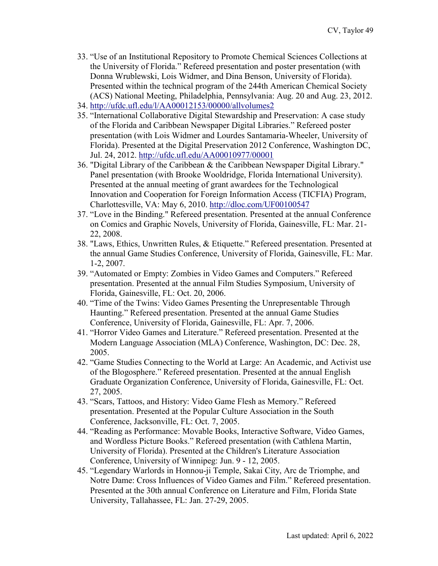- 33. "Use of an Institutional Repository to Promote Chemical Sciences Collections at the University of Florida." Refereed presentation and poster presentation (with Donna Wrublewski, Lois Widmer, and Dina Benson, University of Florida). Presented within the technical program of the 244th American Chemical Society (ACS) National Meeting, Philadelphia, Pennsylvania: Aug. 20 and Aug. 23, 2012.
- 34. <http://ufdc.ufl.edu/l/AA00012153/00000/allvolumes2>
- 35. "International Collaborative Digital Stewardship and Preservation: A case study of the Florida and Caribbean Newspaper Digital Libraries." Refereed poster presentation (with Lois Widmer and Lourdes Santamaria-Wheeler, University of Florida). Presented at the Digital Preservation 2012 Conference, Washington DC, Jul. 24, 2012. <http://ufdc.ufl.edu/AA00010977/00001>
- 36. "Digital Library of the Caribbean & the Caribbean Newspaper Digital Library." Panel presentation (with Brooke Wooldridge, Florida International University). Presented at the annual meeting of grant awardees for the Technological Innovation and Cooperation for Foreign Information Access (TICFIA) Program, Charlottesville, VA: May 6, 2010.<http://dloc.com/UF00100547>
- 37. "Love in the Binding." Refereed presentation. Presented at the annual Conference on Comics and Graphic Novels, University of Florida, Gainesville, FL: Mar. 21- 22, 2008.
- 38. "Laws, Ethics, Unwritten Rules, & Etiquette." Refereed presentation. Presented at the annual Game Studies Conference, University of Florida, Gainesville, FL: Mar. 1-2, 2007.
- 39. "Automated or Empty: Zombies in Video Games and Computers." Refereed presentation. Presented at the annual Film Studies Symposium, University of Florida, Gainesville, FL: Oct. 20, 2006.
- 40. "Time of the Twins: Video Games Presenting the Unrepresentable Through Haunting." Refereed presentation. Presented at the annual Game Studies Conference, University of Florida, Gainesville, FL: Apr. 7, 2006.
- 41. "Horror Video Games and Literature." Refereed presentation. Presented at the Modern Language Association (MLA) Conference, Washington, DC: Dec. 28, 2005.
- 42. "Game Studies Connecting to the World at Large: An Academic, and Activist use of the Blogosphere." Refereed presentation. Presented at the annual English Graduate Organization Conference, University of Florida, Gainesville, FL: Oct. 27, 2005.
- 43. "Scars, Tattoos, and History: Video Game Flesh as Memory." Refereed presentation. Presented at the Popular Culture Association in the South Conference, Jacksonville, FL: Oct. 7, 2005.
- 44. "Reading as Performance: Movable Books, Interactive Software, Video Games, and Wordless Picture Books." Refereed presentation (with Cathlena Martin, University of Florida). Presented at the Children's Literature Association Conference, University of Winnipeg: Jun. 9 - 12, 2005.
- 45. "Legendary Warlords in Honnou-ji Temple, Sakai City, Arc de Triomphe, and Notre Dame: Cross Influences of Video Games and Film." Refereed presentation. Presented at the 30th annual Conference on Literature and Film, Florida State University, Tallahassee, FL: Jan. 27-29, 2005.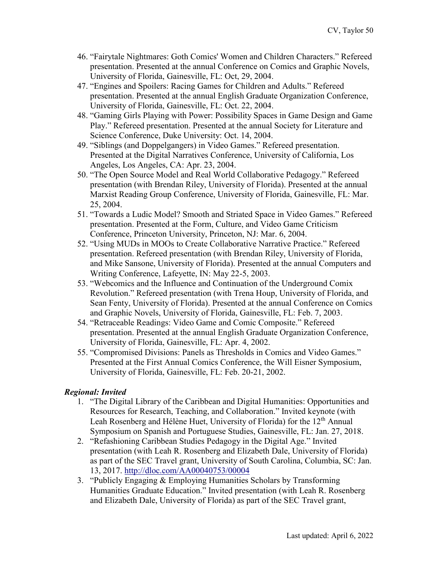- 46. "Fairytale Nightmares: Goth Comics' Women and Children Characters." Refereed presentation. Presented at the annual Conference on Comics and Graphic Novels, University of Florida, Gainesville, FL: Oct, 29, 2004.
- 47. "Engines and Spoilers: Racing Games for Children and Adults." Refereed presentation. Presented at the annual English Graduate Organization Conference, University of Florida, Gainesville, FL: Oct. 22, 2004.
- 48. "Gaming Girls Playing with Power: Possibility Spaces in Game Design and Game Play." Refereed presentation. Presented at the annual Society for Literature and Science Conference, Duke University: Oct. 14, 2004.
- 49. "Siblings (and Doppelgangers) in Video Games." Refereed presentation. Presented at the Digital Narratives Conference, University of California, Los Angeles, Los Angeles, CA: Apr. 23, 2004.
- 50. "The Open Source Model and Real World Collaborative Pedagogy." Refereed presentation (with Brendan Riley, University of Florida). Presented at the annual Marxist Reading Group Conference, University of Florida, Gainesville, FL: Mar. 25, 2004.
- 51. "Towards a Ludic Model? Smooth and Striated Space in Video Games." Refereed presentation. Presented at the Form, Culture, and Video Game Criticism Conference, Princeton University, Princeton, NJ: Mar. 6, 2004.
- 52. "Using MUDs in MOOs to Create Collaborative Narrative Practice." Refereed presentation. Refereed presentation (with Brendan Riley, University of Florida, and Mike Sansone, University of Florida). Presented at the annual Computers and Writing Conference, Lafeyette, IN: May 22-5, 2003.
- 53. "Webcomics and the Influence and Continuation of the Underground Comix Revolution." Refereed presentation (with Trena Houp, University of Florida, and Sean Fenty, University of Florida). Presented at the annual Conference on Comics and Graphic Novels, University of Florida, Gainesville, FL: Feb. 7, 2003.
- 54. "Retraceable Readings: Video Game and Comic Composite." Refereed presentation. Presented at the annual English Graduate Organization Conference, University of Florida, Gainesville, FL: Apr. 4, 2002.
- 55. "Compromised Divisions: Panels as Thresholds in Comics and Video Games." Presented at the First Annual Comics Conference, the Will Eisner Symposium, University of Florida, Gainesville, FL: Feb. 20-21, 2002.

# *Regional: Invited*

- 1. "The Digital Library of the Caribbean and Digital Humanities: Opportunities and Resources for Research, Teaching, and Collaboration." Invited keynote (with Leah Rosenberg and Hélène Huet, University of Florida) for the 12<sup>th</sup> Annual Symposium on Spanish and Portuguese Studies, Gainesville, FL: Jan. 27, 2018.
- 2. "Refashioning Caribbean Studies Pedagogy in the Digital Age." Invited presentation (with Leah R. Rosenberg and Elizabeth Dale, University of Florida) as part of the SEC Travel grant, University of South Carolina, Columbia, SC: Jan. 13, 2017.<http://dloc.com/AA00040753/00004>
- 3. "Publicly Engaging & Employing Humanities Scholars by Transforming Humanities Graduate Education." Invited presentation (with Leah R. Rosenberg and Elizabeth Dale, University of Florida) as part of the SEC Travel grant,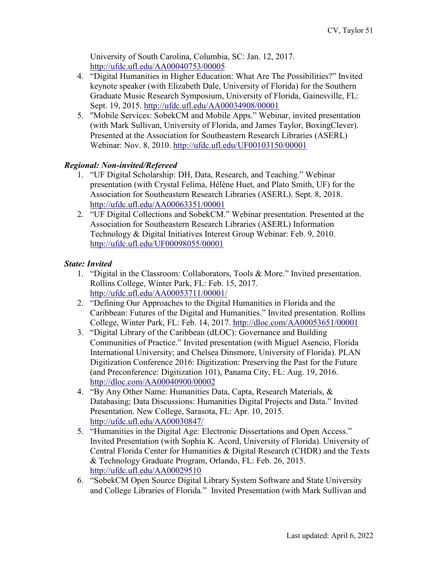University of South Carolina, Columbia, SC: Jan. 12, 2017. <http://ufdc.ufl.edu/AA00040753/00005>

- 4. "Digital Humanities in Higher Education: What Are The Possibilities?" Invited keynote speaker (with Elizabeth Dale, University of Florida) for the Southern Graduate Music Research Symposium, University of Florida, Gainesville, FL: Sept. 19, 2015. http://ufdc.ufl.edu/AA00034908/00001
- 5. "Mobile Services: SobekCM and Mobile Apps." Webinar, invited presentation (with Mark Sullivan, University of Florida, and James Taylor, BoxingClever). Presented at the Association for Southeastern Research Libraries (ASERL) Webinar: Nov. 8, 2010. <http://ufdc.ufl.edu/UF00103150/00001>

# *Regional: Non-invited/Refereed*

- 1. "UF Digital Scholarship: DH, Data, Research, and Teaching." Webinar presentation (with Crystal Felima, Hélène Huet, and Plato Smith, UF) for the Association for Southeastern Research Libraries (ASERL). Sept. 8, 2018. <http://ufdc.ufl.edu/AA00063351/00001>
- 2. "UF Digital Collections and SobekCM." Webinar presentation. Presented at the Association for Southeastern Research Libraries (ASERL) Information Technology & Digital Initiatives Interest Group Webinar: Feb. 9, 2010. <http://ufdc.ufl.edu/UF00098055/00001>

## *State: Invited*

- 1. "Digital in the Classroom: Collaborators, Tools & More." Invited presentation. Rollins College, Winter Park, FL: Feb. 15, 2017. <http://ufdc.ufl.edu/AA00053711/00001/>
- 2. "Defining Our Approaches to the Digital Humanities in Florida and the Caribbean: Futures of the Digital and Humanities." Invited presentation. Rollins College, Winter Park, FL: Feb. 14, 2017.<http://dloc.com/AA00053651/00001>
- 3. "Digital Library of the Caribbean (dLOC): Governance and Building Communities of Practice." Invited presentation (with Miguel Asencio, Florida International University; and Chelsea Dinsmore, University of Florida). PLAN Digitization Conference 2016: Digitization: Preserving the Past for the Future (and Preconference: Digitization 101), Panama City, FL: Aug. 19, 2016. <http://dloc.com/AA00040900/00002>
- 4. "By Any Other Name: Humanities Data, Capta, Research Materials, & Databasing; Data Discussions: Humanities Digital Projects and Data." Invited Presentation. New College, Sarasota, FL: Apr. 10, 2015. <http://ufdc.ufl.edu/AA00030847/>
- 5. "Humanities in the Digital Age: Electronic Dissertations and Open Access." Invited Presentation (with Sophia K. Acord, University of Florida). University of Central Florida Center for Humanities & Digital Research (CHDR) and the Texts & Technology Graduate Program, Orlando, FL: Feb. 26, 2015. <http://ufdc.ufl.edu/AA00029510>
- 6. "SobekCM Open Source Digital Library System Software and State University and College Libraries of Florida." Invited Presentation (with Mark Sullivan and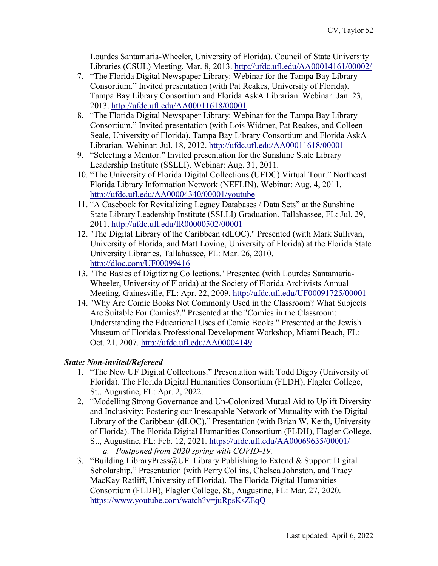Lourdes Santamaria-Wheeler, University of Florida). Council of State University Libraries (CSUL) Meeting. Mar. 8, 2013.<http://ufdc.ufl.edu/AA00014161/00002/>

- 7. "The Florida Digital Newspaper Library: Webinar for the Tampa Bay Library Consortium." Invited presentation (with Pat Reakes, University of Florida). Tampa Bay Library Consortium and Florida AskA Librarian. Webinar: Jan. 23, 2013.<http://ufdc.ufl.edu/AA00011618/00001>
- 8. "The Florida Digital Newspaper Library: Webinar for the Tampa Bay Library Consortium." Invited presentation (with Lois Widmer, Pat Reakes, and Colleen Seale, University of Florida). Tampa Bay Library Consortium and Florida AskA Librarian. Webinar: Jul. 18, 2012. <http://ufdc.ufl.edu/AA00011618/00001>
- 9. "Selecting a Mentor." Invited presentation for the Sunshine State Library Leadership Institute (SSLLI). Webinar: Aug. 31, 2011.
- 10. "The University of Florida Digital Collections (UFDC) Virtual Tour." Northeast Florida Library Information Network (NEFLIN). Webinar: Aug. 4, 2011. <http://ufdc.ufl.edu/AA00004340/00001/youtube>
- 11. "A Casebook for Revitalizing Legacy Databases / Data Sets" at the Sunshine State Library Leadership Institute (SSLLI) Graduation. Tallahassee, FL: Jul. 29, 2011.<http://ufdc.ufl.edu/IR00000502/00001>
- 12. "The Digital Library of the Caribbean (dLOC)." Presented (with Mark Sullivan, University of Florida, and Matt Loving, University of Florida) at the Florida State University Libraries, Tallahassee, FL: Mar. 26, 2010. <http://dloc.com/UF00099416>
- 13. "The Basics of Digitizing Collections." Presented (with Lourdes Santamaria-Wheeler, University of Florida) at the Society of Florida Archivists Annual Meeting, Gainesville, FL: Apr. 22, 2009.<http://ufdc.ufl.edu/UF00091725/00001>
- 14. "Why Are Comic Books Not Commonly Used in the Classroom? What Subjects Are Suitable For Comics?." Presented at the "Comics in the Classroom: Understanding the Educational Uses of Comic Books." Presented at the Jewish Museum of Florida's Professional Development Workshop, Miami Beach, FL: Oct. 21, 2007. <http://ufdc.ufl.edu/AA00004149>

# *State: Non-invited/Refereed*

- 1. "The New UF Digital Collections." Presentation with Todd Digby (University of Florida). The Florida Digital Humanities Consortium (FLDH), Flagler College, St., Augustine, FL: Apr. 2, 2022.
- 2. "Modelling Strong Governance and Un-Colonized Mutual Aid to Uplift Diversity and Inclusivity: Fostering our Inescapable Network of Mutuality with the Digital Library of the Caribbean (dLOC)." Presentation (with Brian W. Keith, University of Florida). The Florida Digital Humanities Consortium (FLDH), Flagler College, St., Augustine, FL: Feb. 12, 2021. <https://ufdc.ufl.edu/AA00069635/00001/> *a. Postponed from 2020 spring with COVID-19.*
- 3. "Building LibraryPress@UF: Library Publishing to Extend & Support Digital Scholarship." Presentation (with Perry Collins, Chelsea Johnston, and Tracy MacKay-Ratliff, University of Florida). The Florida Digital Humanities Consortium (FLDH), Flagler College, St., Augustine, FL: Mar. 27, 2020. <https://www.youtube.com/watch?v=juRpsKsZEqQ>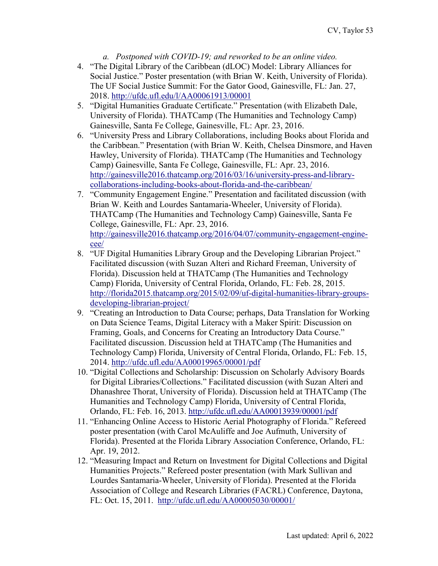- *a. Postponed with COVID-19; and reworked to be an online video.*
- 4. "The Digital Library of the Caribbean (dLOC) Model: Library Alliances for Social Justice." Poster presentation (with Brian W. Keith, University of Florida). The UF Social Justice Summit: For the Gator Good, Gainesville, FL: Jan. 27, 2018. <http://ufdc.ufl.edu/l/AA00061913/00001>
- 5. "Digital Humanities Graduate Certificate." Presentation (with Elizabeth Dale, University of Florida). THATCamp (The Humanities and Technology Camp) Gainesville, Santa Fe College, Gainesville, FL: Apr. 23, 2016.
- 6. "University Press and Library Collaborations, including Books about Florida and the Caribbean." Presentation (with Brian W. Keith, Chelsea Dinsmore, and Haven Hawley, University of Florida). THATCamp (The Humanities and Technology Camp) Gainesville, Santa Fe College, Gainesville, FL: Apr. 23, 2016. [http://gainesville2016.thatcamp.org/2016/03/16/university-press-and-library](http://gainesville2016.thatcamp.org/2016/03/16/university-press-and-library-collaborations-including-books-about-florida-and-the-caribbean/)[collaborations-including-books-about-florida-and-the-caribbean/](http://gainesville2016.thatcamp.org/2016/03/16/university-press-and-library-collaborations-including-books-about-florida-and-the-caribbean/)
- 7. "Community Engagement Engine." Presentation and facilitated discussion (with Brian W. Keith and Lourdes Santamaria-Wheeler, University of Florida). THATCamp (The Humanities and Technology Camp) Gainesville, Santa Fe College, Gainesville, FL: Apr. 23, 2016. [http://gainesville2016.thatcamp.org/2016/04/07/community-engagement-engine](http://gainesville2016.thatcamp.org/2016/04/07/community-engagement-engine-cee/)[cee/](http://gainesville2016.thatcamp.org/2016/04/07/community-engagement-engine-cee/)
- 8. "UF Digital Humanities Library Group and the Developing Librarian Project." Facilitated discussion (with Suzan Alteri and Richard Freeman, University of Florida). Discussion held at THATCamp (The Humanities and Technology Camp) Florida, University of Central Florida, Orlando, FL: Feb. 28, 2015. [http://florida2015.thatcamp.org/2015/02/09/uf-digital-humanities-library-groups](http://florida2015.thatcamp.org/2015/02/09/uf-digital-humanities-library-groups-developing-librarian-project/)[developing-librarian-project/](http://florida2015.thatcamp.org/2015/02/09/uf-digital-humanities-library-groups-developing-librarian-project/)
- 9. "Creating an Introduction to Data Course; perhaps, Data Translation for Working on Data Science Teams, Digital Literacy with a Maker Spirit: Discussion on Framing, Goals, and Concerns for Creating an Introductory Data Course." Facilitated discussion. Discussion held at THATCamp (The Humanities and Technology Camp) Florida, University of Central Florida, Orlando, FL: Feb. 15, 2014.<http://ufdc.ufl.edu/AA00019965/00001/pdf>
- 10. "Digital Collections and Scholarship: Discussion on Scholarly Advisory Boards for Digital Libraries/Collections." Facilitated discussion (with Suzan Alteri and Dhanashree Thorat, University of Florida). Discussion held at THATCamp (The Humanities and Technology Camp) Florida, University of Central Florida, Orlando, FL: Feb. 16, 2013.<http://ufdc.ufl.edu/AA00013939/00001/pdf>
- 11. "Enhancing Online Access to Historic Aerial Photography of Florida." Refereed poster presentation (with Carol McAuliffe and Joe Aufmuth, University of Florida). Presented at the Florida Library Association Conference, Orlando, FL: Apr. 19, 2012.
- 12. "Measuring Impact and Return on Investment for Digital Collections and Digital Humanities Projects." Refereed poster presentation (with Mark Sullivan and Lourdes Santamaria-Wheeler, University of Florida). Presented at the Florida Association of College and Research Libraries (FACRL) Conference, Daytona, FL: Oct. 15, 2011. <http://ufdc.ufl.edu/AA00005030/00001/>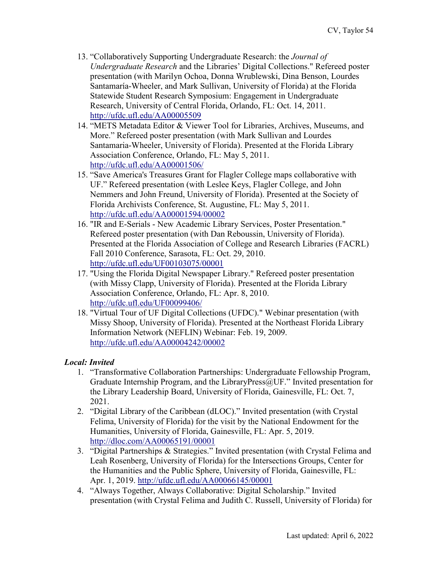- 13. "Collaboratively Supporting Undergraduate Research: the *Journal of Undergraduate Research* and the Libraries' Digital Collections." Refereed poster presentation (with Marilyn Ochoa, Donna Wrublewski, Dina Benson, Lourdes Santamaría-Wheeler, and Mark Sullivan, University of Florida) at the Florida Statewide Student Research Symposium: Engagement in Undergraduate Research, University of Central Florida, Orlando, FL: Oct. 14, 2011. <http://ufdc.ufl.edu/AA00005509>
- 14. "METS Metadata Editor & Viewer Tool for Libraries, Archives, Museums, and More." Refereed poster presentation (with Mark Sullivan and Lourdes Santamaria-Wheeler, University of Florida). Presented at the Florida Library Association Conference, Orlando, FL: May 5, 2011. <http://ufdc.ufl.edu/AA00001506/>
- 15. "Save America's Treasures Grant for Flagler College maps collaborative with UF." Refereed presentation (with Leslee Keys, Flagler College, and John Nemmers and John Freund, University of Florida). Presented at the Society of Florida Archivists Conference, St. Augustine, FL: May 5, 2011. <http://ufdc.ufl.edu/AA00001594/00002>
- 16. "IR and E-Serials New Academic Library Services, Poster Presentation." Refereed poster presentation (with Dan Reboussin, University of Florida). Presented at the Florida Association of College and Research Libraries (FACRL) Fall 2010 Conference, Sarasota, FL: Oct. 29, 2010. <http://ufdc.ufl.edu/UF00103075/00001>
- 17. "Using the Florida Digital Newspaper Library." Refereed poster presentation (with Missy Clapp, University of Florida). Presented at the Florida Library Association Conference, Orlando, FL: Apr. 8, 2010. <http://ufdc.ufl.edu/UF00099406/>
- 18. "Virtual Tour of UF Digital Collections (UFDC)." Webinar presentation (with Missy Shoop, University of Florida). Presented at the Northeast Florida Library Information Network (NEFLIN) Webinar: Feb. 19, 2009. <http://ufdc.ufl.edu/AA00004242/00002>

## *Local: Invited*

- 1. "Transformative Collaboration Partnerships: Undergraduate Fellowship Program, Graduate Internship Program, and the LibraryPress@UF." Invited presentation for the Library Leadership Board, University of Florida, Gainesville, FL: Oct. 7, 2021.
- 2. "Digital Library of the Caribbean (dLOC)." Invited presentation (with Crystal Felima, University of Florida) for the visit by the National Endowment for the Humanities, University of Florida, Gainesville, FL: Apr. 5, 2019. <http://dloc.com/AA00065191/00001>
- 3. "Digital Partnerships & Strategies." Invited presentation (with Crystal Felima and Leah Rosenberg, University of Florida) for the Intersections Groups, Center for the Humanities and the Public Sphere, University of Florida, Gainesville, FL: Apr. 1, 2019. <http://ufdc.ufl.edu/AA00066145/00001>
- 4. "Always Together, Always Collaborative: Digital Scholarship." Invited presentation (with Crystal Felima and Judith C. Russell, University of Florida) for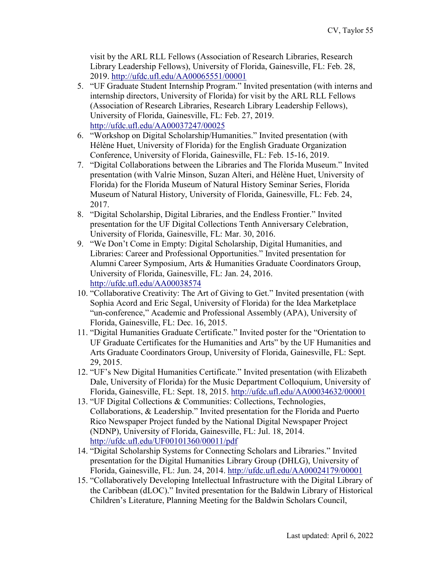visit by the ARL RLL Fellows (Association of Research Libraries, Research Library Leadership Fellows), University of Florida, Gainesville, FL: Feb. 28, 2019.<http://ufdc.ufl.edu/AA00065551/00001>

- 5. "UF Graduate Student Internship Program." Invited presentation (with interns and internship directors, University of Florida) for visit by the ARL RLL Fellows (Association of Research Libraries, Research Library Leadership Fellows), University of Florida, Gainesville, FL: Feb. 27, 2019. <http://ufdc.ufl.edu/AA00037247/00025>
- 6. "Workshop on Digital Scholarship/Humanities." Invited presentation (with Hélène Huet, University of Florida) for the English Graduate Organization Conference, University of Florida, Gainesville, FL: Feb. 15-16, 2019.
- 7. "Digital Collaborations between the Libraries and The Florida Museum." Invited presentation (with Valrie Minson, Suzan Alteri, and Hélène Huet, University of Florida) for the Florida Museum of Natural History Seminar Series, Florida Museum of Natural History, University of Florida, Gainesville, FL: Feb. 24, 2017.
- 8. "Digital Scholarship, Digital Libraries, and the Endless Frontier." Invited presentation for the UF Digital Collections Tenth Anniversary Celebration, University of Florida, Gainesville, FL: Mar. 30, 2016.
- 9. "We Don't Come in Empty: Digital Scholarship, Digital Humanities, and Libraries: Career and Professional Opportunities." Invited presentation for Alumni Career Symposium, Arts & Humanities Graduate Coordinators Group, University of Florida, Gainesville, FL: Jan. 24, 2016. <http://ufdc.ufl.edu/AA00038574>
- 10. "Collaborative Creativity: The Art of Giving to Get." Invited presentation (with Sophia Acord and Eric Segal, University of Florida) for the Idea Marketplace "un-conference," Academic and Professional Assembly (APA), University of Florida, Gainesville, FL: Dec. 16, 2015.
- 11. "Digital Humanities Graduate Certificate." Invited poster for the "Orientation to UF Graduate Certificates for the Humanities and Arts" by the UF Humanities and Arts Graduate Coordinators Group, University of Florida, Gainesville, FL: Sept. 29, 2015.
- 12. "UF's New Digital Humanities Certificate." Invited presentation (with Elizabeth Dale, University of Florida) for the Music Department Colloquium, University of Florida, Gainesville, FL: Sept. 18, 2015.<http://ufdc.ufl.edu/AA00034632/00001>
- 13. "UF Digital Collections & Communities: Collections, Technologies, Collaborations, & Leadership." Invited presentation for the Florida and Puerto Rico Newspaper Project funded by the National Digital Newspaper Project (NDNP), University of Florida, Gainesville, FL: Jul. 18, 2014. <http://ufdc.ufl.edu/UF00101360/00011/pdf>
- 14. "Digital Scholarship Systems for Connecting Scholars and Libraries." Invited presentation for the Digital Humanities Library Group (DHLG), University of Florida, Gainesville, FL: Jun. 24, 2014.<http://ufdc.ufl.edu/AA00024179/00001>
- 15. "Collaboratively Developing Intellectual Infrastructure with the Digital Library of the Caribbean (dLOC)." Invited presentation for the Baldwin Library of Historical Children's Literature, Planning Meeting for the Baldwin Scholars Council,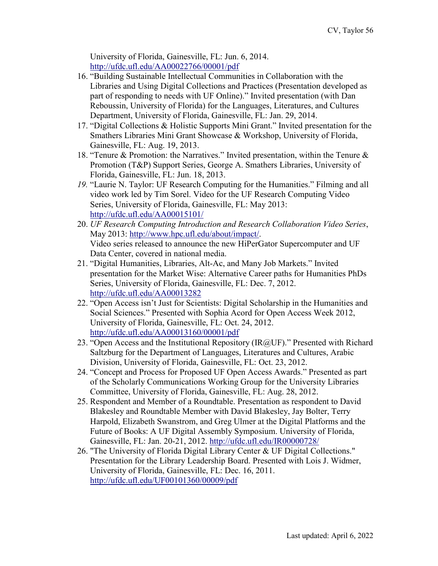University of Florida, Gainesville, FL: Jun. 6, 2014. <http://ufdc.ufl.edu/AA00022766/00001/pdf>

- 16. "Building Sustainable Intellectual Communities in Collaboration with the Libraries and Using Digital Collections and Practices (Presentation developed as part of responding to needs with UF Online)." Invited presentation (with Dan Reboussin, University of Florida) for the Languages, Literatures, and Cultures Department, University of Florida, Gainesville, FL: Jan. 29, 2014.
- 17. "Digital Collections & Holistic Supports Mini Grant." Invited presentation for the Smathers Libraries Mini Grant Showcase & Workshop, University of Florida, Gainesville, FL: Aug. 19, 2013.
- 18. "Tenure & Promotion: the Narratives." Invited presentation, within the Tenure & Promotion (T&P) Support Series, George A. Smathers Libraries, University of Florida, Gainesville, FL: Jun. 18, 2013.
- *19.* "Laurie N. Taylor: UF Research Computing for the Humanities." Filming and all video work led by Tim Sorel. Video for the UF Research Computing Video Series, University of Florida, Gainesville, FL: May 2013: <http://ufdc.ufl.edu/AA00015101/>
- 20. *UF Research Computing Introduction and Research Collaboration Video Series*, May 2013: [http://www.hpc.ufl.edu/about/impact/.](http://www.hpc.ufl.edu/about/impact/) Video series released to announce the new HiPerGator Supercomputer and UF Data Center, covered in national media.
- 21. "Digital Humanities, Libraries, Alt-Ac, and Many Job Markets." Invited presentation for the Market Wise: Alternative Career paths for Humanities PhDs Series, University of Florida, Gainesville, FL: Dec. 7, 2012. <http://ufdc.ufl.edu/AA00013282>
- 22. "Open Access isn't Just for Scientists: Digital Scholarship in the Humanities and Social Sciences." Presented with Sophia Acord for Open Access Week 2012, University of Florida, Gainesville, FL: Oct. 24, 2012. <http://ufdc.ufl.edu/AA00013160/00001/pdf>
- 23. "Open Access and the Institutional Repository (IR@UF)." Presented with Richard Saltzburg for the Department of Languages, Literatures and Cultures, Arabic Division, University of Florida, Gainesville, FL: Oct. 23, 2012.
- 24. "Concept and Process for Proposed UF Open Access Awards." Presented as part of the Scholarly Communications Working Group for the University Libraries Committee, University of Florida, Gainesville, FL: Aug. 28, 2012.
- 25. Respondent and Member of a Roundtable. Presentation as respondent to David Blakesley and Roundtable Member with David Blakesley, Jay Bolter, Terry Harpold, Elizabeth Swanstrom, and Greg Ulmer at the Digital Platforms and the Future of Books: A UF Digital Assembly Symposium. University of Florida, Gainesville, FL: Jan. 20-21, 2012. <http://ufdc.ufl.edu/IR00000728/>
- 26. "The University of Florida Digital Library Center & UF Digital Collections." Presentation for the Library Leadership Board. Presented with Lois J. Widmer, University of Florida, Gainesville, FL: Dec. 16, 2011. <http://ufdc.ufl.edu/UF00101360/00009/pdf>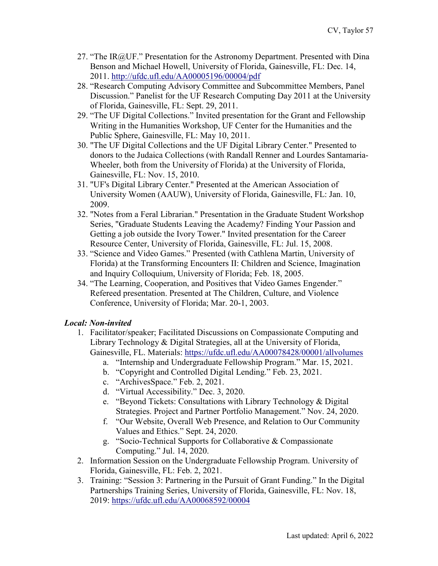- 27. "The IR@UF." Presentation for the Astronomy Department. Presented with Dina Benson and Michael Howell, University of Florida, Gainesville, FL: Dec. 14, 2011. <http://ufdc.ufl.edu/AA00005196/00004/pdf>
- 28. "Research Computing Advisory Committee and Subcommittee Members, Panel Discussion." Panelist for the UF Research Computing Day 2011 at the University of Florida, Gainesville, FL: Sept. 29, 2011.
- 29. "The UF Digital Collections." Invited presentation for the Grant and Fellowship Writing in the Humanities Workshop, UF Center for the Humanities and the Public Sphere, Gainesville, FL: May 10, 2011.
- 30. "The UF Digital Collections and the UF Digital Library Center." Presented to donors to the Judaica Collections (with Randall Renner and Lourdes Santamaria-Wheeler, both from the University of Florida) at the University of Florida, Gainesville, FL: Nov. 15, 2010.
- 31. "UF's Digital Library Center." Presented at the American Association of University Women (AAUW), University of Florida, Gainesville, FL: Jan. 10, 2009.
- 32. "Notes from a Feral Librarian." Presentation in the Graduate Student Workshop Series, "Graduate Students Leaving the Academy? Finding Your Passion and Getting a job outside the Ivory Tower." Invited presentation for the Career Resource Center, University of Florida, Gainesville, FL: Jul. 15, 2008.
- 33. "Science and Video Games." Presented (with Cathlena Martin, University of Florida) at the Transforming Encounters II: Children and Science, Imagination and Inquiry Colloquium, University of Florida; Feb. 18, 2005.
- 34. "The Learning, Cooperation, and Positives that Video Games Engender." Refereed presentation. Presented at The Children, Culture, and Violence Conference, University of Florida; Mar. 20-1, 2003.

# *Local: Non-invited*

- 1. Facilitator/speaker; Facilitated Discussions on Compassionate Computing and Library Technology & Digital Strategies, all at the University of Florida, Gainesville, FL. Materials:<https://ufdc.ufl.edu/AA00078428/00001/allvolumes>
	- a. "Internship and Undergraduate Fellowship Program." Mar. 15, 2021.
	- b. "Copyright and Controlled Digital Lending." Feb. 23, 2021.
	- c. "ArchivesSpace." Feb. 2, 2021.
	- d. "Virtual Accessibility." Dec. 3, 2020.
	- e. "Beyond Tickets: Consultations with Library Technology & Digital Strategies. Project and Partner Portfolio Management." Nov. 24, 2020.
	- f. "Our Website, Overall Web Presence, and Relation to Our Community Values and Ethics." Sept. 24, 2020.
	- g. "Socio-Technical Supports for Collaborative & Compassionate Computing." Jul. 14, 2020.
- 2. Information Session on the Undergraduate Fellowship Program. University of Florida, Gainesville, FL: Feb. 2, 2021.
- 3. Training: "Session 3: Partnering in the Pursuit of Grant Funding." In the Digital Partnerships Training Series, University of Florida, Gainesville, FL: Nov. 18, 2019: <https://ufdc.ufl.edu/AA00068592/00004>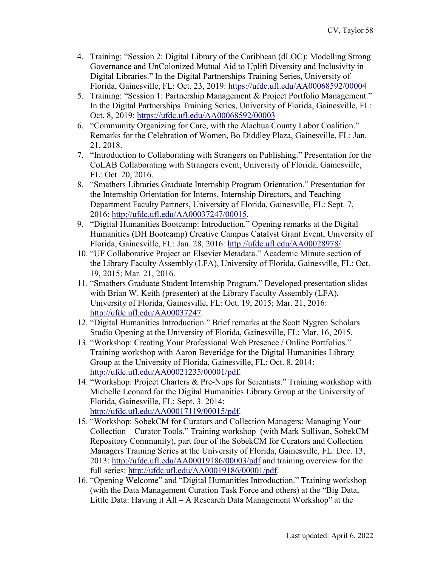- 4. Training: "Session 2: Digital Library of the Caribbean (dLOC): Modelling Strong Governance and UnColonized Mutual Aid to Uplift Diversity and Inclusivity in Digital Libraries." In the Digital Partnerships Training Series, University of Florida, Gainesville, FL: Oct. 23, 2019:<https://ufdc.ufl.edu/AA00068592/00004>
- 5. Training: "Session 1: Partnership Management & Project Portfolio Management." In the Digital Partnerships Training Series, University of Florida, Gainesville, FL: Oct. 8, 2019: [https://ufdc.ufl.edu/AA00068592/00003](https://ufdc.ufl.edu/AA00068592/00003?search=partnership+%3dmanagement)
- 6. "Community Organizing for Care, with the Alachua County Labor Coalition." Remarks for the Celebration of Women, Bo Diddley Plaza, Gainesville, FL: Jan. 21, 2018.
- 7. "Introduction to Collaborating with Strangers on Publishing." Presentation for the CoLAB Collaborating with Strangers event, University of Florida, Gainesville, FL: Oct. 20, 2016.
- 8. "Smathers Libraries Graduate Internship Program Orientation." Presentation for the Internship Orientation for Interns, Internship Directors, and Teaching Department Faculty Partners, University of Florida, Gainesville, FL: Sept. 7, 2016: [http://ufdc.ufl.edu/AA00037247/00015.](http://ufdc.ufl.edu/AA00037247/00015)
- 9. "Digital Humanities Bootcamp: Introduction." Opening remarks at the Digital Humanities (DH Bootcamp) Creative Campus Catalyst Grant Event, University of Florida, Gainesville, FL: Jan. 28, 2016: [http://ufdc.ufl.edu/AA00028978/.](http://ufdc.ufl.edu/AA00028978/)
- 10. "UF Collaborative Project on Elsevier Metadata." Academic Minute section of the Library Faculty Assembly (LFA), University of Florida, Gainesville, FL: Oct. 19, 2015; Mar. 21, 2016.
- 11. "Smathers Graduate Student Internship Program." Developed presentation slides with Brian W. Keith (presenter) at the Library Faculty Assembly (LFA), University of Florida, Gainesville, FL: Oct. 19, 2015; Mar. 21, 2016: [http://ufdc.ufl.edu/AA00037247.](http://ufdc.ufl.edu/AA00037247)
- 12. "Digital Humanities Introduction." Brief remarks at the Scott Nygren Scholars Studio Opening at the University of Florida, Gainesville, FL: Mar. 16, 2015.
- 13. "Workshop: Creating Your Professional Web Presence / Online Portfolios." Training workshop with Aaron Beveridge for the Digital Humanities Library Group at the University of Florida, Gainesville, FL: Oct. 8, 2014: [http://ufdc.ufl.edu/AA00021235/00001/pdf.](http://ufdc.ufl.edu/AA00021235/00001/pdf)
- 14. "Workshop: Project Charters & Pre-Nups for Scientists." Training workshop with Michelle Leonard for the Digital Humanities Library Group at the University of Florida, Gainesville, FL: Sept. 3. 2014: [http://ufdc.ufl.edu/AA00017119/00015/pdf.](http://ufdc.ufl.edu/AA00017119/00015/pdf)
- 15. "Workshop: SobekCM for Curators and Collection Managers: Managing Your Collection – Curator Tools." Training workshop (with Mark Sullivan, SobekCM Repository Community), part four of the SobekCM for Curators and Collection Managers Training Series at the University of Florida, Gainesville, FL: Dec. 13, 2013:<http://ufdc.ufl.edu/AA00019186/00003/pdf> and training overview for the full series: [http://ufdc.ufl.edu/AA00019186/00001/pdf.](http://ufdc.ufl.edu/AA00019186/00001/pdf)
- 16. "Opening Welcome" and "Digital Humanities Introduction." Training workshop (with the Data Management Curation Task Force and others) at the "Big Data, Little Data: Having it All – A Research Data Management Workshop" at the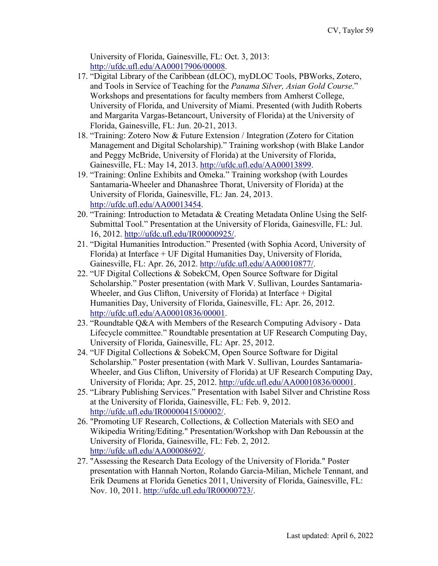University of Florida, Gainesville, FL: Oct. 3, 2013: [http://ufdc.ufl.edu/AA00017906/00008.](http://ufdc.ufl.edu/AA00017906/00008)

- 17. "Digital Library of the Caribbean (dLOC), myDLOC Tools, PBWorks, Zotero, and Tools in Service of Teaching for the *Panama Silver, Asian Gold Course*." Workshops and presentations for faculty members from Amherst College, University of Florida, and University of Miami. Presented (with Judith Roberts and Margarita Vargas-Betancourt, University of Florida) at the University of Florida, Gainesville, FL: Jun. 20-21, 2013.
- 18. "Training: Zotero Now & Future Extension / Integration (Zotero for Citation Management and Digital Scholarship)." Training workshop (with Blake Landor and Peggy McBride, University of Florida) at the University of Florida, Gainesville, FL: May 14, 2013. [http://ufdc.ufl.edu/AA00013899.](http://ufdc.ufl.edu/AA00013899)
- 19. "Training: Online Exhibits and Omeka." Training workshop (with Lourdes Santamaria-Wheeler and Dhanashree Thorat, University of Florida) at the University of Florida, Gainesville, FL: Jan. 24, 2013. [http://ufdc.ufl.edu/AA00013454.](http://ufdc.ufl.edu/AA00013454)
- 20. "Training: Introduction to Metadata & Creating Metadata Online Using the Self‐ Submittal Tool." Presentation at the University of Florida, Gainesville, FL: Jul. 16, 2012. [http://ufdc.ufl.edu/IR00000925/.](http://ufdc.ufl.edu/IR00000925/)
- 21. "Digital Humanities Introduction." Presented (with Sophia Acord, University of Florida) at Interface + UF Digital Humanities Day, University of Florida, Gainesville, FL: Apr. 26, 2012. [http://ufdc.ufl.edu/AA00010877/.](http://ufdc.ufl.edu/AA00010877/)
- 22. "UF Digital Collections & SobekCM, Open Source Software for Digital Scholarship." Poster presentation (with Mark V. Sullivan, Lourdes Santamaria-Wheeler, and Gus Clifton, University of Florida) at Interface + Digital Humanities Day, University of Florida, Gainesville, FL: Apr. 26, 2012. [http://ufdc.ufl.edu/AA00010836/00001.](http://ufdc.ufl.edu/AA00010836/00001)
- 23. "Roundtable Q&A with Members of the Research Computing Advisory Data Lifecycle committee." Roundtable presentation at UF Research Computing Day, University of Florida, Gainesville, FL: Apr. 25, 2012.
- 24. "UF Digital Collections & SobekCM, Open Source Software for Digital Scholarship." Poster presentation (with Mark V. Sullivan, Lourdes Santamaria-Wheeler, and Gus Clifton, University of Florida) at UF Research Computing Day, University of Florida; Apr. 25, 2012. [http://ufdc.ufl.edu/AA00010836/00001.](http://ufdc.ufl.edu/AA00010836/00001)
- 25. "Library Publishing Services." Presentation with Isabel Silver and Christine Ross at the University of Florida, Gainesville, FL: Feb. 9, 2012. [http://ufdc.ufl.edu/IR00000415/00002/.](http://ufdc.ufl.edu/IR00000415/00002/)
- 26. "Promoting UF Research, Collections, & Collection Materials with SEO and Wikipedia Writing/Editing." Presentation/Workshop with Dan Reboussin at the University of Florida, Gainesville, FL: Feb. 2, 2012. [http://ufdc.ufl.edu/AA00008692/.](http://ufdc.ufl.edu/AA00008692/)
- 27. "Assessing the Research Data Ecology of the University of Florida." Poster presentation with Hannah Norton, Rolando Garcia-Milian, Michele Tennant, and Erik Deumens at Florida Genetics 2011, University of Florida, Gainesville, FL: Nov. 10, 2011. [http://ufdc.ufl.edu/IR00000723/.](http://ufdc.ufl.edu/IR00000723/)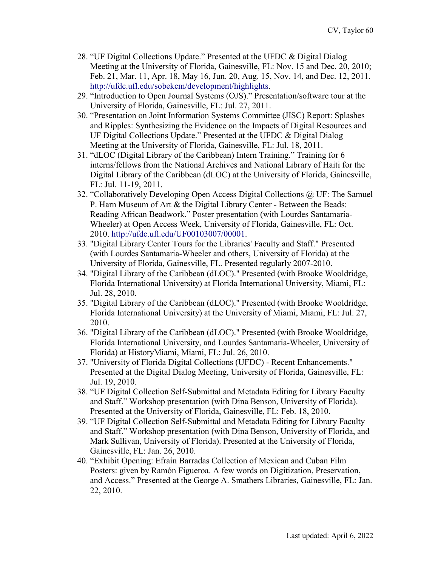- 28. "UF Digital Collections Update." Presented at the UFDC & Digital Dialog Meeting at the University of Florida, Gainesville, FL: Nov. 15 and Dec. 20, 2010; Feb. 21, Mar. 11, Apr. 18, May 16, Jun. 20, Aug. 15, Nov. 14, and Dec. 12, 2011. [http://ufdc.ufl.edu/sobekcm/development/highlights.](http://ufdc.ufl.edu/sobekcm/development/highlights)
- 29. "Introduction to Open Journal Systems (OJS)." Presentation/software tour at the University of Florida, Gainesville, FL: Jul. 27, 2011.
- 30. "Presentation on Joint Information Systems Committee (JISC) Report: Splashes and Ripples: Synthesizing the Evidence on the Impacts of Digital Resources and UF Digital Collections Update." Presented at the UFDC & Digital Dialog Meeting at the University of Florida, Gainesville, FL: Jul. 18, 2011.
- 31. "dLOC (Digital Library of the Caribbean) Intern Training." Training for 6 interns/fellows from the National Archives and National Library of Haiti for the Digital Library of the Caribbean (dLOC) at the University of Florida, Gainesville, FL: Jul. 11-19, 2011.
- 32. "Collaboratively Developing Open Access Digital Collections @ UF: The Samuel P. Harn Museum of Art & the Digital Library Center - Between the Beads: Reading African Beadwork." Poster presentation (with Lourdes Santamaria-Wheeler) at Open Access Week, University of Florida, Gainesville, FL: Oct. 2010. [http://ufdc.ufl.edu/UF00103007/00001.](http://ufdc.ufl.edu/UF00103007/00001)
- 33. "Digital Library Center Tours for the Libraries' Faculty and Staff." Presented (with Lourdes Santamaria-Wheeler and others, University of Florida) at the University of Florida, Gainesville, FL. Presented regularly 2007-2010.
- 34. "Digital Library of the Caribbean (dLOC)." Presented (with Brooke Wooldridge, Florida International University) at Florida International University, Miami, FL: Jul. 28, 2010.
- 35. "Digital Library of the Caribbean (dLOC)." Presented (with Brooke Wooldridge, Florida International University) at the University of Miami, Miami, FL: Jul. 27, 2010.
- 36. "Digital Library of the Caribbean (dLOC)." Presented (with Brooke Wooldridge, Florida International University, and Lourdes Santamaria-Wheeler, University of Florida) at HistoryMiami, Miami, FL: Jul. 26, 2010.
- 37. "University of Florida Digital Collections (UFDC) Recent Enhancements." Presented at the Digital Dialog Meeting, University of Florida, Gainesville, FL: Jul. 19, 2010.
- 38. "UF Digital Collection Self-Submittal and Metadata Editing for Library Faculty and Staff." Workshop presentation (with Dina Benson, University of Florida). Presented at the University of Florida, Gainesville, FL: Feb. 18, 2010.
- 39. "UF Digital Collection Self-Submittal and Metadata Editing for Library Faculty and Staff." Workshop presentation (with Dina Benson, University of Florida, and Mark Sullivan, University of Florida). Presented at the University of Florida, Gainesville, FL: Jan. 26, 2010.
- 40. "Exhibit Opening: Efraín Barradas Collection of Mexican and Cuban Film Posters: given by Ramón Figueroa. A few words on Digitization, Preservation, and Access." Presented at the George A. Smathers Libraries, Gainesville, FL: Jan. 22, 2010.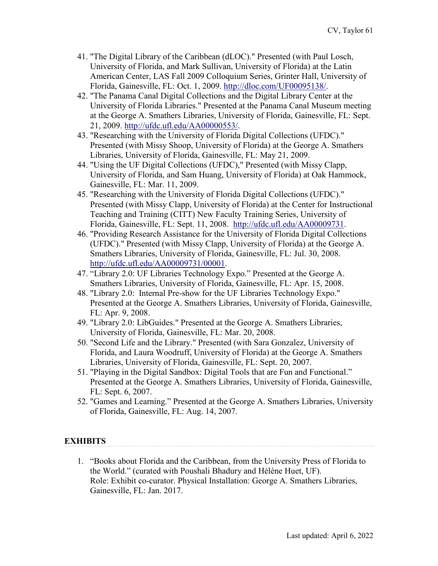- 41. "The Digital Library of the Caribbean (dLOC)." Presented (with Paul Losch, University of Florida, and Mark Sullivan, University of Florida) at the Latin American Center, LAS Fall 2009 Colloquium Series, Grinter Hall, University of Florida, Gainesville, FL: Oct. 1, 2009. [http://dloc.com/UF00095138/.](http://dloc.com/UF00095138/)
- 42. "The Panama Canal Digital Collections and the Digital Library Center at the University of Florida Libraries." Presented at the Panama Canal Museum meeting at the George A. Smathers Libraries, University of Florida, Gainesville, FL: Sept. 21, 2009. [http://ufdc.ufl.edu/AA00000553/.](http://ufdc.ufl.edu/AA00000553/)
- 43. "Researching with the University of Florida Digital Collections (UFDC)." Presented (with Missy Shoop, University of Florida) at the George A. Smathers Libraries, University of Florida, Gainesville, FL: May 21, 2009.
- 44. "Using the UF Digital Collections (UFDC)," Presented (with Missy Clapp, University of Florida, and Sam Huang, University of Florida) at Oak Hammock, Gainesville, FL: Mar. 11, 2009.
- 45. "Researching with the University of Florida Digital Collections (UFDC)." Presented (with Missy Clapp, University of Florida) at the Center for Instructional Teaching and Training (CITT) New Faculty Training Series, University of Florida, Gainesville, FL: Sept. 11, 2008. [http://ufdc.ufl.edu/AA00009731.](http://ufdc.ufl.edu/AA00009731)
- 46. "Providing Research Assistance for the University of Florida Digital Collections (UFDC)." Presented (with Missy Clapp, University of Florida) at the George A. Smathers Libraries, University of Florida, Gainesville, FL: Jul. 30, 2008. [http://ufdc.ufl.edu/AA00009731/00001.](http://ufdc.ufl.edu/AA00009731/00001)
- 47. "Library 2.0: UF Libraries Technology Expo." Presented at the George A. Smathers Libraries, University of Florida, Gainesville, FL: Apr. 15, 2008.
- 48. "Library 2.0: Internal Pre-show for the UF Libraries Technology Expo." Presented at the George A. Smathers Libraries, University of Florida, Gainesville, FL: Apr. 9, 2008.
- 49. "Library 2.0: LibGuides." Presented at the George A. Smathers Libraries, University of Florida, Gainesville, FL: Mar. 20, 2008.
- 50. "Second Life and the Library." Presented (with Sara Gonzalez, University of Florida, and Laura Woodruff, University of Florida) at the George A. Smathers Libraries, University of Florida, Gainesville, FL: Sept. 20, 2007.
- 51. "Playing in the Digital Sandbox: Digital Tools that are Fun and Functional." Presented at the George A. Smathers Libraries, University of Florida, Gainesville, FL: Sept. 6, 2007.
- 52. "Games and Learning." Presented at the George A. Smathers Libraries, University of Florida, Gainesville, FL: Aug. 14, 2007.

#### **EXHIBITS**

1. "Books about Florida and the Caribbean, from the University Press of Florida to the World." (curated with Poushali Bhadury and Hélène Huet, UF). Role: Exhibit co-curator. Physical Installation: George A. Smathers Libraries, Gainesville, FL: Jan. 2017.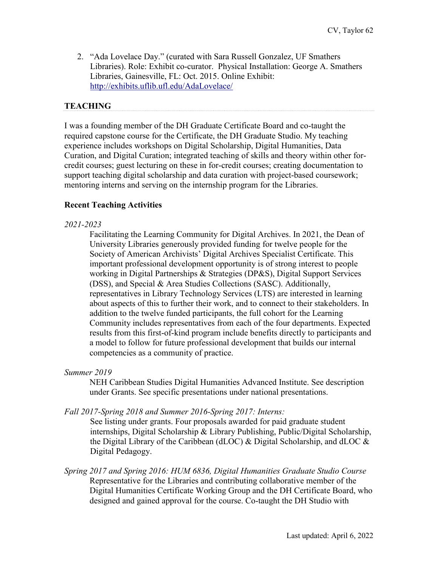2. "Ada Lovelace Day." (curated with Sara Russell Gonzalez, UF Smathers Libraries). Role: Exhibit co-curator. Physical Installation: George A. Smathers Libraries, Gainesville, FL: Oct. 2015. Online Exhibit: <http://exhibits.uflib.ufl.edu/AdaLovelace/>

#### **TEACHING**

I was a founding member of the DH Graduate Certificate Board and co-taught the required capstone course for the Certificate, the DH Graduate Studio. My teaching experience includes workshops on Digital Scholarship, Digital Humanities, Data Curation, and Digital Curation; integrated teaching of skills and theory within other forcredit courses; guest lecturing on these in for-credit courses; creating documentation to support teaching digital scholarship and data curation with project-based coursework; mentoring interns and serving on the internship program for the Libraries.

#### **Recent Teaching Activities**

#### *2021-2023*

Facilitating the Learning Community for Digital Archives. In 2021, the Dean of University Libraries generously provided funding for twelve people for the Society of American Archivists' Digital Archives Specialist Certificate. This important professional development opportunity is of strong interest to people working in Digital Partnerships & Strategies (DP&S), Digital Support Services (DSS), and Special & Area Studies Collections (SASC). Additionally, representatives in Library Technology Services (LTS) are interested in learning about aspects of this to further their work, and to connect to their stakeholders. In addition to the twelve funded participants, the full cohort for the Learning Community includes representatives from each of the four departments. Expected results from this first-of-kind program include benefits directly to participants and a model to follow for future professional development that builds our internal competencies as a community of practice.

#### *Summer 2019*

NEH Caribbean Studies Digital Humanities Advanced Institute. See description under Grants. See specific presentations under national presentations.

#### *Fall 2017-Spring 2018 and Summer 2016-Spring 2017: Interns:*

See listing under grants. Four proposals awarded for paid graduate student internships, Digital Scholarship & Library Publishing, Public/Digital Scholarship, the Digital Library of the Caribbean (dLOC)  $\&$  Digital Scholarship, and dLOC  $\&$ Digital Pedagogy.

*Spring 2017 and Spring 2016: HUM 6836, Digital Humanities Graduate Studio Course* Representative for the Libraries and contributing collaborative member of the Digital Humanities Certificate Working Group and the DH Certificate Board, who designed and gained approval for the course. Co-taught the DH Studio with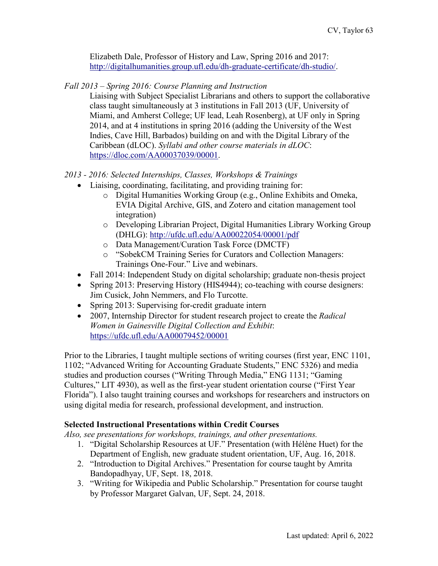Elizabeth Dale, Professor of History and Law, Spring 2016 and 2017: [http://digitalhumanities.group.ufl.edu/dh-graduate-certificate/dh-studio/.](http://digitalhumanities.group.ufl.edu/dh-graduate-certificate/dh-studio/)

*Fall 2013 – Spring 2016: Course Planning and Instruction*

Liaising with Subject Specialist Librarians and others to support the collaborative class taught simultaneously at 3 institutions in Fall 2013 (UF, University of Miami, and Amherst College; UF lead, Leah Rosenberg), at UF only in Spring 2014, and at 4 institutions in spring 2016 (adding the University of the West Indies, Cave Hill, Barbados) building on and with the Digital Library of the Caribbean (dLOC). *Syllabi and other course materials in dLOC*: [https://dloc.com/AA00037039/00001.](https://dloc.com/AA00037039/00001)

*2013 - 2016: Selected Internships, Classes, Workshops & Trainings* 

- Liaising, coordinating, facilitating, and providing training for:
	- o Digital Humanities Working Group (e.g., Online Exhibits and Omeka, EVIA Digital Archive, GIS, and Zotero and citation management tool integration)
	- o Developing Librarian Project, Digital Humanities Library Working Group (DHLG):<http://ufdc.ufl.edu/AA00022054/00001/pdf>
	- o Data Management/Curation Task Force (DMCTF)
	- o "SobekCM Training Series for Curators and Collection Managers: Trainings One-Four." Live and webinars.
- Fall 2014: Independent Study on digital scholarship; graduate non-thesis project
- Spring 2013: Preserving History (HIS4944); co-teaching with course designers: Jim Cusick, John Nemmers, and Flo Turcotte.
- Spring 2013: Supervising for-credit graduate intern
- 2007, Internship Director for student research project to create the *Radical Women in Gainesville Digital Collection and Exhibit*: <https://ufdc.ufl.edu/AA00079452/00001>

Prior to the Libraries, I taught multiple sections of writing courses (first year, ENC 1101, 1102; "Advanced Writing for Accounting Graduate Students," ENC 5326) and media studies and production courses ("Writing Through Media," ENG 1131; "Gaming Cultures," LIT 4930), as well as the first-year student orientation course ("First Year Florida"). I also taught training courses and workshops for researchers and instructors on using digital media for research, professional development, and instruction.

## **Selected Instructional Presentations within Credit Courses**

*Also, see presentations for workshops, trainings, and other presentations.*

- 1. "Digital Scholarship Resources at UF." Presentation (with Hélène Huet) for the Department of English, new graduate student orientation, UF, Aug. 16, 2018.
- 2. "Introduction to Digital Archives." Presentation for course taught by Amrita Bandopadhyay, UF, Sept. 18, 2018.
- 3. "Writing for Wikipedia and Public Scholarship." Presentation for course taught by Professor Margaret Galvan, UF, Sept. 24, 2018.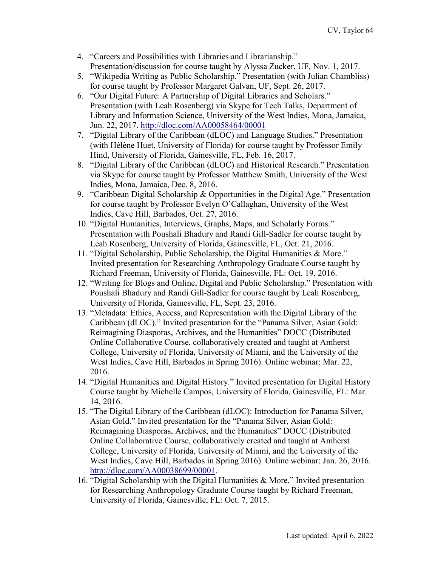- 4. "Careers and Possibilities with Libraries and Librarianship." Presentation/discussion for course taught by Alyssa Zucker, UF, Nov. 1, 2017.
- 5. "Wikipedia Writing as Public Scholarship." Presentation (with Julian Chambliss) for course taught by Professor Margaret Galvan, UF, Sept. 26, 2017.
- 6. "Our Digital Future: A Partnership of Digital Libraries and Scholars." Presentation (with Leah Rosenberg) via Skype for Tech Talks, Department of Library and Information Science, University of the West Indies, Mona, Jamaica, Jun. 22, 2017.<http://dloc.com/AA00058464/00001>
- 7. "Digital Library of the Caribbean (dLOC) and Language Studies." Presentation (with Hélène Huet, University of Florida) for course taught by Professor Emily Hind, University of Florida, Gainesville, FL, Feb. 16, 2017.
- 8. "Digital Library of the Caribbean (dLOC) and Historical Research." Presentation via Skype for course taught by Professor Matthew Smith, University of the West Indies, Mona, Jamaica, Dec. 8, 2016.
- 9. "Caribbean Digital Scholarship & Opportunities in the Digital Age." Presentation for course taught by Professor Evelyn O'Callaghan, University of the West Indies, Cave Hill, Barbados, Oct. 27, 2016.
- 10. "Digital Humanities, Interviews, Graphs, Maps, and Scholarly Forms." Presentation with Poushali Bhadury and Randi Gill-Sadler for course taught by Leah Rosenberg, University of Florida, Gainesville, FL, Oct. 21, 2016.
- 11. "Digital Scholarship, Public Scholarship, the Digital Humanities & More." Invited presentation for Researching Anthropology Graduate Course taught by Richard Freeman, University of Florida, Gainesville, FL: Oct. 19, 2016.
- 12. "Writing for Blogs and Online, Digital and Public Scholarship." Presentation with Poushali Bhadury and Randi Gill-Sadler for course taught by Leah Rosenberg, University of Florida, Gainesville, FL, Sept. 23, 2016.
- 13. "Metadata: Ethics, Access, and Representation with the Digital Library of the Caribbean (dLOC)." Invited presentation for the "Panama Silver, Asian Gold: Reimagining Diasporas, Archives, and the Humanities" DOCC (Distributed Online Collaborative Course, collaboratively created and taught at Amherst College, University of Florida, University of Miami, and the University of the West Indies, Cave Hill, Barbados in Spring 2016). Online webinar: Mar. 22, 2016.
- 14. "Digital Humanities and Digital History." Invited presentation for Digital History Course taught by Michelle Campos, University of Florida, Gainesville, FL: Mar. 14, 2016.
- 15. "The Digital Library of the Caribbean (dLOC): Introduction for Panama Silver, Asian Gold." Invited presentation for the "Panama Silver, Asian Gold: Reimagining Diasporas, Archives, and the Humanities" DOCC (Distributed Online Collaborative Course, collaboratively created and taught at Amherst College, University of Florida, University of Miami, and the University of the West Indies, Cave Hill, Barbados in Spring 2016). Online webinar: Jan. 26, 2016. [http://dloc.com/AA00038699/00001.](http://dloc.com/AA00038699/00001)
- 16. "Digital Scholarship with the Digital Humanities & More." Invited presentation for Researching Anthropology Graduate Course taught by Richard Freeman, University of Florida, Gainesville, FL: Oct. 7, 2015.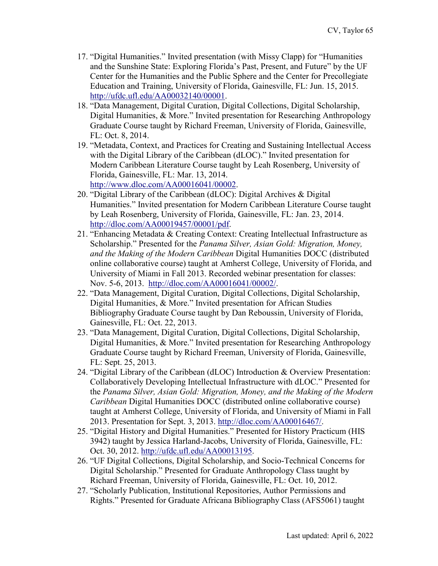- 17. "Digital Humanities." Invited presentation (with Missy Clapp) for "Humanities and the Sunshine State: Exploring Florida's Past, Present, and Future" by the UF Center for the Humanities and the Public Sphere and the Center for Precollegiate Education and Training, University of Florida, Gainesville, FL: Jun. 15, 2015. [http://ufdc.ufl.edu/AA00032140/00001.](http://ufdc.ufl.edu/AA00032140/00001)
- 18. "Data Management, Digital Curation, Digital Collections, Digital Scholarship, Digital Humanities, & More." Invited presentation for Researching Anthropology Graduate Course taught by Richard Freeman, University of Florida, Gainesville, FL: Oct. 8, 2014.
- 19. "Metadata, Context, and Practices for Creating and Sustaining Intellectual Access with the Digital Library of the Caribbean (dLOC)." Invited presentation for Modern Caribbean Literature Course taught by Leah Rosenberg, University of Florida, Gainesville, FL: Mar. 13, 2014. [http://www.dloc.com/AA00016041/00002.](http://www.dloc.com/AA00016041/00002)
- 20. "Digital Library of the Caribbean (dLOC): Digital Archives & Digital Humanities." Invited presentation for Modern Caribbean Literature Course taught by Leah Rosenberg, University of Florida, Gainesville, FL: Jan. 23, 2014. [http://dloc.com/AA00019457/00001/pdf.](http://dloc.com/AA00019457/00001/pdf)
- 21. "Enhancing Metadata & Creating Context: Creating Intellectual Infrastructure as Scholarship." Presented for the *Panama Silver, Asian Gold: Migration, Money, and the Making of the Modern Caribbean* Digital Humanities DOCC (distributed online collaborative course) taught at Amherst College, University of Florida, and University of Miami in Fall 2013. Recorded webinar presentation for classes: Nov. 5-6, 2013. [http://dloc.com/AA00016041/00002/.](http://dloc.com/AA00016041/00002/)
- 22. "Data Management, Digital Curation, Digital Collections, Digital Scholarship, Digital Humanities, & More." Invited presentation for African Studies Bibliography Graduate Course taught by Dan Reboussin, University of Florida, Gainesville, FL: Oct. 22, 2013.
- 23. "Data Management, Digital Curation, Digital Collections, Digital Scholarship, Digital Humanities, & More." Invited presentation for Researching Anthropology Graduate Course taught by Richard Freeman, University of Florida, Gainesville, FL: Sept. 25, 2013.
- 24. "Digital Library of the Caribbean (dLOC) Introduction & Overview Presentation: Collaboratively Developing Intellectual Infrastructure with dLOC." Presented for the *Panama Silver, Asian Gold: Migration, Money, and the Making of the Modern Caribbean* Digital Humanities DOCC (distributed online collaborative course) taught at Amherst College, University of Florida, and University of Miami in Fall 2013. Presentation for Sept. 3, 2013. [http://dloc.com/AA00016467/.](http://dloc.com/AA00016467/)
- 25. "Digital History and Digital Humanities." Presented for History Practicum (HIS 3942) taught by Jessica Harland-Jacobs, University of Florida, Gainesville, FL: Oct. 30, 2012. [http://ufdc.ufl.edu/AA00013195.](http://ufdc.ufl.edu/AA00013195)
- 26. "UF Digital Collections, Digital Scholarship, and Socio-Technical Concerns for Digital Scholarship." Presented for Graduate Anthropology Class taught by Richard Freeman, University of Florida, Gainesville, FL: Oct. 10, 2012.
- 27. "Scholarly Publication, Institutional Repositories, Author Permissions and Rights." Presented for Graduate Africana Bibliography Class (AFS5061) taught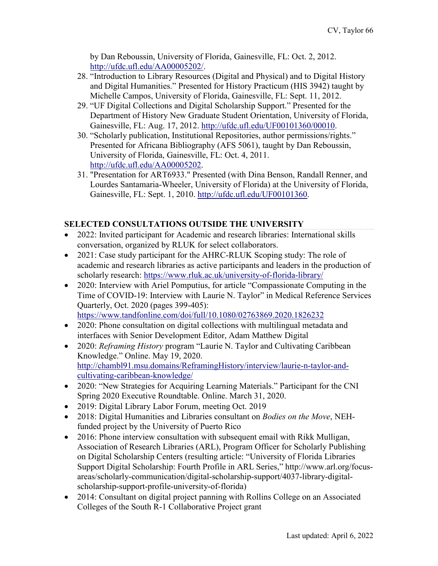by Dan Reboussin, University of Florida, Gainesville, FL: Oct. 2, 2012. [http://ufdc.ufl.edu/AA00005202/.](http://ufdc.ufl.edu/AA00005202/)

- 28. "Introduction to Library Resources (Digital and Physical) and to Digital History and Digital Humanities." Presented for History Practicum (HIS 3942) taught by Michelle Campos, University of Florida, Gainesville, FL: Sept. 11, 2012.
- 29. "UF Digital Collections and Digital Scholarship Support." Presented for the Department of History New Graduate Student Orientation, University of Florida, Gainesville, FL: Aug. 17, 2012. [http://ufdc.ufl.edu/UF00101360/00010.](http://ufdc.ufl.edu/UF00101360/00010)
- 30. "Scholarly publication, Institutional Repositories, author permissions/rights." Presented for Africana Bibliography (AFS 5061), taught by Dan Reboussin, University of Florida, Gainesville, FL: Oct. 4, 2011. [http://ufdc.ufl.edu/AA00005202.](http://ufdc.ufl.edu/AA00005202)
- 31. "Presentation for ART6933." Presented (with Dina Benson, Randall Renner, and Lourdes Santamaria-Wheeler, University of Florida) at the University of Florida, Gainesville, FL: Sept. 1, 2010. [http://ufdc.ufl.edu/UF00101360.](http://ufdc.ufl.edu/UF00101360)

# **SELECTED CONSULTATIONS OUTSIDE THE UNIVERSITY**

- 2022: Invited participant for Academic and research libraries: International skills conversation, organized by RLUK for select collaborators.
- 2021: Case study participant for the AHRC-RLUK Scoping study: The role of academic and research libraries as active participants and leaders in the production of scholarly research:<https://www.rluk.ac.uk/university-of-florida-library/>
- 2020: Interview with Ariel Pomputius, for article "Compassionate Computing in the Time of COVID-19: Interview with Laurie N. Taylor" in Medical Reference Services Quarterly, Oct. 2020 (pages 399-405): <https://www.tandfonline.com/doi/full/10.1080/02763869.2020.1826232>
- 2020: Phone consultation on digital collections with multilingual metadata and interfaces with Senior Development Editor, Adam Matthew Digital
- 2020: *Reframing History* program "Laurie N. Taylor and Cultivating Caribbean Knowledge." Online. May 19, 2020. [http://chambl91.msu.domains/ReframingHistory/interview/laurie-n-taylor-and](http://chambl91.msu.domains/ReframingHistory/interview/laurie-n-taylor-and-cultivating-caribbean-knowledge/)[cultivating-caribbean-knowledge/](http://chambl91.msu.domains/ReframingHistory/interview/laurie-n-taylor-and-cultivating-caribbean-knowledge/)
- 2020: "New Strategies for Acquiring Learning Materials." Participant for the CNI Spring 2020 Executive Roundtable. Online. March 31, 2020.
- 2019: Digital Library Labor Forum, meeting Oct. 2019
- 2018: Digital Humanities and Libraries consultant on *Bodies on the Move*, NEHfunded project by the University of Puerto Rico
- 2016: Phone interview consultation with subsequent email with Rikk Mulligan, Association of Research Libraries (ARL), Program Officer for Scholarly Publishing on Digital Scholarship Centers (resulting article: "University of Florida Libraries Support Digital Scholarship: Fourth Profile in ARL Series," [http://www.arl.org/focus](http://www.arl.org/focus-areas/scholarly-communication/digital-scholarship-support/4037-library-digital-scholarship-support-profile-university-of-florida)[areas/scholarly-communication/digital-scholarship-support/4037-library-digital](http://www.arl.org/focus-areas/scholarly-communication/digital-scholarship-support/4037-library-digital-scholarship-support-profile-university-of-florida)[scholarship-support-profile-university-of-florida\)](http://www.arl.org/focus-areas/scholarly-communication/digital-scholarship-support/4037-library-digital-scholarship-support-profile-university-of-florida)
- 2014: Consultant on digital project panning with Rollins College on an Associated Colleges of the South R-1 Collaborative Project grant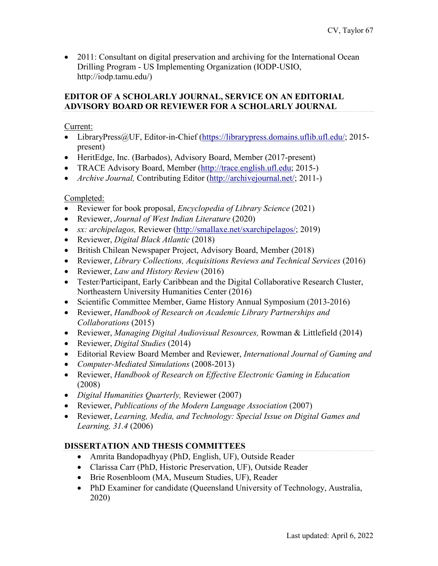• 2011: Consultant on digital preservation and archiving for the International Ocean Drilling Program - US Implementing Organization (IODP-USIO, [http://iodp.tamu.edu/\)](http://iodp.tamu.edu/)

#### **EDITOR OF A SCHOLARLY JOURNAL, SERVICE ON AN EDITORIAL ADVISORY BOARD OR REVIEWER FOR A SCHOLARLY JOURNAL**

Current:

- LibraryPress@UF, Editor-in-Chief [\(https://librarypress.domains.uflib.ufl.edu/;](https://librarypress.domains.uflib.ufl.edu/) 2015present)
- HeritEdge, Inc. (Barbados), Advisory Board, Member (2017-present)
- TRACE Advisory Board, Member [\(http://trace.english.ufl.edu;](http://trace.english.ufl.edu/) 2015-)
- *Archive Journal,* Contributing Editor [\(http://archivejournal.net/;](http://archivejournal.net/) 2011-)

# Completed:

- Reviewer for book proposal, *Encyclopedia of Library Science* (2021)
- Reviewer, *Journal of West Indian Literature* (2020)
- *sx: archipelagos, Reviewer [\(http://smallaxe.net/sxarchipelagos/;](http://smallaxe.net/sxarchipelagos/) 2019)*
- Reviewer, *Digital Black Atlantic* (2018)
- British Chilean Newspaper Project, Advisory Board, Member (2018)
- Reviewer, *Library Collections, Acquisitions Reviews and Technical Services* (2016)
- Reviewer, *Law and History Review* (2016)
- Tester/Participant, Early Caribbean and the Digital Collaborative Research Cluster, Northeastern University Humanities Center (2016)
- Scientific Committee Member, Game History Annual Symposium (2013-2016)
- Reviewer, *Handbook of Research on Academic Library Partnerships and Collaborations* (2015)
- Reviewer, *Managing Digital Audiovisual Resources,* Rowman & Littlefield (2014)
- Reviewer, *Digital Studies* (2014)
- Editorial Review Board Member and Reviewer, *International Journal of Gaming and*
- *Computer-Mediated Simulations* (2008-2013)
- Reviewer, *Handbook of Research on Effective Electronic Gaming in Education* (2008)
- *Digital Humanities Quarterly,* Reviewer (2007)
- Reviewer, *Publications of the Modern Language Association* (2007)
- Reviewer, *Learning, Media, and Technology: Special Issue on Digital Games and Learning, 31.4* (2006)

# **DISSERTATION AND THESIS COMMITTEES**

- Amrita Bandopadhyay (PhD, English, UF), Outside Reader
- Clarissa Carr (PhD, Historic Preservation, UF), Outside Reader
- Brie Rosenbloom (MA, Museum Studies, UF), Reader
- PhD Examiner for candidate (Queensland University of Technology, Australia, 2020)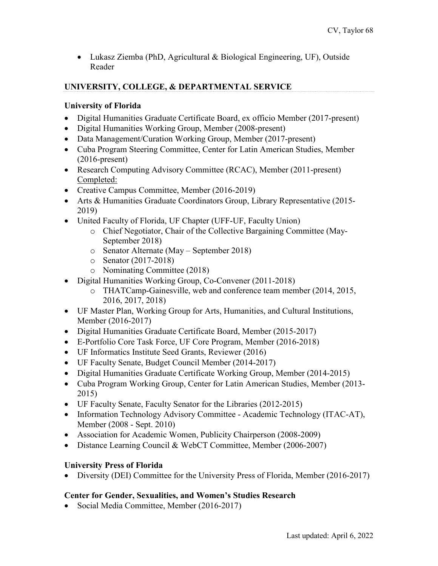• Lukasz Ziemba (PhD, Agricultural & Biological Engineering, UF), Outside Reader

# **UNIVERSITY, COLLEGE, & DEPARTMENTAL SERVICE**

# **University of Florida**

- Digital Humanities Graduate Certificate Board, ex officio Member (2017-present)
- Digital Humanities Working Group, Member (2008-present)
- Data Management/Curation Working Group, Member (2017-present)
- Cuba Program Steering Committee, Center for Latin American Studies, Member (2016-present)
- Research Computing Advisory Committee (RCAC), Member (2011-present) Completed:
- Creative Campus Committee, Member (2016-2019)
- Arts & Humanities Graduate Coordinators Group, Library Representative (2015- 2019)
- United Faculty of Florida, UF Chapter (UFF-UF, Faculty Union)
	- o Chief Negotiator, Chair of the Collective Bargaining Committee (May-September 2018)
	- o Senator Alternate (May September 2018)
	- o Senator (2017-2018)
	- o Nominating Committee (2018)
- Digital Humanities Working Group, Co-Convener (2011-2018)
	- o THATCamp-Gainesville, web and conference team member (2014, 2015, 2016, 2017, 2018)
- UF Master Plan, Working Group for Arts, Humanities, and Cultural Institutions, Member (2016-2017)
- Digital Humanities Graduate Certificate Board, Member (2015-2017)
- E-Portfolio Core Task Force, UF Core Program, Member (2016-2018)
- UF Informatics Institute Seed Grants, Reviewer (2016)
- UF Faculty Senate, Budget Council Member (2014-2017)
- Digital Humanities Graduate Certificate Working Group, Member (2014-2015)
- Cuba Program Working Group, Center for Latin American Studies, Member (2013- 2015)
- UF Faculty Senate, Faculty Senator for the Libraries (2012-2015)
- Information Technology Advisory Committee Academic Technology (ITAC-AT), Member (2008 - Sept. 2010)
- Association for Academic Women, Publicity Chairperson (2008-2009)
- Distance Learning Council & WebCT Committee, Member (2006-2007)

# **University Press of Florida**

• Diversity (DEI) Committee for the University Press of Florida, Member (2016-2017)

# **Center for Gender, Sexualities, and Women's Studies Research**

• Social Media Committee, Member (2016-2017)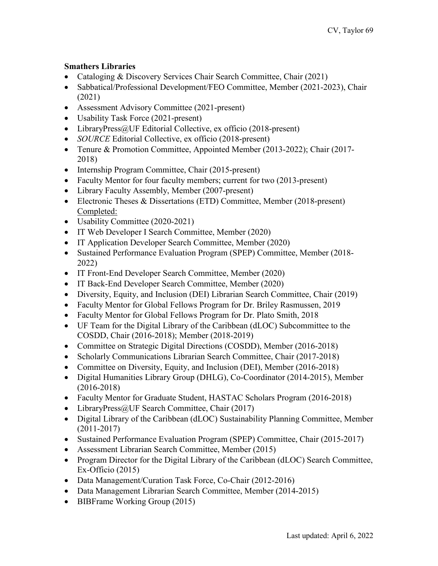# **Smathers Libraries**

- Cataloging & Discovery Services Chair Search Committee, Chair (2021)
- Sabbatical/Professional Development/FEO Committee, Member (2021-2023), Chair (2021)
- Assessment Advisory Committee (2021-present)
- Usability Task Force (2021-present)
- LibraryPress@UF Editorial Collective, ex officio (2018-present)
- *SOURCE* Editorial Collective, ex officio (2018-present)
- Tenure & Promotion Committee, Appointed Member (2013-2022); Chair (2017- 2018)
- Internship Program Committee, Chair (2015-present)
- Faculty Mentor for four faculty members; current for two (2013-present)
- Library Faculty Assembly, Member (2007-present)
- Electronic Theses & Dissertations (ETD) Committee, Member (2018-present) Completed:
- Usability Committee (2020-2021)
- IT Web Developer I Search Committee, Member (2020)
- IT Application Developer Search Committee, Member (2020)
- Sustained Performance Evaluation Program (SPEP) Committee, Member (2018- 2022)
- IT Front-End Developer Search Committee, Member (2020)
- IT Back-End Developer Search Committee, Member (2020)
- Diversity, Equity, and Inclusion (DEI) Librarian Search Committee, Chair (2019)
- Faculty Mentor for Global Fellows Program for Dr. Briley Rasmussen, 2019
- Faculty Mentor for Global Fellows Program for Dr. Plato Smith, 2018
- UF Team for the Digital Library of the Caribbean (dLOC) Subcommittee to the COSDD, Chair (2016-2018); Member (2018-2019)
- Committee on Strategic Digital Directions (COSDD), Member (2016-2018)
- Scholarly Communications Librarian Search Committee, Chair (2017-2018)
- Committee on Diversity, Equity, and Inclusion (DEI), Member (2016-2018)
- Digital Humanities Library Group (DHLG), Co-Coordinator (2014-2015), Member (2016-2018)
- Faculty Mentor for Graduate Student, HASTAC Scholars Program (2016-2018)
- LibraryPress@UF Search Committee, Chair (2017)
- Digital Library of the Caribbean (dLOC) Sustainability Planning Committee, Member (2011-2017)
- Sustained Performance Evaluation Program (SPEP) Committee, Chair (2015-2017)
- Assessment Librarian Search Committee, Member (2015)
- Program Director for the Digital Library of the Caribbean (dLOC) Search Committee, Ex-Officio (2015)
- Data Management/Curation Task Force, Co-Chair (2012-2016)
- Data Management Librarian Search Committee, Member (2014-2015)
- BIBFrame Working Group (2015)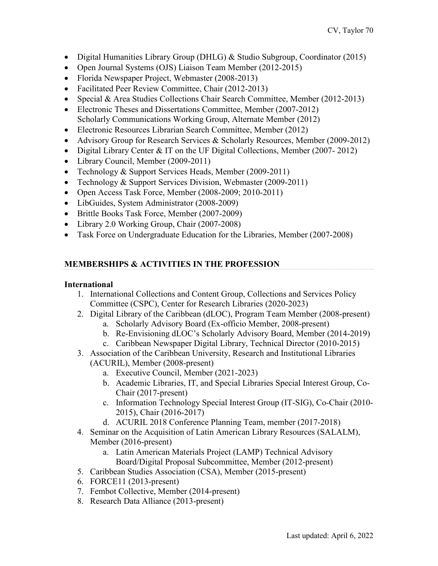- Digital Humanities Library Group (DHLG) & Studio Subgroup, Coordinator (2015)
- Open Journal Systems (OJS) Liaison Team Member (2012-2015)
- Florida Newspaper Project, Webmaster (2008-2013)
- Facilitated Peer Review Committee, Chair (2012-2013)
- Special & Area Studies Collections Chair Search Committee, Member (2012-2013)
- Electronic Theses and Dissertations Committee, Member (2007-2012) Scholarly Communications Working Group, Alternate Member (2012)
- Electronic Resources Librarian Search Committee, Member (2012)
- Advisory Group for Research Services & Scholarly Resources, Member (2009-2012)
- Digital Library Center & IT on the UF Digital Collections, Member (2007-2012)
- Library Council, Member (2009-2011)
- Technology & Support Services Heads, Member (2009-2011)
- Technology & Support Services Division, Webmaster (2009-2011)
- Open Access Task Force, Member (2008-2009; 2010-2011)
- LibGuides, System Administrator (2008-2009)
- Brittle Books Task Force, Member (2007-2009)
- Library 2.0 Working Group, Chair (2007-2008)
- Task Force on Undergraduate Education for the Libraries, Member (2007-2008)

# **MEMBERSHIPS & ACTIVITIES IN THE PROFESSION**

## **International**

- 1. International Collections and Content Group, Collections and Services Policy Committee (CSPC), Center for Research Libraries (2020-2023)
- 2. Digital Library of the Caribbean (dLOC), Program Team Member (2008-present)
	- a. Scholarly Advisory Board (Ex-officio Member, 2008-present)
	- b. Re-Envisioning dLOC's Scholarly Advisory Board, Member (2014-2019)
	- c. Caribbean Newspaper Digital Library, Technical Director (2010-2015)
- 3. Association of the Caribbean University, Research and Institutional Libraries (ACURIL), Member (2008-present)
	- a. Executive Council, Member (2021-2023)
	- b. Academic Libraries, IT, and Special Libraries Special Interest Group, Co-Chair (2017-present)
	- c. Information Technology Special Interest Group (IT-SIG), Co-Chair (2010- 2015), Chair (2016-2017)
	- d. ACURIL 2018 Conference Planning Team, member (2017-2018)
- 4. Seminar on the Acquisition of Latin American Library Resources (SALALM), Member (2016-present)
	- a. Latin American Materials Project (LAMP) Technical Advisory Board/Digital Proposal Subcommittee, Member (2012-present)
- 5. Caribbean Studies Association (CSA), Member (2015-present)
- 6. FORCE11 (2013-present)
- 7. Fembot Collective, Member (2014-present)
- 8. Research Data Alliance (2013-present)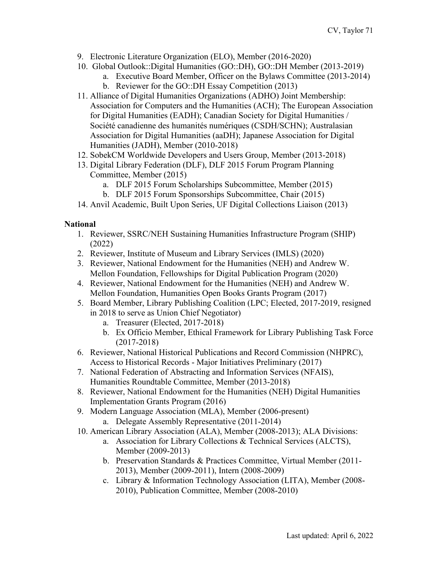- 9. Electronic Literature Organization (ELO), Member (2016-2020)
- 10. Global Outlook::Digital Humanities (GO::DH), GO::DH Member (2013-2019)
	- a. Executive Board Member, Officer on the Bylaws Committee (2013-2014) b. Reviewer for the GO::DH Essay Competition (2013)
- 11. Alliance of Digital Humanities Organizations (ADHO) Joint Membership: Association for Computers and the Humanities (ACH); The European Association for Digital Humanities (EADH); Canadian Society for Digital Humanities / Société canadienne des humanités numériques (CSDH/SCHN); Australasian Association for Digital Humanities (aaDH); Japanese Association for Digital Humanities (JADH), Member (2010-2018)
- 12. SobekCM Worldwide Developers and Users Group, Member (2013-2018)
- 13. Digital Library Federation (DLF), DLF 2015 Forum Program Planning Committee, Member (2015)
	- a. DLF 2015 Forum Scholarships Subcommittee, Member (2015)
	- b. DLF 2015 Forum Sponsorships Subcommittee, Chair (2015)
- 14. Anvil Academic, Built Upon Series, UF Digital Collections Liaison (2013)

# **National**

- 1. Reviewer, SSRC/NEH Sustaining Humanities Infrastructure Program (SHIP) (2022)
- 2. Reviewer, Institute of Museum and Library Services (IMLS) (2020)
- 3. Reviewer, National Endowment for the Humanities (NEH) and Andrew W. Mellon Foundation, Fellowships for Digital Publication Program (2020)
- 4. Reviewer, National Endowment for the Humanities (NEH) and Andrew W. Mellon Foundation, Humanities Open Books Grants Program (2017)
- 5. Board Member, Library Publishing Coalition (LPC; Elected, 2017-2019, resigned in 2018 to serve as Union Chief Negotiator)
	- a. Treasurer (Elected, 2017-2018)
	- b. Ex Officio Member, Ethical Framework for Library Publishing Task Force (2017-2018)
- 6. Reviewer, National Historical Publications and Record Commission (NHPRC), Access to Historical Records - Major Initiatives Preliminary (2017)
- 7. National Federation of Abstracting and Information Services (NFAIS), Humanities Roundtable Committee, Member (2013-2018)
- 8. Reviewer, National Endowment for the Humanities (NEH) Digital Humanities Implementation Grants Program (2016)
- 9. Modern Language Association (MLA), Member (2006-present) a. Delegate Assembly Representative (2011-2014)
- 10. American Library Association (ALA), Member (2008-2013); ALA Divisions:
	- a. Association for Library Collections & Technical Services (ALCTS), Member (2009-2013)
	- b. Preservation Standards & Practices Committee, Virtual Member (2011- 2013), Member (2009-2011), Intern (2008-2009)
	- c. Library & Information Technology Association (LITA), Member (2008- 2010), Publication Committee, Member (2008-2010)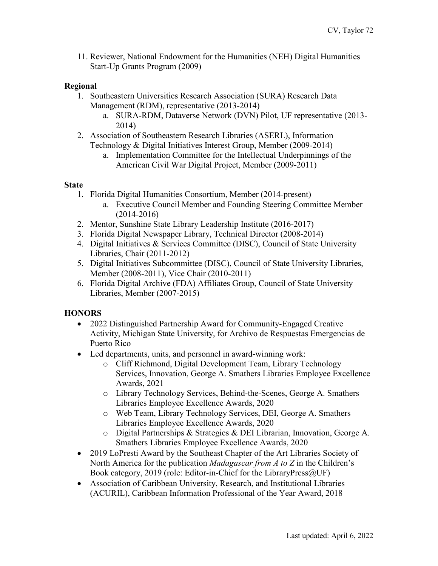11. Reviewer, National Endowment for the Humanities (NEH) Digital Humanities Start-Up Grants Program (2009)

## **Regional**

- 1. Southeastern Universities Research Association (SURA) Research Data Management (RDM), representative (2013-2014)
	- a. SURA-RDM, Dataverse Network (DVN) Pilot, UF representative (2013- 2014)
- 2. Association of Southeastern Research Libraries (ASERL), Information Technology & Digital Initiatives Interest Group, Member (2009-2014)
	- a. Implementation Committee for the Intellectual Underpinnings of the American Civil War Digital Project, Member (2009-2011)

#### **State**

- 1. Florida Digital Humanities Consortium, Member (2014-present)
	- a. Executive Council Member and Founding Steering Committee Member (2014-2016)
- 2. Mentor, Sunshine State Library Leadership Institute (2016-2017)
- 3. Florida Digital Newspaper Library, Technical Director (2008-2014)
- 4. Digital Initiatives & Services Committee (DISC), Council of State University Libraries, Chair (2011-2012)
- 5. Digital Initiatives Subcommittee (DISC), Council of State University Libraries, Member (2008-2011), Vice Chair (2010-2011)
- 6. Florida Digital Archive (FDA) Affiliates Group, Council of State University Libraries, Member (2007-2015)

## **HONORS**

- 2022 Distinguished Partnership Award for Community-Engaged Creative Activity, Michigan State University, for Archivo de Respuestas Emergencias de Puerto Rico
- Led departments, units, and personnel in award-winning work:
	- o Cliff Richmond, Digital Development Team, Library Technology Services, Innovation, George A. Smathers Libraries Employee Excellence Awards, 2021
	- o Library Technology Services, Behind-the-Scenes, George A. Smathers Libraries Employee Excellence Awards, 2020
	- o Web Team, Library Technology Services, DEI, George A. Smathers Libraries Employee Excellence Awards, 2020
	- o Digital Partnerships & Strategies & DEI Librarian, Innovation, George A. Smathers Libraries Employee Excellence Awards, 2020
- 2019 LoPresti Award by the Southeast Chapter of the Art Libraries Society of North America for the publication *Madagascar from A to Z* in the Children's Book category, 2019 (role: Editor-in-Chief for the LibraryPress@UF)
- Association of Caribbean University, Research, and Institutional Libraries (ACURIL), Caribbean Information Professional of the Year Award, 2018